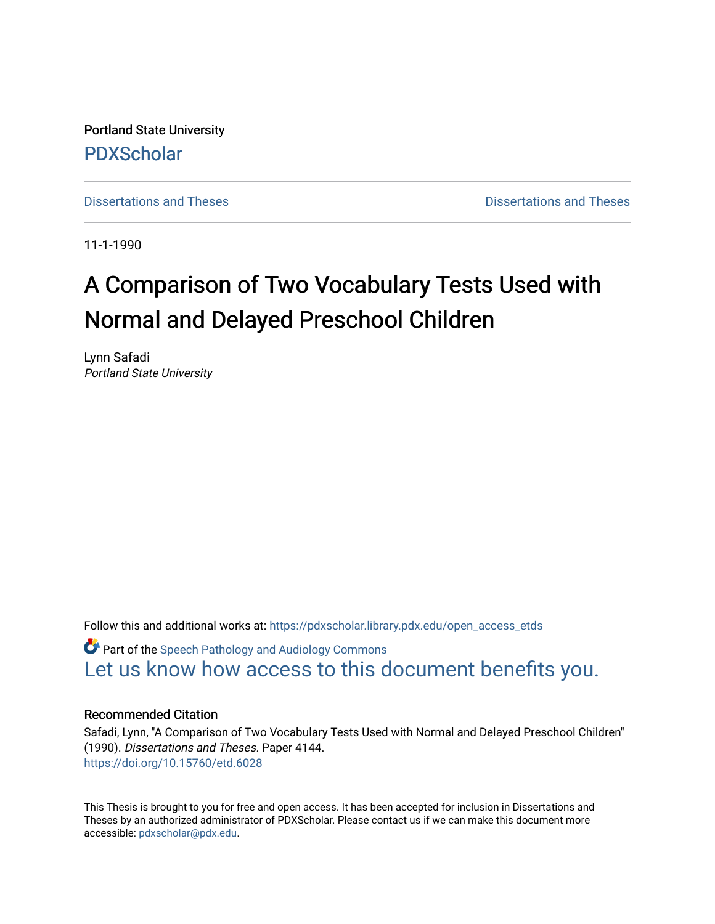Portland State University [PDXScholar](https://pdxscholar.library.pdx.edu/)

[Dissertations and Theses](https://pdxscholar.library.pdx.edu/open_access_etds) **Dissertations** and Theses **Dissertations and Theses** 

11-1-1990

# A Comparison of Two Vocabulary Tests Used with Normal and Delayed Preschool Children

Lynn Safadi Portland State University

Follow this and additional works at: [https://pdxscholar.library.pdx.edu/open\\_access\\_etds](https://pdxscholar.library.pdx.edu/open_access_etds?utm_source=pdxscholar.library.pdx.edu%2Fopen_access_etds%2F4144&utm_medium=PDF&utm_campaign=PDFCoverPages)

**C** Part of the Speech Pathology and Audiology Commons [Let us know how access to this document benefits you.](http://library.pdx.edu/services/pdxscholar-services/pdxscholar-feedback/) 

#### Recommended Citation

Safadi, Lynn, "A Comparison of Two Vocabulary Tests Used with Normal and Delayed Preschool Children" (1990). Dissertations and Theses. Paper 4144. <https://doi.org/10.15760/etd.6028>

This Thesis is brought to you for free and open access. It has been accepted for inclusion in Dissertations and Theses by an authorized administrator of PDXScholar. Please contact us if we can make this document more accessible: [pdxscholar@pdx.edu.](mailto:pdxscholar@pdx.edu)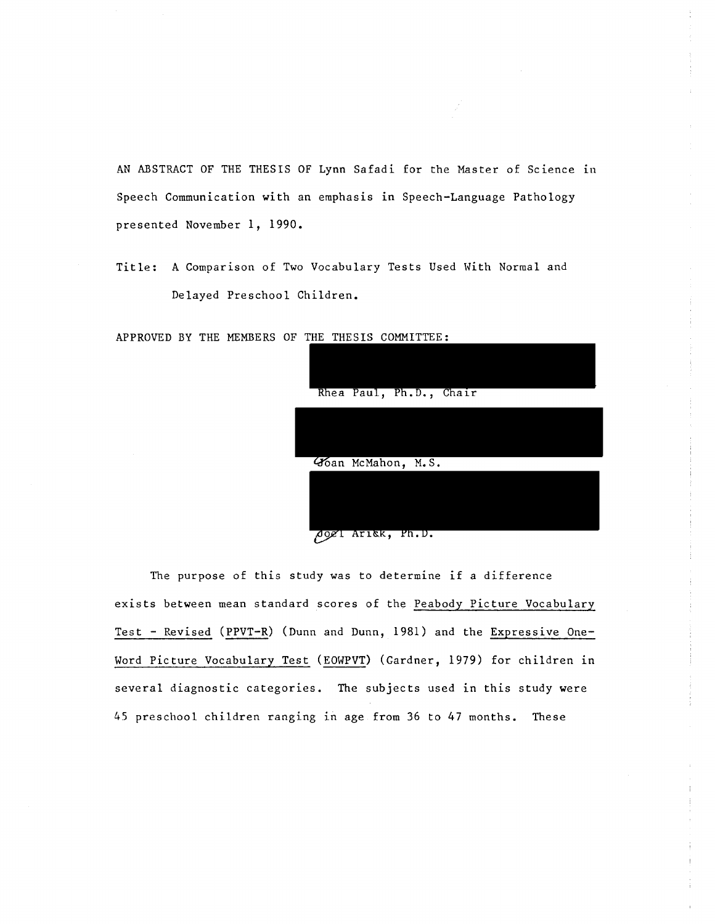AN ABSTRACT OF THE THESIS OF Lynn Safadi for the Master of Science in Speech Communication with an emphasis in Speech-Language Pathology presented November 1, 1990.

Title: A Comparison of Two Vocabulary Tests Used With Normal and Delayed Preschool Children.

APPROVED BY THE MEMBERS OF THE THESIS COMMITTEE:

|  |                    | Rhea Paul, Ph.D., Chair |  |  |
|--|--------------------|-------------------------|--|--|
|  | Goan McMahon, M.S. |                         |  |  |
|  |                    |                         |  |  |

Agel Ariek, Ph.D.

The purpose of this study was to determine if a difference exists between mean standard scores of the Peabody Picture Vocabulary Test - Revised (PPVT-R) (Dunn and Dunn, 1981) and the Expressive One-Word Picture Vocabulary Test (EOWPVT) (Gardner, 1979) for children in several diagnostic categories. The subjects used in this study were 45 preschool children ranging in age from 36 to 47 months. These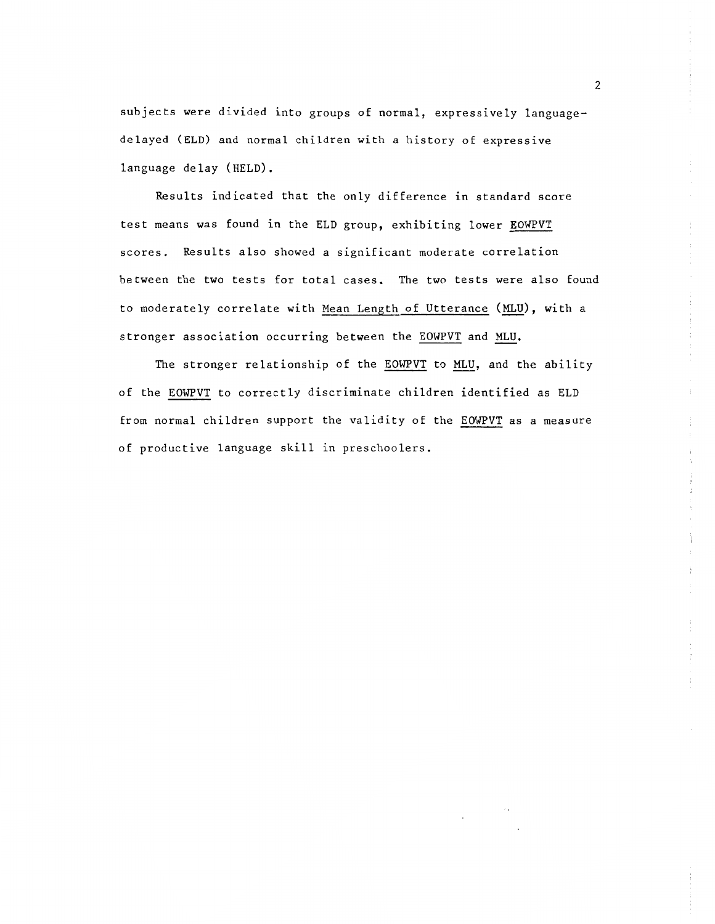subjects were divided into groups of normal, expressively languagedelayed (ELD) and normal children with a history of expressive language delay (HELD).

Results indicated that the only difference in standard score test means was found in the ELD group, exhibiting lower EOWPVT scores. Results also showed a significant moderate correlation between the two tests for total cases. The two tests were also found to moderately correlate with Mean Length of Utterance (MLU), with a stronger association occurring between the EOWPVT and MLU.

The stronger relationship of the EOWPVT to MLU, and the ability of the EOWPVT to correctly discriminate children identified as ELD from normal children support the validity of the EOWPVT as a measure of productive language skill in preschoolers.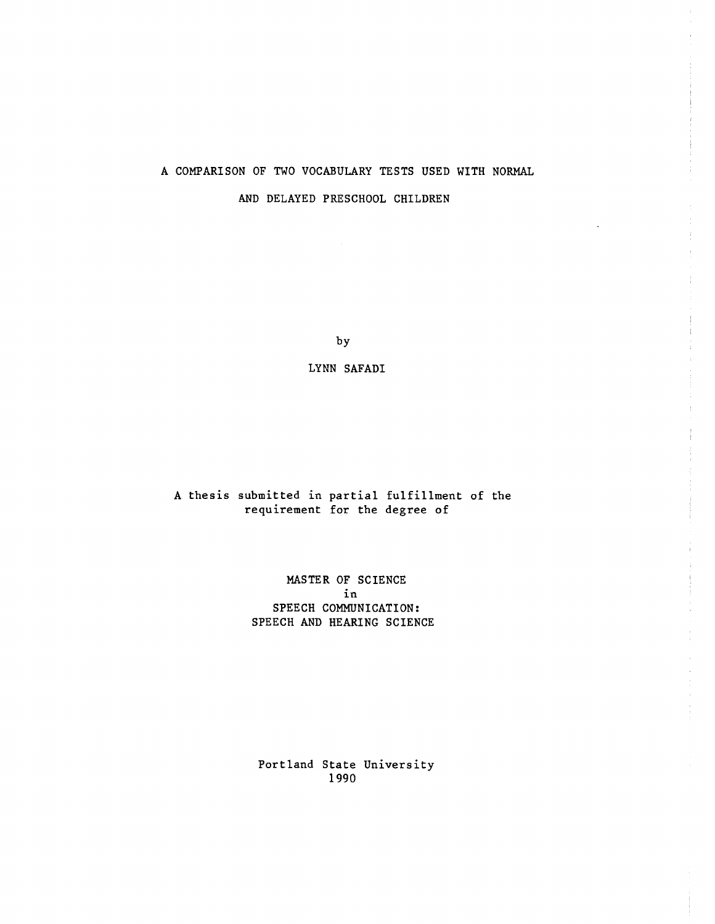# A COMPARISON OF TWO VOCABULARY TESTS USED WITH NORMAL AND DELAYED PRESCHOOL CHILDREN

by

LYNN SAFADI

A thesis submitted in partial fulfillment of the requirement for the degree of

> MASTER OF SCIENCE in SPEECH COMMUNICATION: SPEECH AND HEARING SCIENCE

Portland State University 1990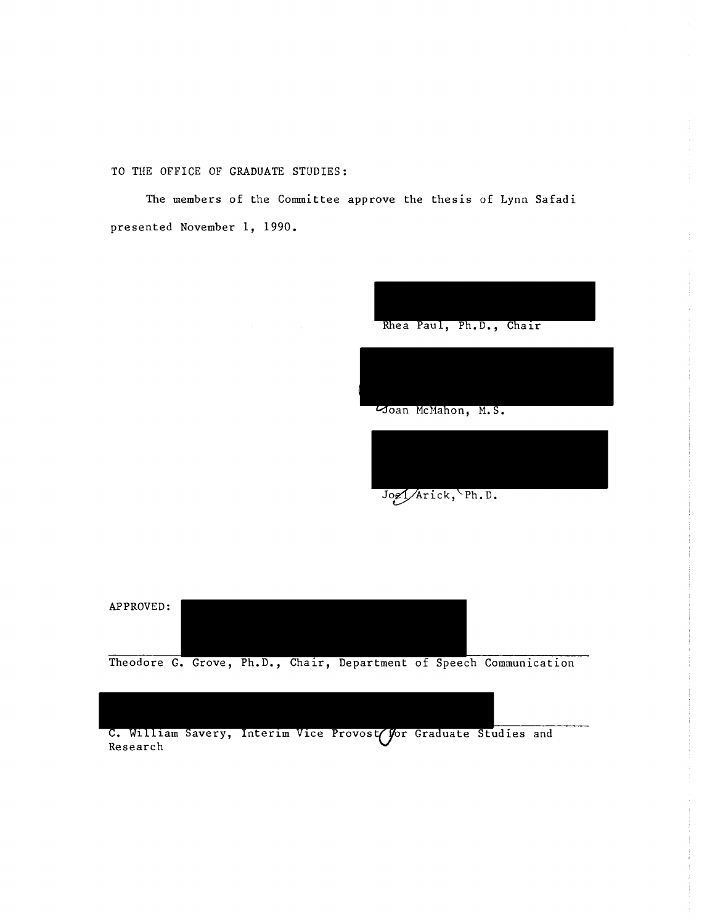TO THE OFFICE OF GRADUATE STUDIES:

The members of the Committee approve the thesis of Lynn Safadi presented November 1, 1990.



Joel/Arick, Ph.D.



Theodore G. Grove, Ph.D., Chair, Department of Speech Communication

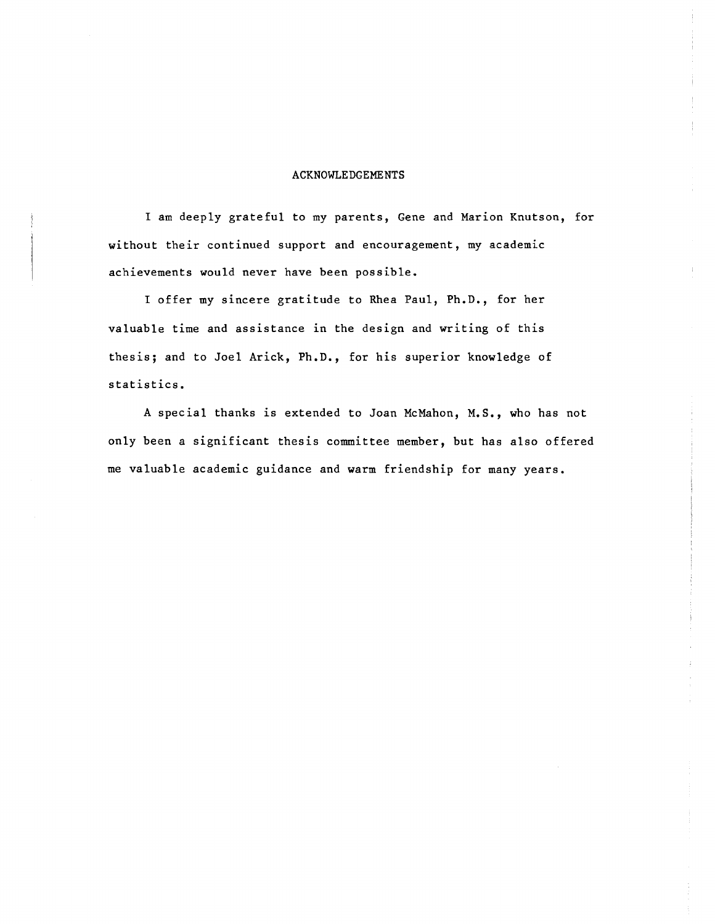#### ACKNOWLEDGEMENTS

I am deeply grateful to my parents, Gene and Marion Knutson, for without their continued support and encouragement, my academic achievements would never have been possible.

I offer my sincere gratitude to Rhea Paul, Ph.D., for her valuable time and assistance in the design and writing of this thesis; and to Joel Arick, Ph.D., for his superior knowledge of statistics.

A special thanks is extended to Joan McMahon, M.S., who has not only been a significant thesis committee member, but has also offered me valuable academic guidance and warm friendship for many years.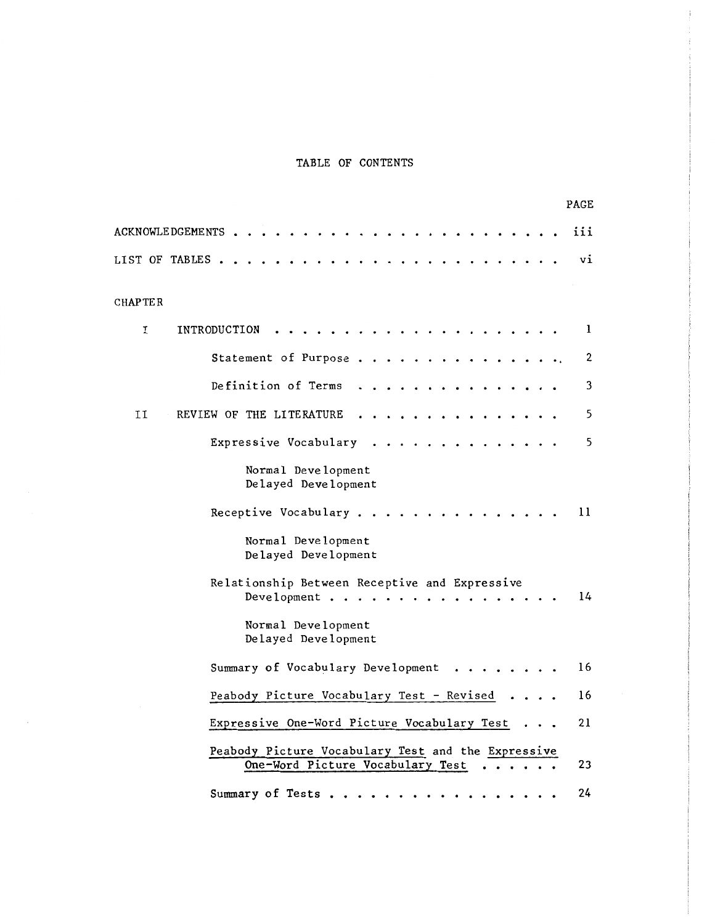# TABLE OF CONTENTS

| PAGE                                                                                         |
|----------------------------------------------------------------------------------------------|
| iii<br><b>ACKNOWLE DGEMENTS</b>                                                              |
| vi<br><b>LIST OF TABLES</b>                                                                  |
| CHAP TE R                                                                                    |
| I<br>INTRODUCTION<br>1                                                                       |
| $\mathbf 2$<br>Statement of Purpose.                                                         |
| Definition of Terms<br>3                                                                     |
| 5<br>IJ<br>REVIEW OF THE LITERATURE                                                          |
| 5<br>Expressive Vocabulary                                                                   |
| Normal Development<br>Delayed Development                                                    |
| 11<br>Receptive Vocabulary.                                                                  |
| Normal Development<br>Delayed Development                                                    |
| Relationship Between Receptive and Expressive<br>14<br>Development .                         |
| Normal Development<br>Delayed Development                                                    |
| 16<br>Summary of Vocabulary Development                                                      |
| Peabody Picture Vocabulary Test - Revised<br>16                                              |
| 21<br>Expressive One-Word Picture Vocabulary Test                                            |
| Peabody Picture Vocabulary Test and the Expressive<br>One-Word Picture Vocabulary Test<br>23 |
| 24<br>Summary of Tests                                                                       |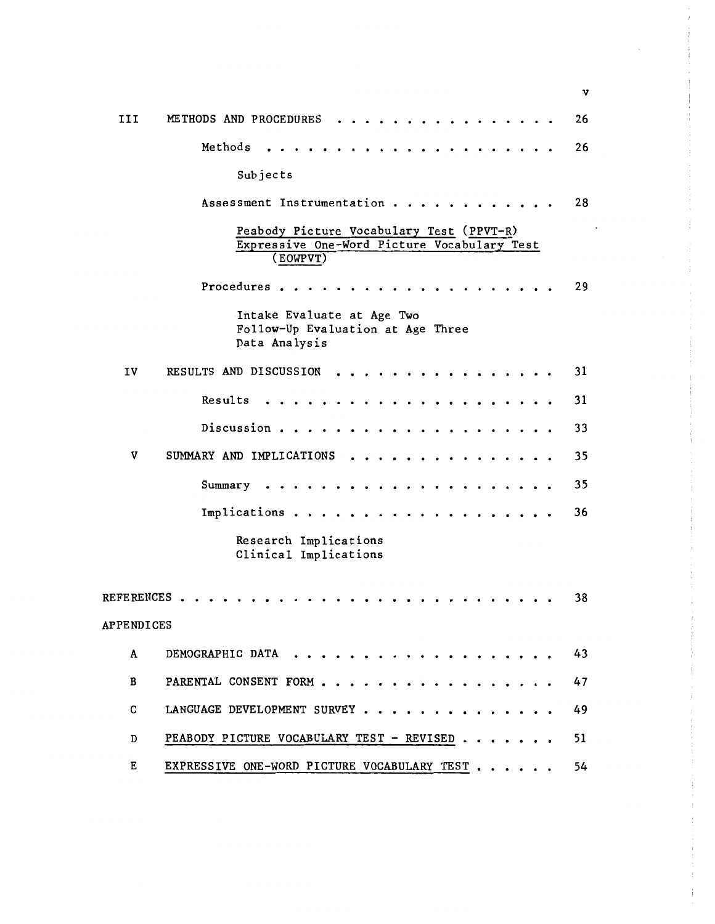METHODS AND PROCEDURES . . . . . . . . . . . . . . . III 26 Methods 26 Subjects Assessment Instrumentation . . . . . . . . . . . . 28 Peabody Picture Vocabulary Test (PPVT-R) Expressive One-Word Picture Vocabulary Test (EOWPVT) 29 Procedures • • • • • Intake Evaluate at Age Two Follow-Up Evaluation at Age Three Data Analysis IV RESULTS AND DISCUSSION . . . . . . . . . . . . . . . . 31 Results 31 Discussion . . . . . . . . . . . . . . . . 33  $\cdot$   $\cdot$   $\cdot$   $\cdot$ v SUMMARY AND IMPLICATIONS . . . . . . . . . . . . . . 35 Summary 35 Implications 36 Research Implications Clinical Implications REFERENCES 38 APPENDICES A DEMOGRAPHIC DATA . . . . . . . . . . . . . . . . . . 43 B PARENTAL CONSENT FORM . . . . . . 47 c LANGUAGE DEVELOPMENT SURVEY • 49 D PEABODY PICTURE VOCABULARY TEST - REVISED . . . . . . . 51 E EXPRESSIVE ONE-WORD PICTURE VOCABULARY TEST . . . . . 54

v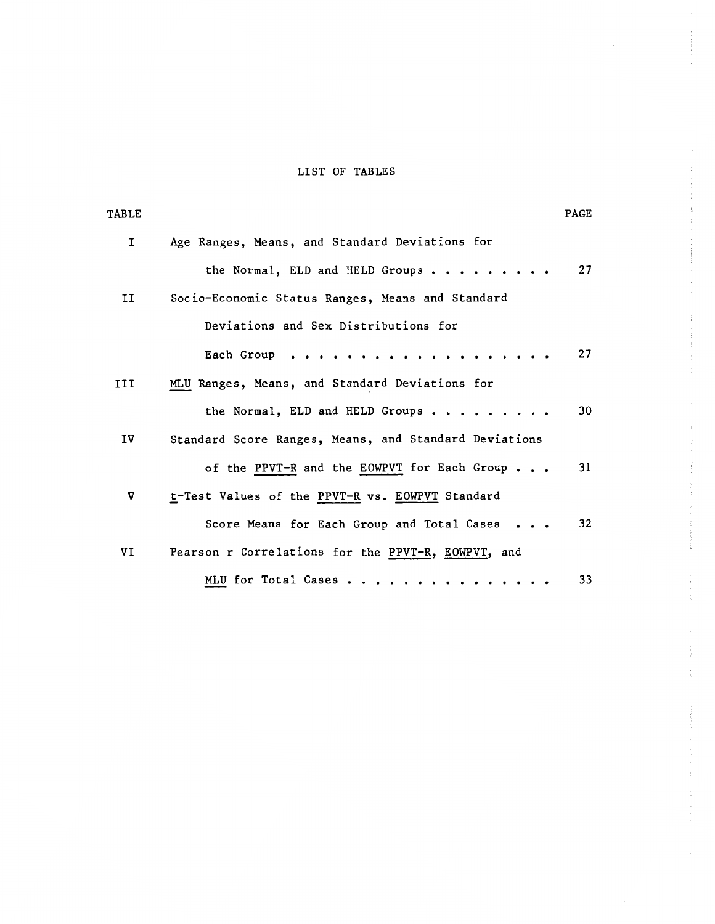# LIST OF TABLES

 $\hat{\mathcal{L}}$ 

| <b>TABLE</b> |                                                       | PAGE |
|--------------|-------------------------------------------------------|------|
| 1            | Age Ranges, Means, and Standard Deviations for        |      |
|              | the Normal, ELD and HELD Groups                       | 27   |
| II           | Socio-Economic Status Ranges, Means and Standard      |      |
|              | Deviations and Sex Distributions for                  |      |
|              | Each Group                                            | 27   |
| III          | MLU Ranges, Means, and Standard Deviations for        |      |
|              | the Normal, ELD and HELD Groups                       | 30   |
| IV           | Standard Score Ranges, Means, and Standard Deviations |      |
|              | of the PPVT-R and the EOWPVT for Each Group           | 31   |
| v            | t-Test Values of the PPVT-R vs. EOWPVT Standard       |      |
|              | Score Means for Each Group and Total Cases            | 32   |
| VI           | Pearson r Correlations for the PPVT-R, EOWPVT, and    |      |
|              | MLU for Total Cases                                   | 33   |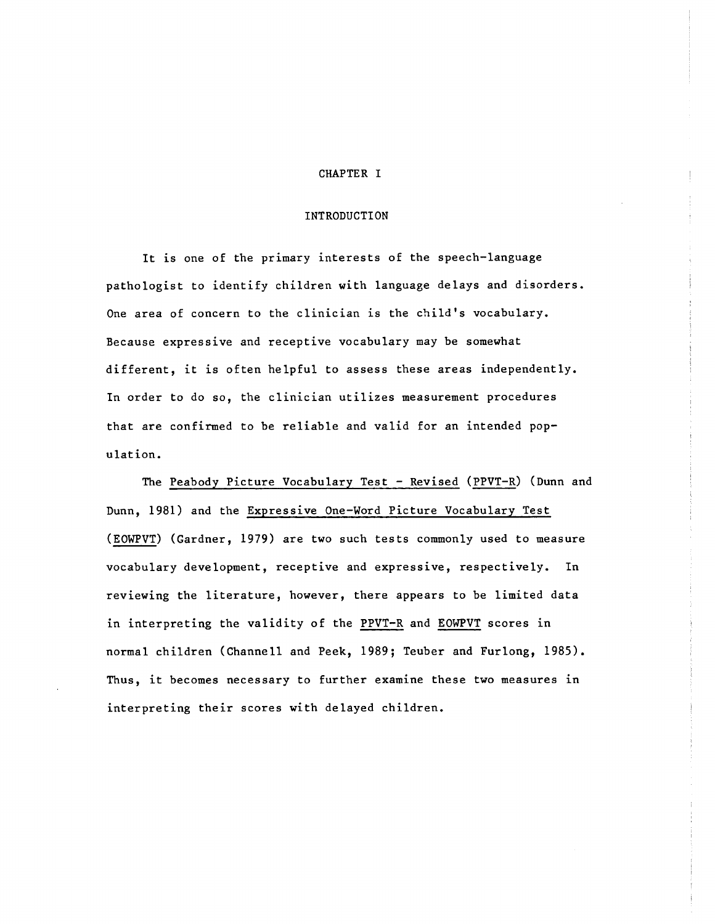#### CHAPTER I

#### INTRODUCTION

It is one of the primary interests of the speech-language pathologist to identify children with language delays and disorders. One area of concern to the clinician is the child's vocabulary. Because expressive and receptive vocabulary may be somewhat different, it is often helpful to assess these areas independently. In order to do so, the clinician utilizes measurement procedures that are confirmed to be reliable and valid for an intended population.

The Peabody Picture Vocabulary Test - Revised (PPVT-R) (Dunn and Dunn, 1981) and the Expressive One-Word Picture Vocabulary Test (EOWPVT) (Gardner, 1979) are two such tests commonly used to measure vocabulary development, receptive and expressive, respectively. In reviewing the literature, however, there appears to be limited data in interpreting the validity of the PPVT-R and EOWPVT scores in normal children (Channell and Peek, 1989; Teuber and Furlong, 1985). Thus, it becomes necessary to further examine these two measures in interpreting their scores with delayed children.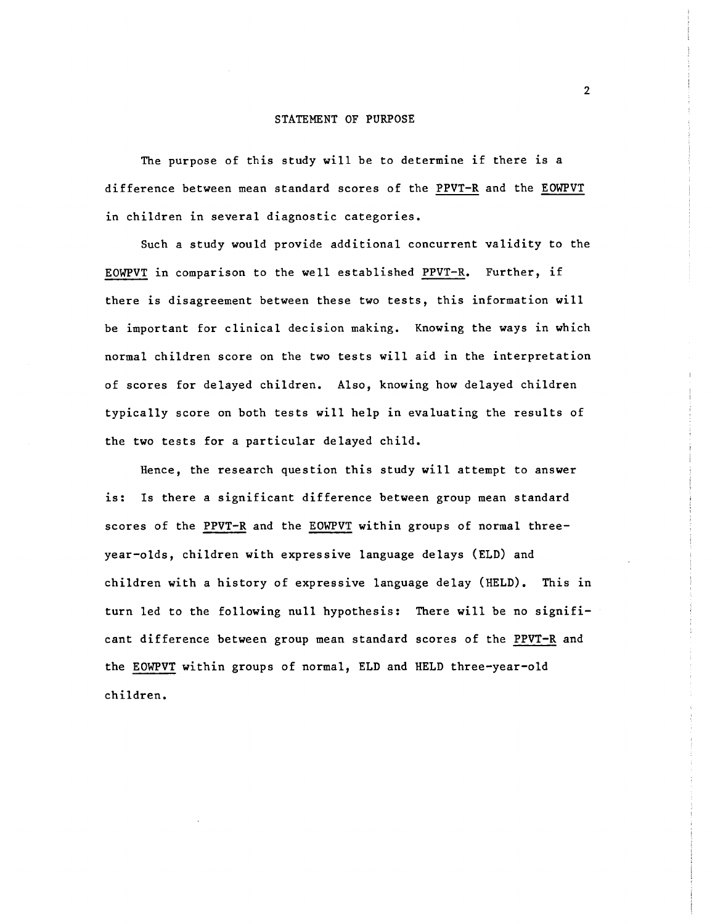The purpose of this study will be to determine if there is a difference between mean standard scores of the PPVT-R and the EOWPVT in children in several diagnostic categories.

Such a study would provide additional concurrent validity to the EOWPVT in comparison to the well established PPVT-R. Further, if there is disagreement between these two tests, this information will be important for clinical decision making. Knowing the ways in which normal children score on the two tests will aid in the interpretation of scores for delayed children. Also, knowing how delayed children typically score on both tests will help in evaluating the results of the two tests for a particular delayed child.

Hence, the research question this study will attempt to answer is: ls there a significant difference between group mean standard scores of the PPVT-R and the EOWPVT within groups of normal threeyear-olds, children with expressive language delays (ELD) and children with a history of expressive language delay (HELD). This in turn led to the following null hypothesis: There will be no significant difference between group mean standard scores of the PPVT-R and the EOWPVT within groups of normal, ELD and HELD three-year-old children.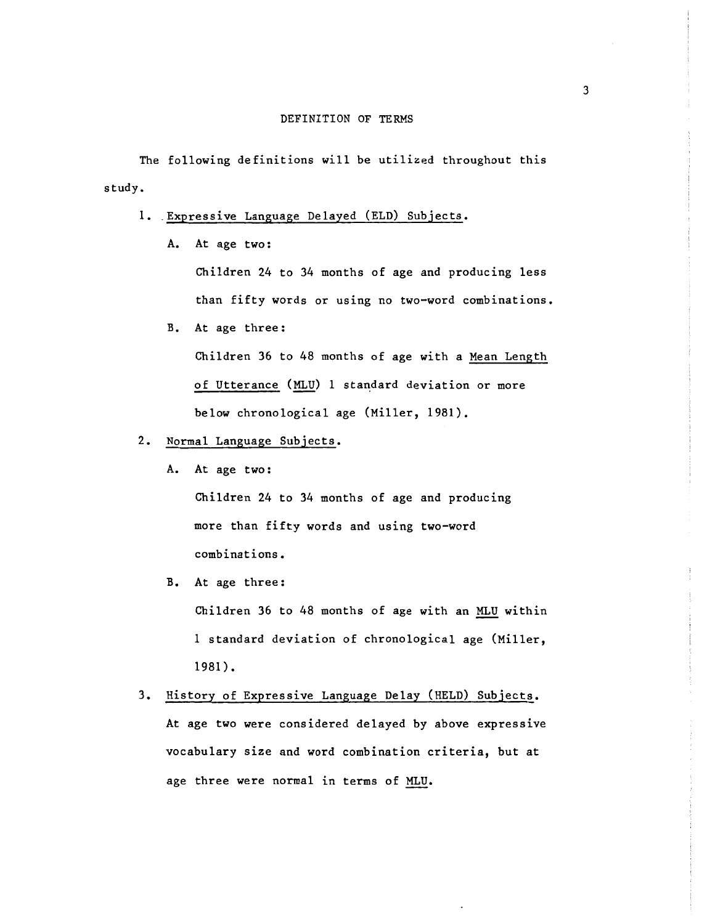The following definitions will be utilized throughout this study.

- 1. Expressive Language Delayed (ELD) Subjects.
	- A. At age two:

Children 24 to 34 months of age and producing less than fifty words or using no two-word combinations.

B. At age three:

Children 36 to 48 months of age with a Mean Length of Utterance (MLU) 1 standard deviation or more below chronological age (Miller, 1981).

- 2. Normal Language Subjects.
	- A. At age two:

Children 24 to 34 months of age and producing more than fifty words and using two-word combinations.

B. At age three:

Children 36 to 48 months of age with an MLU within 1 standard deviation of chronological age (Miller, 1981).

3. History of Expressive Language Delay (HELD) Subjects. At age two were considered delayed by above expressive vocabulary size and word combination criteria, but at age three were normal in terms of MLU.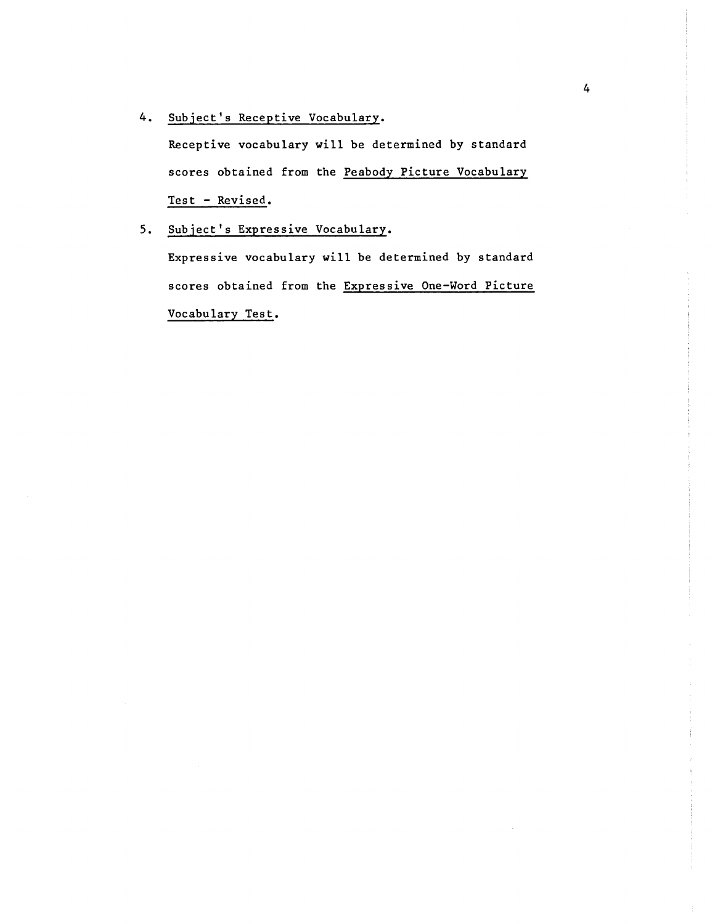4. Subject's Receptive Vocabulary.

Receptive vocabulary will be determined by standard scores obtained from the Peabody Picture Vocabulary Test - Revised.

S. Subject's Expressive Vocabulary.

Expressive vocabulary will be determined by standard scores obtained from the Expressive One-Word Picture Vocabulary Test.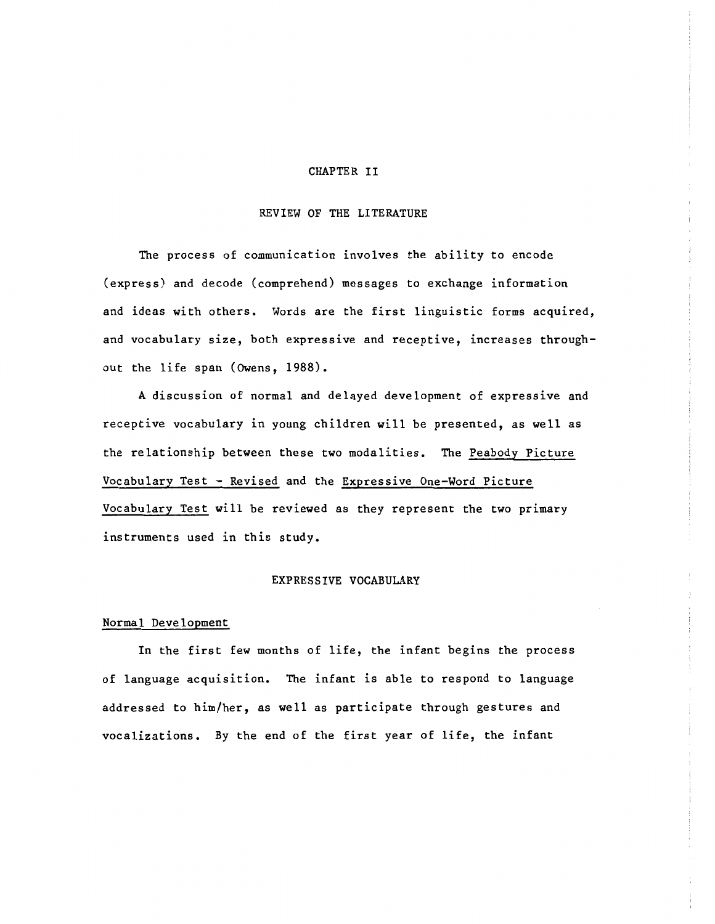#### CHAPTER II

#### REVIEW OF THE LITERATURE

The process of communication involves the ability to encode (express) and decode (comprehend) messages to exchange information and ideas with others. Words are the first linguistic forms acquired, and vocabulary size, both expressive and receptive, increases throughout the life span (Owens, 1988).

A discussion of normal and delayed development of expressive and receptive vocabulary in young children will be presented, as well as the relationship between these two modalities. The Peabody Picture Vocabulary Test - Revised and the Expressive One-Word Picture Vocabulary Test will be reviewed as they represent the two primary instruments used in this study.

#### EXPRESSIVE VOCABULARY

#### Normal Development

In the first few months of life, the infant begins the process of language acquisition. The infant is able to respond to language addressed to him/her, as well as participate through gestures and vocalizations. By the end of the first year of life, the infant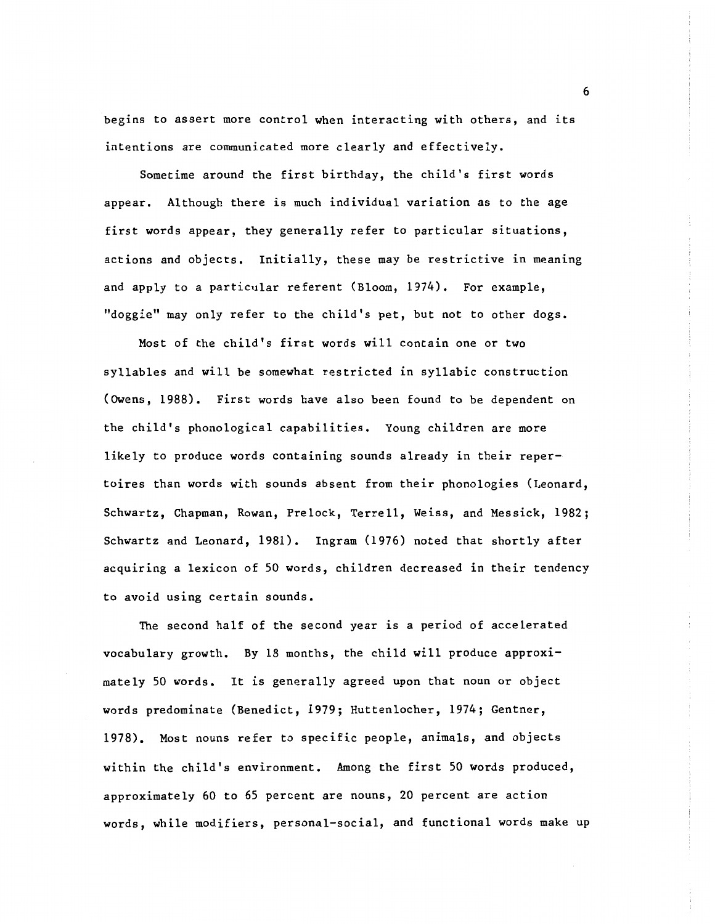begins to assert more control when interacting with others, and its intentions are communicated more clearly and effectively.

Sometime around the first birthday, the child's first words appear. Although there is much individual variation as to the age first words appear, they generally refer to particular situations, actions and objects. Initially, these may be restrictive in meaning and apply to a particular referent (Bloom, 1974). For example, "doggie" may only refer to the child's pet, but not to other dogs.

Most of the child's first words will contain one or two syllables and will be somewhat restricted in syllabic construction (Owens, 1988). First words have also been found to be dependent on the child's phonological capabilities. Young children are more likely to produce words containing sounds already in their repertoires than words with sounds absent from their phonologies (Leonard, Schwartz, Chapman, Rowan, Prelock, Terrell, Weiss, and Messick, 1982; Schwartz and Leonard, 1981). Ingram (1976) noted that shortly after acquiring a lexicon of SO words, children decreased in their tendency to avoid using certain sounds.

The second half of the second year is a period of accelerated vocabulary growth. By 18 months, the child will produce approximately SO words. It is generally agreed upon that noun or object words predominate (Benedict, 1979; Huttenlocher, 1974; Gentner, 1978). Most nouns refer to specific people, animals, and objects within the child's environment. Among the first SO words produced, approximately 60 to 6S percent are nouns, 20 percent are action words, while modifiers, personal-social, and functional words make up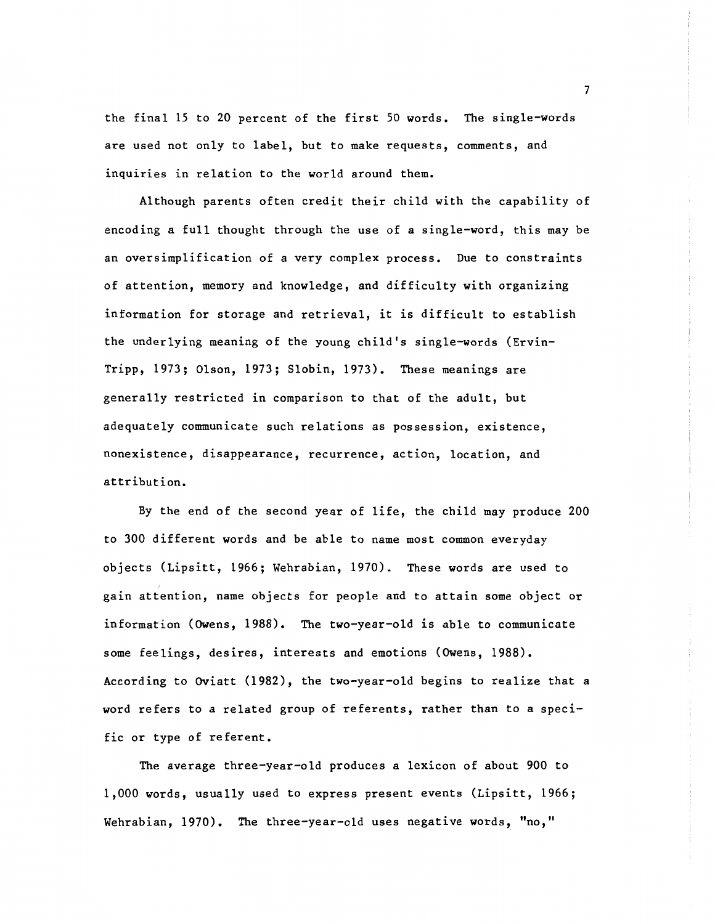the final 15 to 20 percent of the first 50 words. The single-words are used not only to label, but to make requests, comments, and inquiries in relation to the world around them.

Although parents often credit their child with the capability of encoding a full thought through the use of a single-word, this may be an oversimplification of a very complex process. Due to constraints of attention, memory and knowledge, and difficulty with organizing information for storage and retrieval, it is difficult to establish the underlying meaning of the young child's single-words (Ervin-Tripp, 1973; Olson, 1973; Slobin, 1973). These meanings are generally restricted in comparison to that of the adult, but adequately communicate such relations as possession, existence, nonexistence, disappearance, recurrence, action, location, and attribution.

By the end of the second year of life, the child may produce 200 to 300 different words and be able to name most common everyday objects (Lipsitt, 1966; Wehrabian, 1970). These words are used to gain attention, name objects for people and to attain some object or information (Owens, 1988). The two-year-old is able to communicate some feelings, desires, interests and emotions (Owens, 1988). According to Oviatt (1982), the two-year-old begins to realize that a word refers to a related group of referents, rather than to a specific or type of referent.

The average three-year-old produces a lexicon of about 900 to 1,000 words, usually used to express present events (Lipsitt, 1966; Wehrabian, 1970). The three-year-old uses negative words, "no,"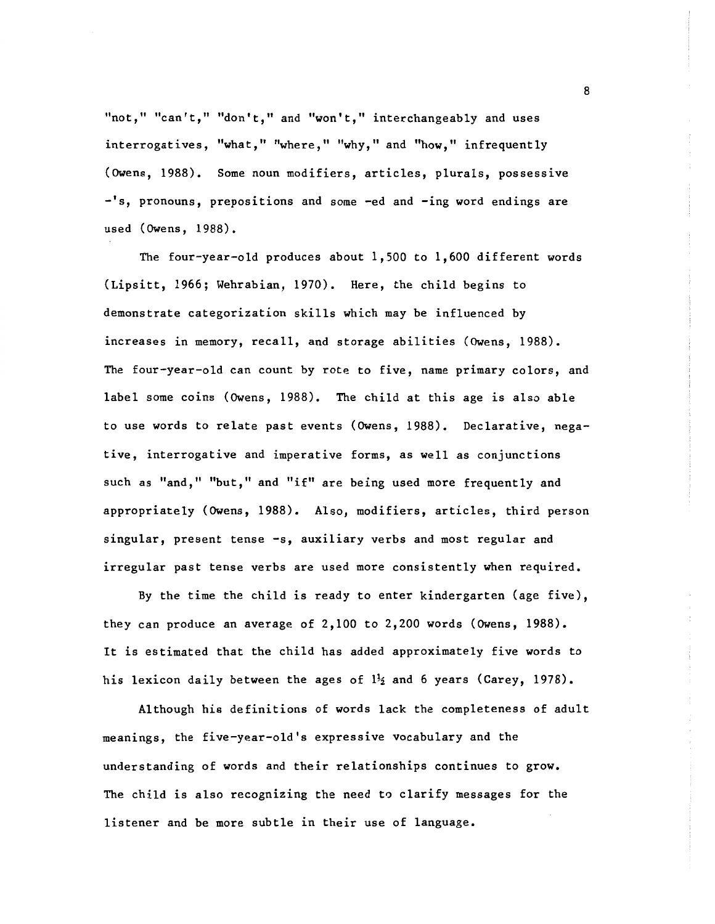"not," "can't," "don't," and "won't," interchangeably and uses interrogatives, "what," "where," "why," and "how," infrequently (Owens, 1988). Some noun modifiers, articles, plurals, possessive -'s, pronouns, prepositions and some -ed and -ing word endings are used (Owens, 1988).

The four-year-old produces about 1,500 to 1,600 different words (Lipsitt, 1966; Wehrabian, 1970). Here, the child begins to demonstrate categorization skills which may be influenced by increases in memory, recall, and storage abilities (Owens, 1988). The four-year-old can count by rote to five, name primary colors, and label some coins (Owens, 1988). The child at this age is also able to use words to relate past events (Owens, 1988). Declarative, negative, interrogative and imperative forms, as well as conjunctions such as "and," "but," and "if" are being used more frequently and appropriately (Owens, 1988). Also, modifiers, articles, third person singular, present tense -s, auxiliary verbs and most regular and irregular past tense verbs are used more consistently when required.

By the time the child is ready to enter kindergarten (age five), they can produce an average of 2,100 to 2,200 words (Owens, 1988). It is estimated that the child has added approximately five words to his lexicon daily between the ages of  $1\frac{1}{2}$  and 6 years (Carey, 1978).

Although his definitions of words lack the completeness of adult meanings, the five-year-old's expressive vocabulary and the understanding of words and their relationships continues to grow. The child is also recognizing the need to clarify messages for the listener and be more subtle in their use of language.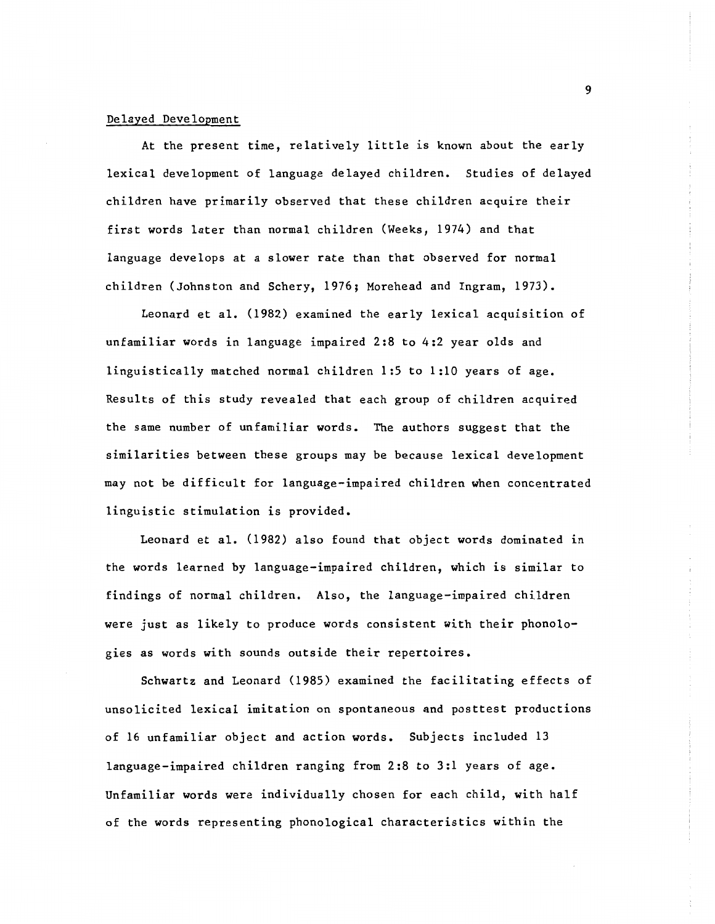#### Delayed Development

At the present time, relatively little is known about the early lexical development of language delayed children. Studies of delayed children have primarily observed that these children acquire their first words later than normal children (Weeks, 1974) and that language develops at a slower rate than that observed for normal children (Johnston and Schery, 1976; Morehead and Ingram, 1973).

Leonard et al. (1982) examined the early lexical acquisition of unfamiliar words in language impaired 2:8 to 4:2 year olds and linguistically matched normal children 1:5 to 1:10 years of age. Results of this study revealed that each group of children acquired the same number of unfamiliar words. The authors suggest that the similarities between these groups may be because lexical development may not be difficult for language-impaired children when concentrated linguistic stimulation is provided.

Leonard et al. (1982) also found that object words dominated in the words learned by language-impaired children, which is similar to findings of normal children. Also, the language-impaired children were just as likely to produce words consistent with their phonologies as words with sounds outside their repertoires.

Schwartz and Leonard (1985) examined the facilitating effects of unsolicited lexical imitation on spontaneous and posttest productions of 16 unfamiliar object and action words. Subjects included 13 language-impaired children ranging from 2:8 to 3:1 years of age. Unfamiliar words were individually chosen for each child, with half of the words representing phonological characteristics within the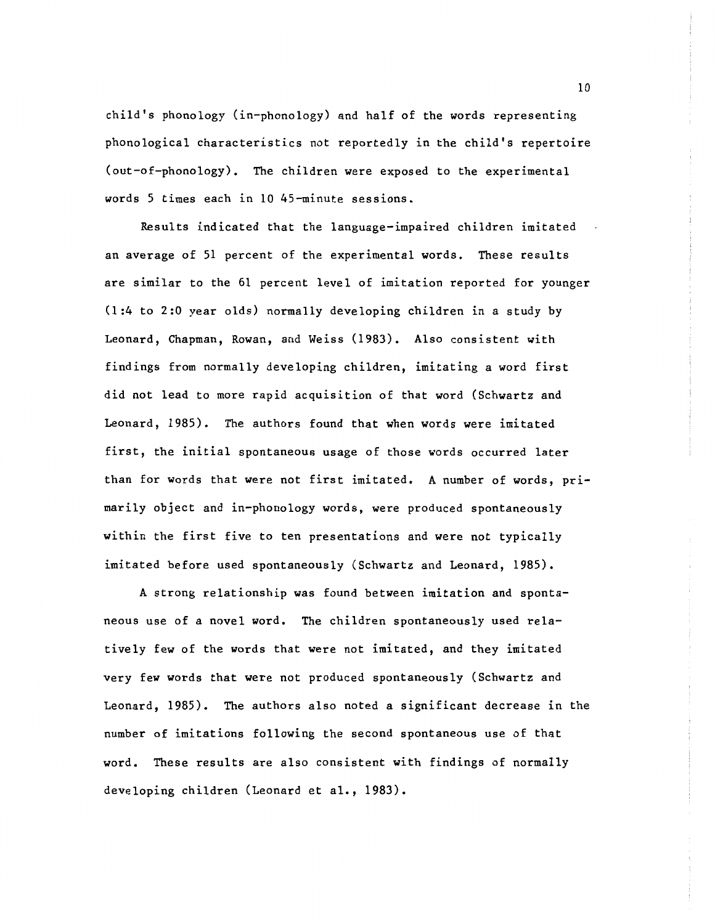child's phonology (in-phonology) and half of the words representing phonological characteristics not reportedly in the child's repertoire (out-of-phonology). The children were exposed to the experimental words 5 times each in 10 45-minute sessions.

Results indicated that the language-impaired children imitated an average of 51 percent of the experimental words. These results are similar to the 61 percent level of imitation reported for younger (1:4 to 2:0 year olds) normally developing children in a study by Leonard, Chapman, Rowan, and Weiss (1983). Also consistent with findings from normally developing children, imitating a word first did not lead to more rapid acquisition of that word (Schwartz and Leonard, 1985). The authors found that when words were imitated first, the initial spontaneous usage of those words occurred later than for words that were not first imitated. A number of words, primarily object and in-phonology words, were produced spontaneously within the first five to ten presentations and were not typically imitated before used spontaneously (Schwartz and Leonard, 1985).

A strong relationship was found between imitation and spontaneous use of a novel word. The children spontaneously used relatively few of the words that were not imitated, and they imitated very few words that were not produced spontaneously (Schwartz and Leonard, 1985). The authors also noted a significant decrease in the number of imitations following the second spontaneous use of that word. These results are also consistent with findings of normally developing children (Leonard et al., 1983).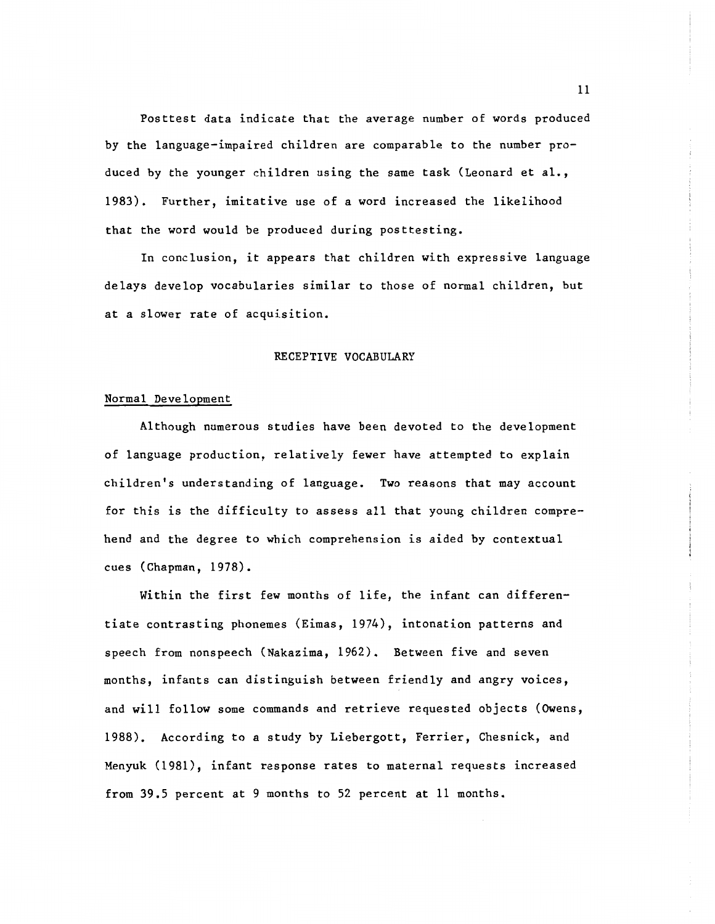Posttest data indicate that the average number of words produced by the language-impaired children are comparable to the number produced by the younger children using the same task (Leonard et al., 1983). Further, imitative use of a word increased the likelihood that the word would be produced during posttesting.

In conclusion, it appears that children with expressive language delays develop vocabularies similar to those of normal children, but at a slower rate of acquisition.

#### RECEPTIVE VOCABULARY

#### Normal Development

Although numerous studies have been devoted to the development of language production, relatively fewer have attempted to explain children's understanding of language. Two reasons that may account for this is the difficulty to assess all that young children comprehend and the degree to which comprehension is aided by contextual cues (Chapman, 1978).

Within the first few months of life, the infant can differentiate contrasting phonemes (Eimas, 1974), intonation patterns and speech from nonspeech (Nakazima, 1962). Between five and seven months, infants can distinguish between friendly and angry voices, and will follow some commands and retrieve requested objects (Owens, 1988). According to a study by Liebergott, Ferrier, Chesnick, and Menyuk (1981), infant response rates to maternal requests increased from 39.S percent at 9 months to 52 percent at 11 months.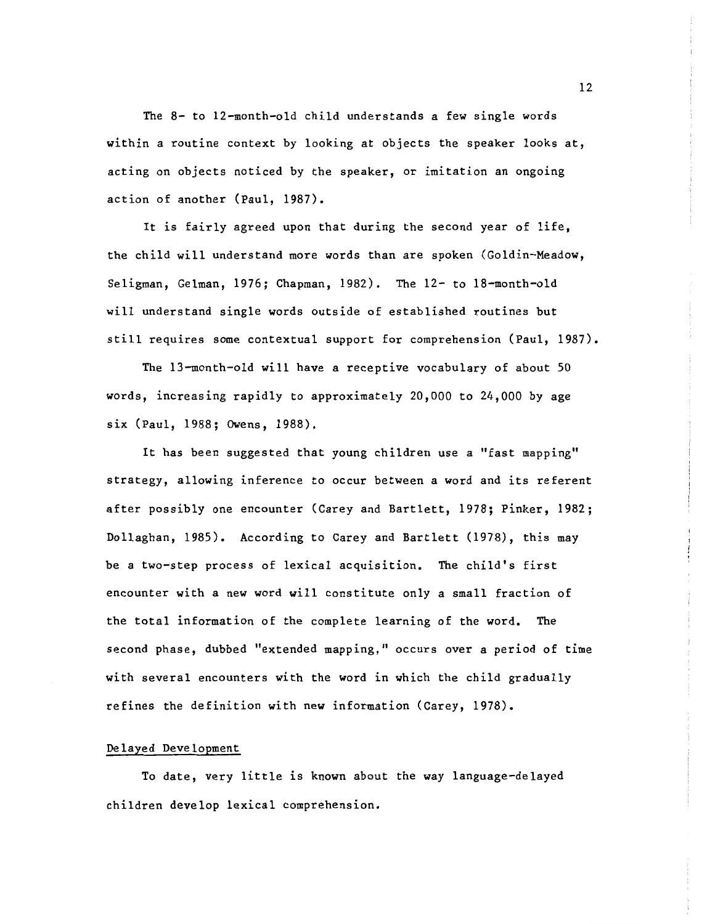The 8- to 12-month-old child understands a few single words within a routine context by looking at objects the speaker looks at, acting on objects noticed by the speaker, or imitation an ongoing action of another (Paul, 1987).

It is fairly agreed upon that during the second year of life, the child will understand more words than are spoken (Goldin-Meadow, Seligman, Gelman, 1976; Chapman, 1982). The 12- to 18-month-old will understand single words outside of established routines but still requires some contextual support for comprehension (Paul, 1987).

The 13-month-old will have a receptive vocabulary of about 50 words, increasing rapidly to approximately 20,000 to 24,000 by age six (Paul, 1988; Owens, 1988).

It has been suggested that young children use a "fast mapping" strategy, allowing inference to occur between a word and its referent after possibly one encounter (Carey and Bartlett, 1978; Pinker, 1982; Dollaghan, 1985). According to Carey and Bartlett (1978), this may be a two-step process of lexical acquisition. The child's first encounter with a new word will constitute only a small fraction of the total information of the complete learning of the word. The second phase, dubbed "extended mapping," occurs over a period of time with several encounters with the word in which the child gradually refines the definition with new information (Carey, 1978).

#### Delayed Development

To date, very little is known about the way language-delayed children develop lexical comprehension.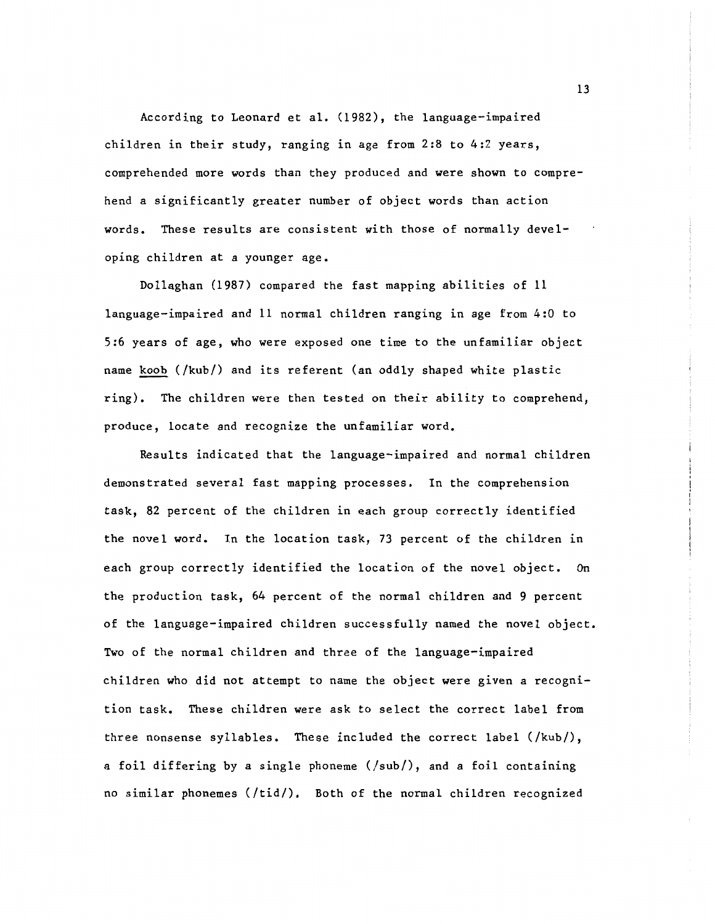According to Leonard et al. (1982), the language-impaired children in their study, ranging in age from 2:8 to 4:2 years, comprehended more words than they produced and were shown to comprehend a significantly greater number of object words than action words. These results are consistent with those of normally developing children at a younger age.

Dollaghan (1987) compared the fast mapping abilities of 11 language-impaired and 11 normal children ranging in age from 4:0 to 5:6 years of age, who were exposed one time to the unfamiliar object name koob (/kub/) and its referent (an oddly shaped white plastic ring). The children were then tested on their ability to comprehend, produce, locate and recognize the unfamiliar word.

Results indicated that the language-impaired and normal children demonstrated several fast mapping processes. In the comprehension task, 82 percent of the children in each group correctly identified the novel word. In the location task, 73 percent of the children in each group correctly identified the location of the novel object. On the production task, 64 percent of the normal children and 9 percent of the language-impaired children successfully named the novel object. Two of the normal children and three of the language-impaired children who did not attempt to name the object were given a recognition task. These children were ask to select the correct label from three nonsense syllables. These included the correct label (/kub/), a foil differing by a single phoneme (/sub/), and a foil containing no similar phonemes (/tid/). Both of the normal children recognized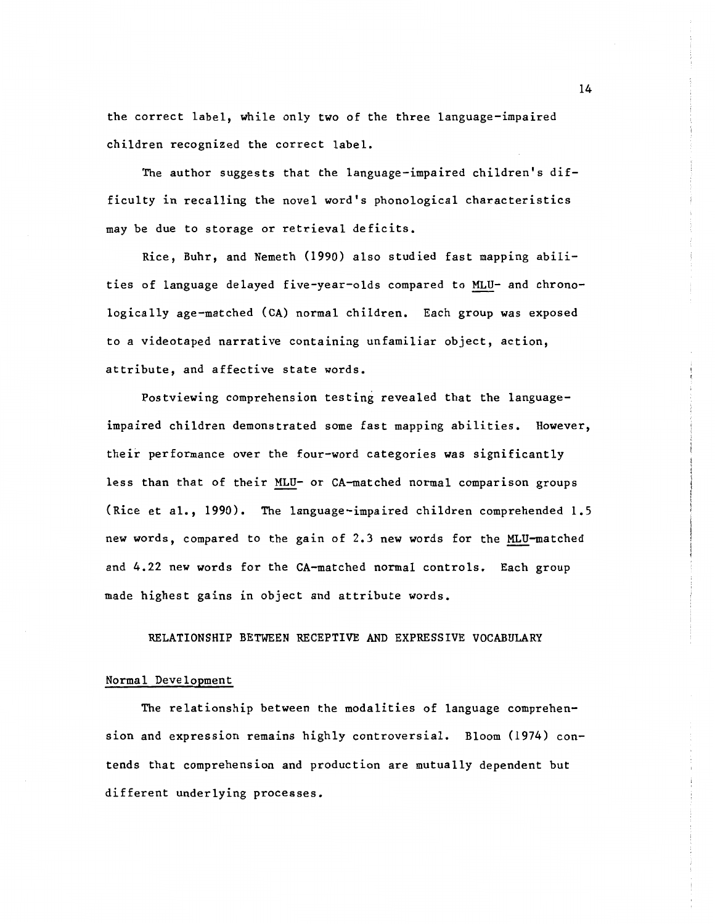the correct label, while only two of the three language-impaired children recognized the correct label.

The author suggests that the language-impaired children's difficulty in recalling the novel word's phonological characteristics may be due to storage or retrieval deficits.

Rice, Buhr, and Nemeth (1990) also studied fast mapping abilities of language delayed five-year-olds compared to MLU- and chronologically age-matched (CA) normal children. Each group was exposed to a videotaped narrative containing unfamiliar object, action, attribute, and affective state words.

Postviewing comprehension testing revealed that the languageimpaired children demonstrated some fast mapping abilities. However, their performance over the four-word categories was significantly less than that of their MLU- or CA-matched normal comparison groups (Rice et al., 1990). The language-impaired children comprehended 1.5 new words, compared to the gain of 2.3 new words for the MLU-matched and 4.22 new words for the CA-matched normal controls. Each group made highest gains in object and attribute words.

RELATIONSHIP BETWEEN RECEPTIVE AND EXPRESSIVE VOCABULARY

#### Normal Development

The relationship between the modalities of language comprehension and expression remains highly controversial. Bloom (1974) contends that comprehension and production are mutually dependent but different underlying processes.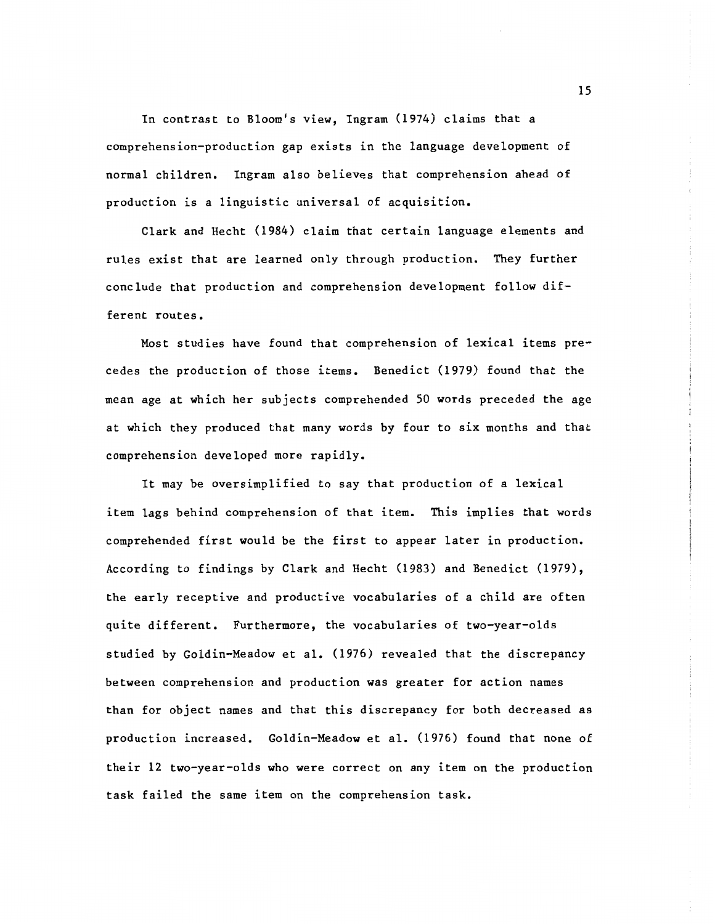In contrast to Bloom's view, Ingram (1974) claims that a comprehension-production gap exists in the language development of normal children. Ingram also believes that comprehension ahead of production is a linguistic universal of acquisition.

Clark and Hecht (1984) claim that certain language elements and rules exist that are learned only through production. They further conclude that production and comprehension development follow different routes.

Most studies have found that comprehension of lexical items precedes the production of those items. Benedict (1979) found that the mean age at which her subjects comprehended SO words preceded the age at which they produced that many words by four to six months and that comprehension developed more rapidly.

It may be oversimplified to say that production of a lexical item lags behind comprehension of that item. This implies that words comprehended first would be the first to appear later in production. According to findings by Clark and Hecht (1983) and Benedict (1979), the early receptive and productive vocabularies of a child are often quite different. Furthermore, the vocabularies of two-year-olds studied by Goldin-Meadow et al. (1976) revealed that the discrepancy between comprehension and production was greater for action names than for object names and that this discrepancy for both decreased as production increased. Goldin-Meadow et al. (1976) found that none of their 12 two-year-olds who were correct on any item on the production task failed the same item on the comprehension task.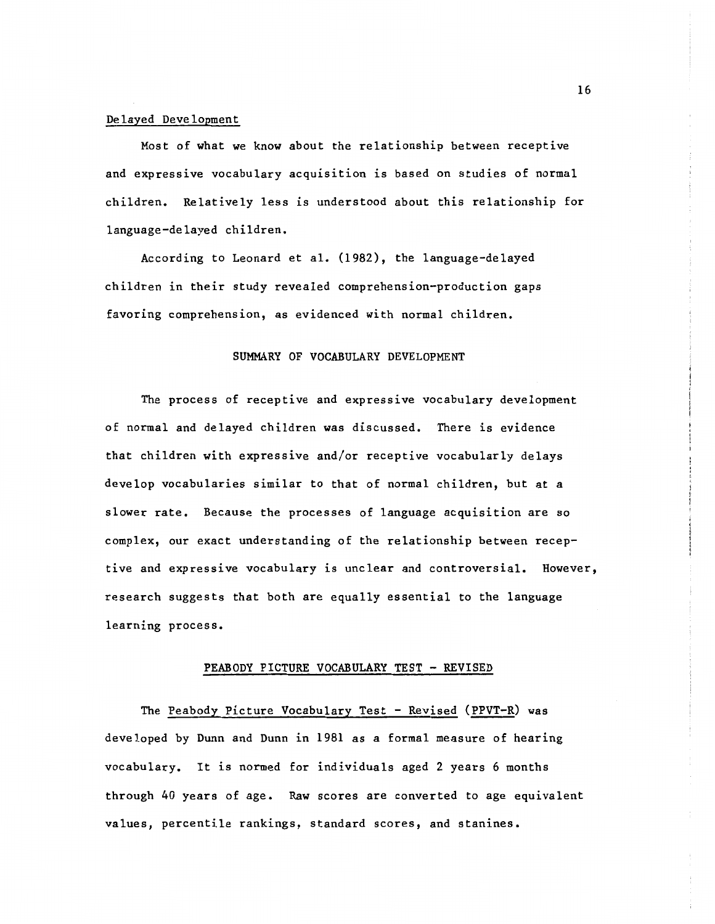#### Delayed Development

Most of what we know about the relationship between receptive and expressive vocabulary acquisition is based on studies of normal children. Relatively less is understood about this relationship for language-delayed children.

According to Leonard et al. (1982), the language-delayed children in their study revealed comprehension-production gaps favoring comprehension, as evidenced with normal children.

#### SUMMARY OF VOCABULARY DEVELOPMENT

The process of receptive and expressive vocabulary development of normal and delayed children was discussed. There is evidence that children with expressive and/or receptive vocabularly delays develop vocabularies similar to that of normal children, but at a slower rate. Because the processes of language acquisition are so complex, our exact understanding of the relationship between receptive and expressive vocabulary is unclear and controversial. However, research suggests that both are equally essential to the language learning process.

#### PEABODY PICTURE VOCABULARY TEST - REVISED

The Peabody Picture Vocabulary Test - Revised (PPVT-R) was developed by Dunn and Dunn in 1981 as a formal measure of hearing vocabulary. It is normed for individuals aged 2 years 6 months through 40 years of age. Raw scores are converted to age equivalent values, percentile rankings, standard scores, and stanines.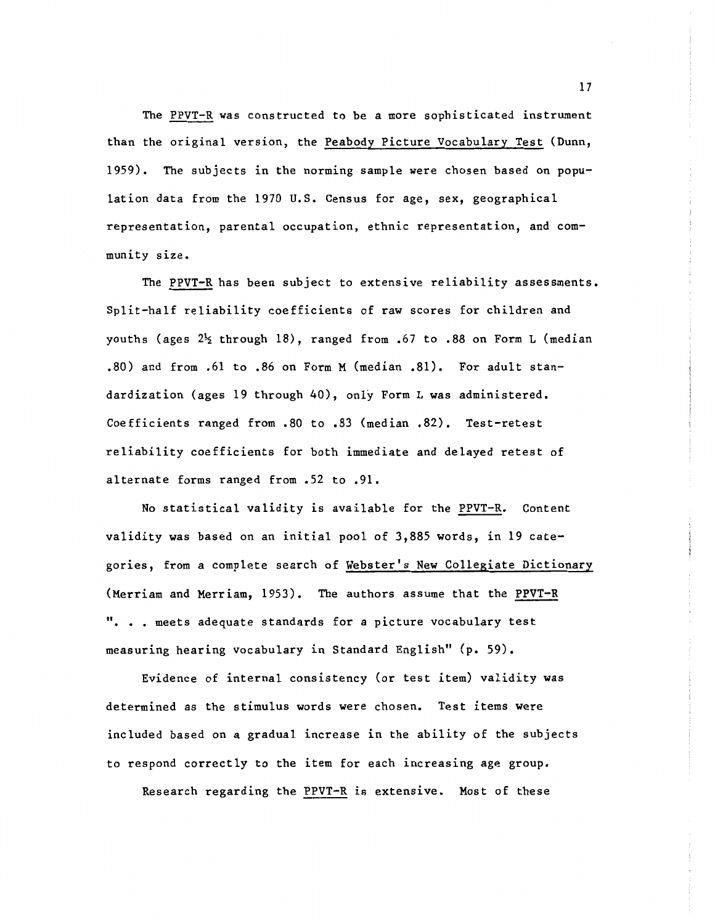The PPVT-R was constructed to be a more sophisticated instrument than the original version, the Peabody Picture Vocabulary Test (Dunn, 1959). The subjects in the norming sample were chosen based on population data from the 1970 U.S. Census for age, sex, geographical representation, parental occupation, ethnic representation, and community size.

The PPVT-R has been subject to extensive reliability assessments. Split-half reliability coefficients of raw scores for children and youths (ages  $2\frac{1}{2}$  through 18), ranged from .67 to .88 on Form L (median .80) and from .61 to .86 on Form M (median .81). For adult standardization (ages 19 through 40), only Form L was administered. Coefficients ranged from .80 to .83 (median .82). Test-retest reliability coefficients for both immediate and delayed retest of alternate forms ranged from .52 to .91.

No statistical validity is available for the PPVT-R. Content validity was based on an initial pool of 3,885 words, in 19 categories, from a complete search of Webster's New Collegiate Dictionary (Merriam and Merriam, 1953). The authors assume that the PPVT-R ". . . meets adequate standards for a picture vocabulary test measuring hearing vocabulary in Standard English" (p. 59).

Evidence of internal consistency (or test item) validity was determined as the stimulus words were chosen. Test items were included based on a gradual increase in the ability of the subjects to respond correctly to the item for each increasing age group.

Research regarding the PPVT-R is extensive. Most of these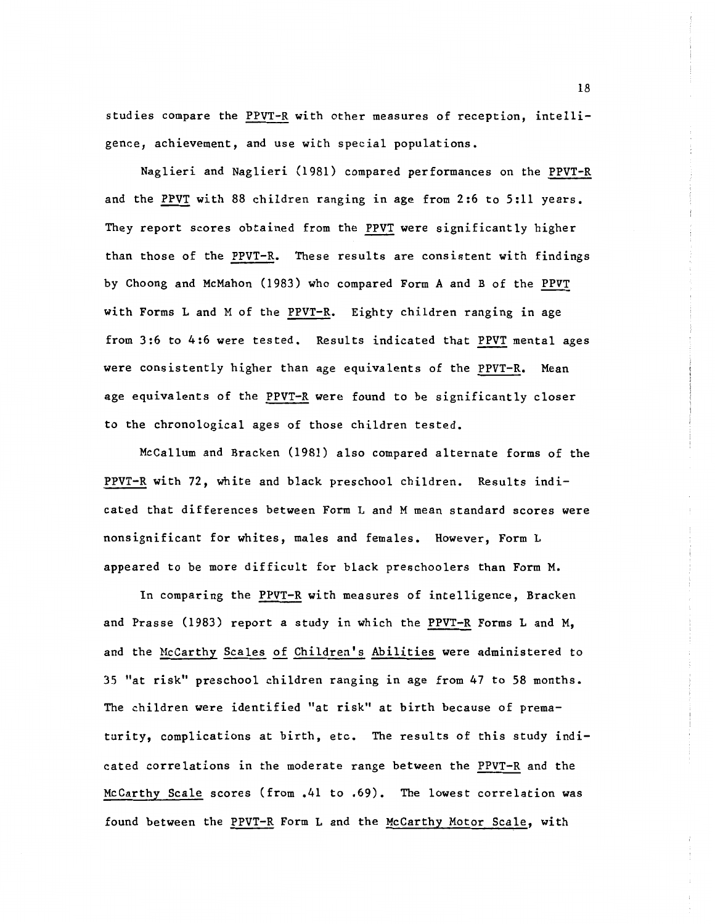studies compare the PPVT-R with other measures of reception, intelligence, achievement, and use with special populations.

Naglieri and Naglieri (1981) compared performances on the PPVT-R and the PPVT with 88 children ranging in age from 2:6 to 5:11 years. They report scores obtained from the PPVT were significantly higher than those of the PPVT-R. These results are consistent with findings by Choong and McMahon (1983) who compared Form A and B of the PPVT with Forms L and M of the PPVT-R. Eighty children ranging in age from 3:6 to 4:6 were tested. Results indicated that PPVT mental ages were consistently higher than age equivalents of the PPVT-R. Mean age equivalents of the PPVT-R were found to be significantly closer to the chronological ages of those children tested.

Mccallum and Bracken (1981) also compared alternate forms of the PPVT-R with 72, white and black preschool children. Results indicated that differences between Form L and M mean standard scores were nonsignificant for whites, males and females. However, Form L appeared to be more difficult for black preschoolers than Form M.

In comparing the PPVT-R with measures of intelligence, Bracken and Prasse (1983) report a study in which the PPVT-R Forms L and M, and the McCarthy Scales of Children's Abilities were administered to 35 "at risk" preschool children ranging in age from 47 to 58 months. The children were identified "at risk" at birth because of prematurity, complications at birth, etc. The results of this study indicated correlations in the moderate range between the PPVT-R and the McCarthy Scale scores (from .41 to .69). The lowest correlation was found between the PPVT-R Form L and the McCarthy Motor Scale, with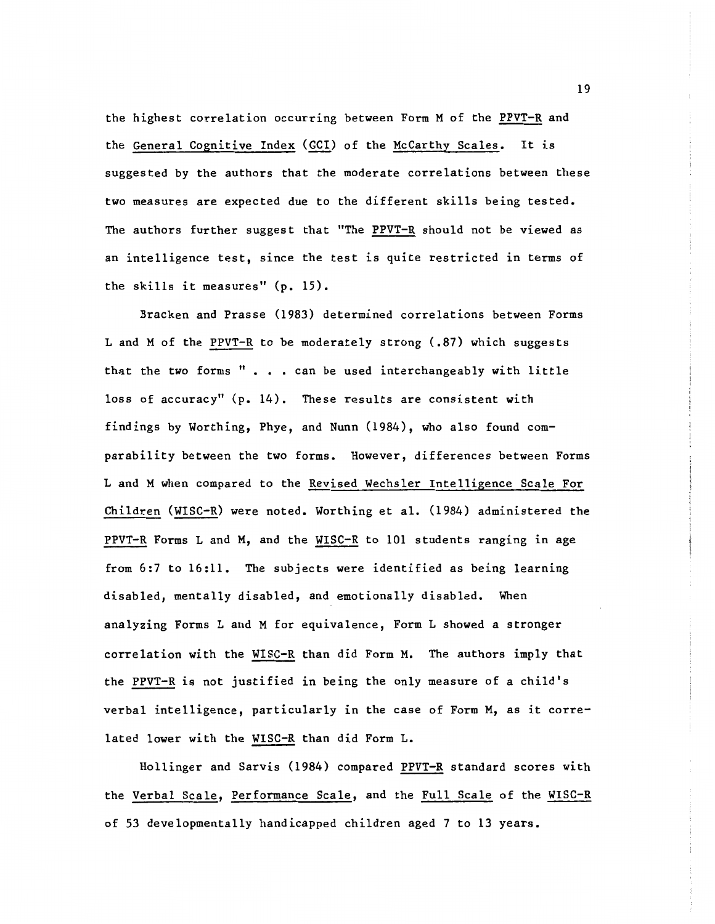the highest correlation occurring between Form M of the PPVT-R and the General Cognitive Index (GCI) of the McCarthy Scales. It is suggested by the authors that the moderate correlations between these two measures are expected due to the different skills being tested. The authors further suggest that "The PPVT-R should not be viewed as an intelligence test, since the test is quite restricted in terms of the skills it measures" (p. 15).

Bracken and Prasse (1983) determined correlations between Forms L and M of the PPVT-R to be moderately strong (.87) which suggests that the two forms  $" \cdot \cdot \cdot$  can be used interchangeably with little loss of accuracy" (p. 14). These results are consistent with findings by Worthing, Phye, and Nunn (1984), who also found comparability between the two forms. However, differences between Forms L and M when compared to the Revised Wechsler Intelligence Scale For Children (WISC-R) were noted. Worthing et al. (1984) administered the PPVT-R Forms L and M, and the WISC-R to 101 students ranging in age from 6:7 to 16:11. The subjects were identified as being learning disabled, mentally disabled, and emotionally disabled. When analyzing Forms L and M for equivalence, Form L showed a stronger correlation with the WISC-R than did Form M. The authors imply that the PPVT-R is not justified in being the only measure of a child's verbal intelligence, particularly in the case of Form M, as it correlated lower with the WISC-R than did Form L.

Hollinger and Sarvis (1984) compared PPVT-R standard scores with the Verbal Scale, Performance Scale, and the Full Scale of the WISC-R of 53 developmentally handicapped children aged 7 to 13 years.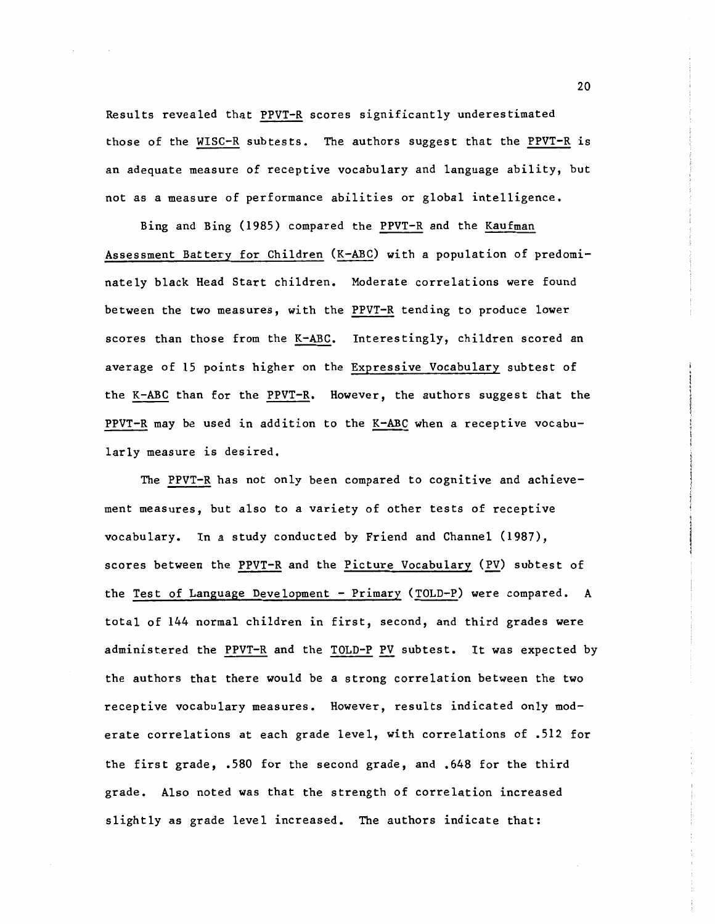Results revealed that PPVT-R scores significantly underestimated those of the WISC-R subtests. The authors suggest that the PPVT-R is an adequate measure of receptive vocabulary and language ability, but not as a measure of performance abilities or global intelligence.

Bing and Bing (1985) compared the PPVT-R and the Kaufman Assessment Battery for Children (K-ABC) with a population of predominately black Head Start children. Moderate correlations were found between the two measures, with the PPVT-R tending to produce lower scores than those from the K-ABC. Interestingly, children scored an average of 15 points higher on the Expressive Vocabulary subtest of the K-ABC than for the PPVT-R. However, the authors suggest that the PPVT-R may be used in addition to the K-ABC when a receptive vocabularly measure is desired.

The PPVT-R has not only been compared to cognitive and achievement measures, but also to a variety of other tests of receptive vocabulary. In a study conducted by Friend and Channel (1987), scores between the PPVT-R and the Picture Vocabulary (PV) subtest of the Test of Language Development - Primary (TOLD-P) were compared. A total of 144 normal children in first, second, and third grades were administered the PPVT-R and the TOLD-P PV subtest. It was expected by the authors that there would be a strong correlation between the two receptive vocabulary measures. However, results indicated only moderate correlations at each grade level, with correlations of .512 for the first grade, .580 for the second grade, and .648 for the third grade. Also noted was that the strength of correlation increased slightly as grade level increased. The authors indicate that: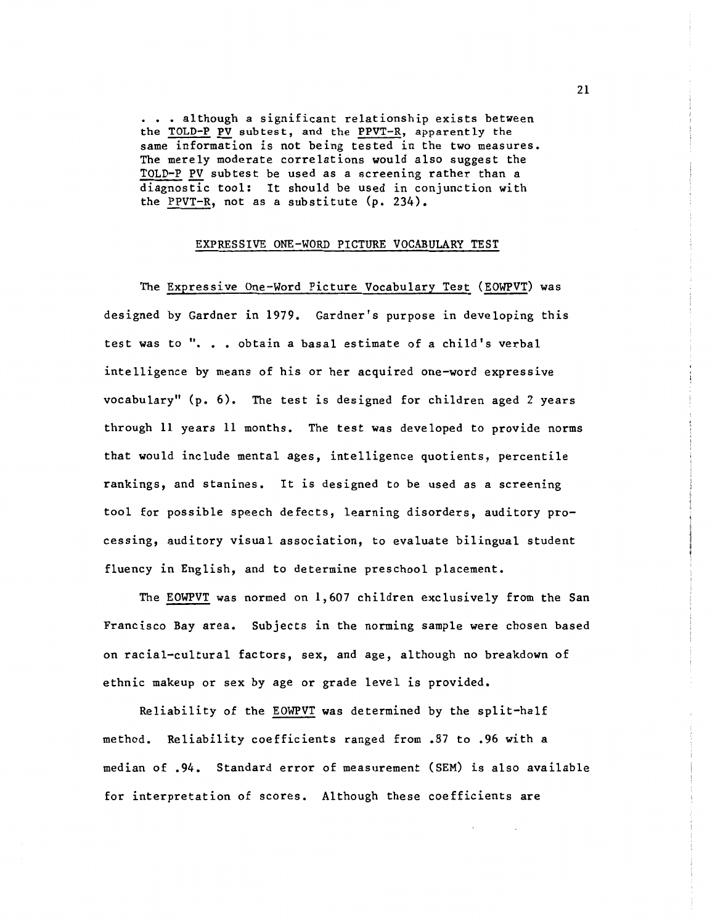• • • although a significant relationship exists between the TOLD-P PV subtest, and the PPVT-R, apparently the same information is not being tested in the two measures. The merely moderate correlations would also suggest the TOLD-P PV subtest be used as a screening rather than a diagnostic tool: It should be used in conjunction with the PPVT-R, not as a substitute (p. 234).

#### EXPRESSIVE ONE-WORD PICTURE VOCABULARY TEST

The Expressive One-Word Picture Vocabulary Test (EOWPVT) was designed by Gardner in 1979. Gardner's purpose in developing this test was to ". . . obtain a basal estimate of a child's verbal intelligence by means of his or her acquired one-word expressive vocabulary" (p. 6). The test is designed for children aged 2 years through 11 years 11 months. The test was developed to provide norms that would include mental ages, intelligence quotients, percentile rankings, and stanines. It is designed to be used as a screening tool for possible speech defects, learning disorders, auditory processing, auditory visual association, to evaluate bilingual student fluency in English, and to determine preschool placement.

The EOWPVT was normed on 1,607 children exclusively from the San Francisco Bay area. Subjects in the norming sample were chosen based on racial-cultural factors, sex, and age, although no breakdown of ethnic makeup or sex by age or grade level is provided.

Reliability of the EOWPVT was determined by the split-half method. Reliability coefficients ranged from .87 to .96 with a median of .94. Standard error of measurement (SEM) is also available for interpretation of scores. Although these coefficients are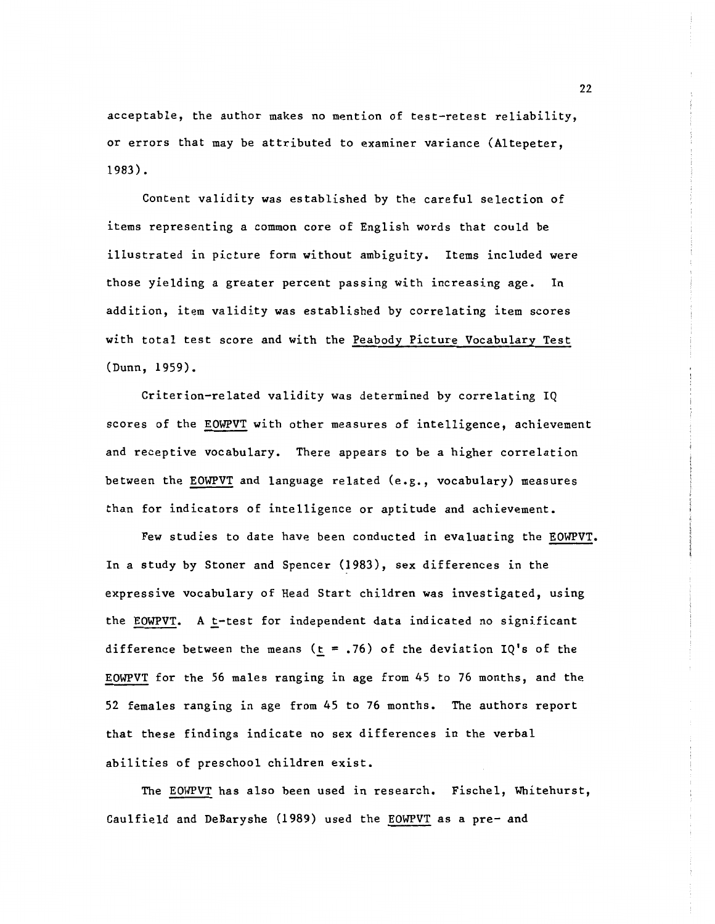acceptable, the author makes no mention of test-retest reliability, or errors that may be attributed to examiner variance (Altepeter, 1983).

Content validity was established by the careful selection of items representing a common core of English words that could be illustrated in picture form without ambiguity. Items included were those yielding a greater percent passing with increasing age. In addition, item validity was established by correlating item scores with total test score and with the Peabody Picture Vocabulary Test (Dunn, 1959).

Criterion-related validity was determined by correlating IQ scores of the EOWPVT with other measures of intelligence, achievement and receptive vocabulary. There appears to be a higher correlation between the EOWPVT and language related (e.g., vocabulary) measures than for indicators of intelligence or aptitude and achievement.

Few studies to date have been conducted in evaluating the EOWPVT. In a study by Stoner and Spencer  $(1983)$ , sex differences in the expressive vocabulary of Head Start children was investigated, using the EOWPVT. A  $t$ -test for independent data indicated no significant difference between the means ( $\underline{t}$  = .76) of the deviation IQ's of the EOWPVT for the 56 males ranging in age from 45 to 76 months, and the 52 females ranging in age from 45 to 76 months. The authors report that these findings indicate no sex differences in the verbal abilities of preschool children exist.

The EOWPVT has also been used in research. Fischel, Whitehurst, Caulfield and DeBaryshe (1989) used the EOWPVT as a pre- and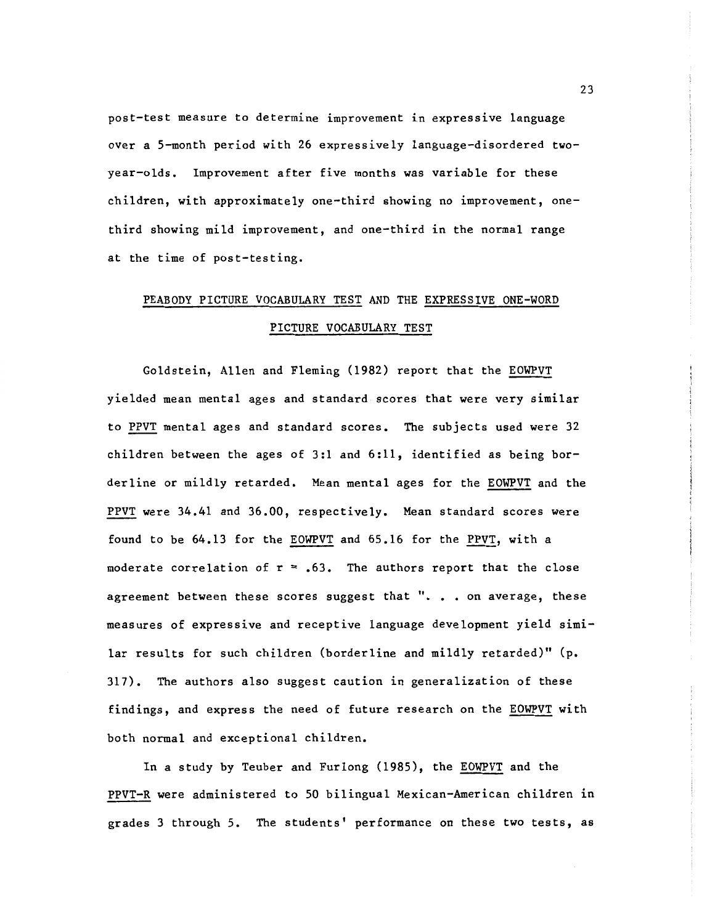post-test measure to determine improvement in expressive language over a 5-month period with 26 expressively language-disordered twoyear-olds. Improvement after five months was variable for these children, with approximately one-third showing no improvement, onethird showing mild improvement, and one-third in the normal range at the time of post-testing.

# PEABODY PICTURE VOCABULARY TEST AND THE EXPRESSIVE ONE-WORD PICTURE VOCABULARY TEST

Goldstein, Allen and Fleming (1982) report that the EOWPVT yielded mean mental ages and standard scores that were very similar to PPVT mental ages and standard scores. The subjects used were 32 children between the ages of 3:1 and 6:11, identified as being borderline or mildly retarded. Mean mental ages for the EOWPVT and the PPVT were 34.41 and 36.00, respectively. Mean standard scores were found to be 64.13 for the EOWPVT and 65.16 for the PPVT, with a moderate correlation of  $r = .63$ . The authors report that the close agreement between these scores suggest that ". . . on average, these measures of expressive and receptive language development yield similar results for such children (borderline and mildly retarded)" (p. 317). The authors also suggest caution in generalization of these findings, and express the need of future research on the EOWPVT with both normal and exceptional children.

In a study by Teuber and Furlong (1985), the EOWPVT and the PPVT-R were administered to 50 bilingual Mexican-American children in grades 3 through 5. The students' performance on these two tests, as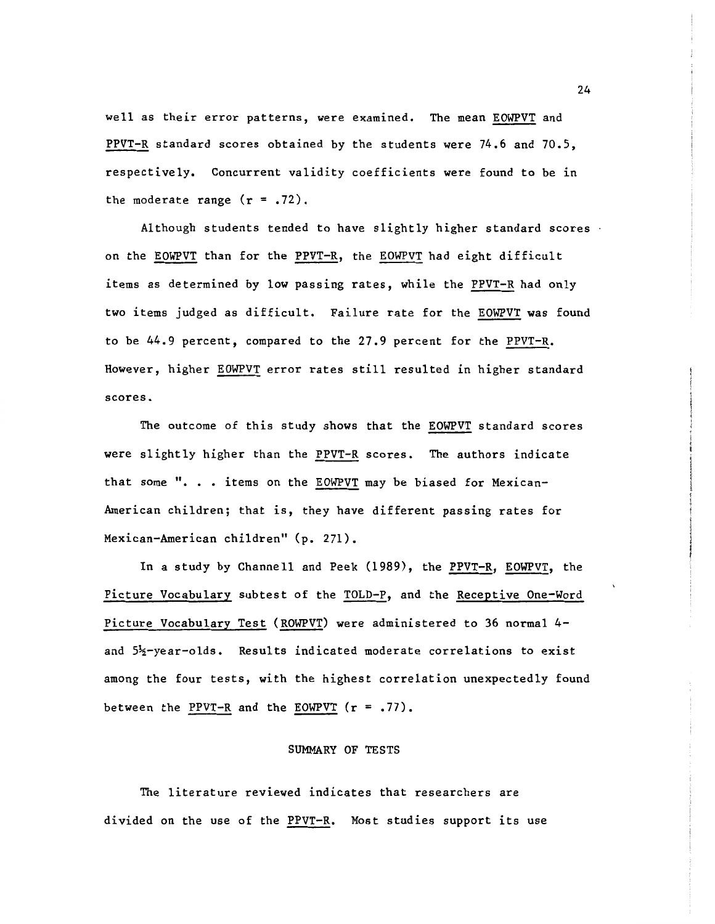well as their error patterns, were examined. The mean EOWPVT and PPVT-R standard scores obtained by the students were 74.6 and 70.5, respectively. Concurrent validity coefficients were found to be in the moderate range  $(r = .72)$ .

Although students tended to have slightly higher standard scores on the EOWPVT than for the PPVT-R, the EOWPVT had eight difficult items as determined by low passing rates, while the PPVT-R had only two items judged as difficult. Failure rate for the **EOWPVT** was found to be 44.9 percent, compared to the 27.9 percent for the PPVT-R. However, higher EOWPVT error rates still resulted in higher standard scores.

The outcome of this study shows that the EOWPVT standard scores were slightly higher than the PPVT-R scores. The authors indicate that some ". . . items on the EOWPVT may be biased for Mexican-American children; that is, they have different passing rates for Mexican-American children" (p. 271).

In a study by Channell and Peek (1989), the PPVT-R, EOWPVT, the Picture Vocabulary subtest of the TOLD-P, and the Receptive One-Word Picture Vocabulary Test (ROWPVT) were administered to 36 normal 4 and 5<sup>1</sup>/<sub>2</sub>-year-olds. Results indicated moderate correlations to exist among the four tests, with the highest correlation unexpectedly found between the PPVT-R and the EOWPVT  $(r = .77)$ .

#### SUMMARY OF TESTS

The literature reviewed indicates that researchers are divided on the use of the PPVT-R. Most studies support its use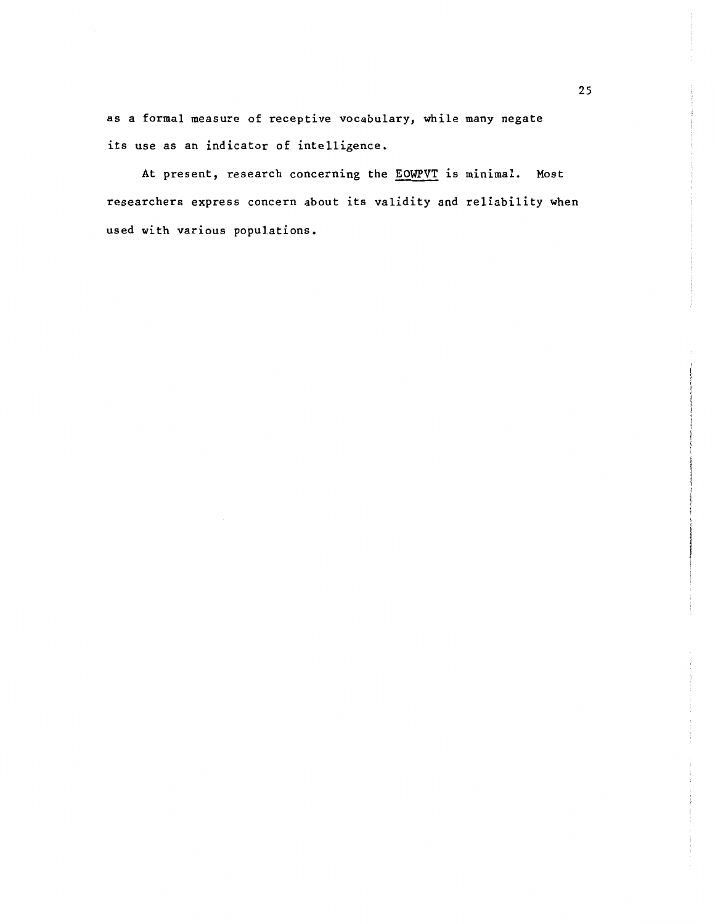as a formal measure of receptive vocabulary, while many negate its use as an indicator of intelligence.

At present, research concerning the **EOWPVT** is minimal. Most researchers express concern about its validity and reliability when used with various populations.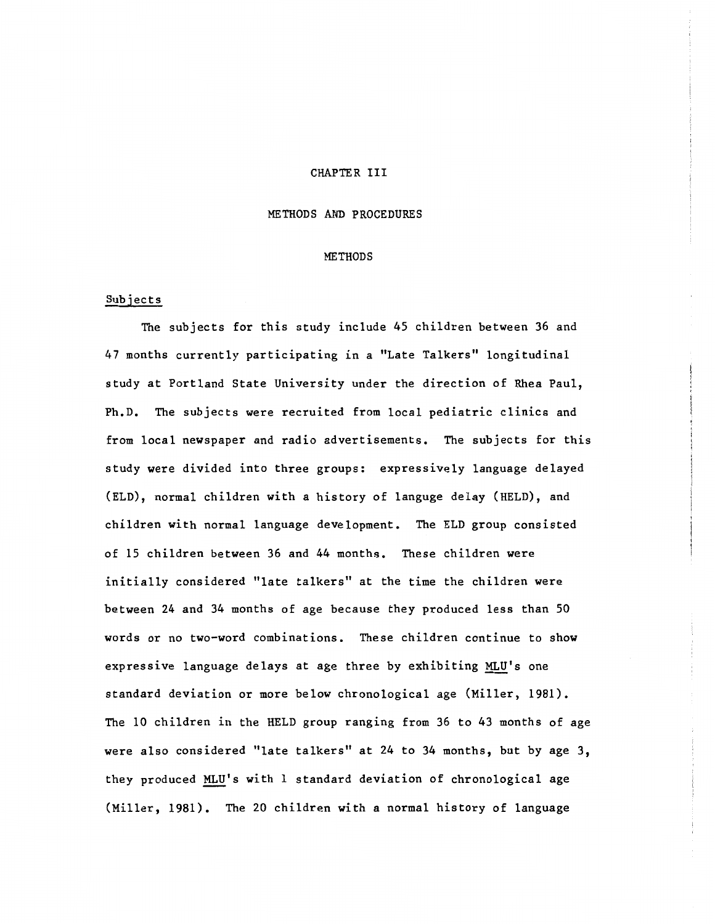#### CHAPTER III

#### METHODS AND PROCEDURES

#### METHODS

#### Subjects

The subjects for this study include 45 children between 36 and 47 months currently participating in a "Late Talkers" longitudinal study at Portland State University under the direction of Rhea Paul, Ph.D. The subjects were recruited from local pediatric clinics and from local newspaper and radio advertisements. The subjects for this study were divided into three groups: expressively language delayed (ELD), normal children with a history of languge delay (HELD), and children with normal language development. The ELD group consisted of 15 children between 36 and 44 months. These children were initially considered "late talkers" at the time the children were between 24 and 34 months of age because they produced less than 50 words or no two-word combinations. These children continue to show expressive language delays at age three by exhibiting MLU's one standard deviation or more below chronological age (Miller, 1981). The 10 children in the HELD group ranging from 36 to 43 months of age were also considered "late talkers" at 24 to 34 months, but by age 3, they produced MLU's with 1 standard deviation of chronological age (Miller, 1981). The 20 children with a normal history of language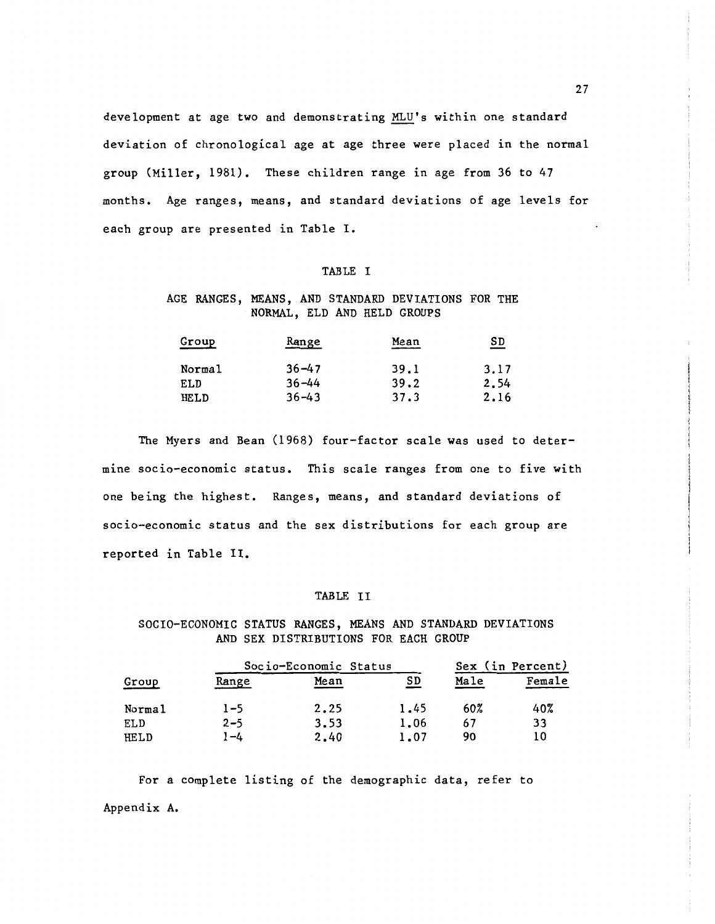development at age two and demonstrating MLU's within one standard deviation of chronological age at age three were placed in the normal group (Miller, 1981). These children range in age from 36 to 47 months. Age ranges, means, and standard deviations of age levels for each group are presented in Table I.

#### TABLE I

#### AGE RANGES, MEANS, AND STANDARD DEVIATIONS FOR THE NORMAL, ELD AND HELD GROUPS

| Group  | <u>Range</u> | Mean | <u>SD</u> |
|--------|--------------|------|-----------|
| Normal | $36 - 47$    | 39.1 | 3.17      |
| ELD    | $36 - 44$    | 39.2 | 2.54      |
| HELD   | $36 - 43$    | 37.3 | 2.16      |

The Myers and Bean (1968) four-factor scale was used to determine socio-economic status. This scale ranges from one to five with one being the highest. Ranges, means, and standard deviations of socio-economic status and the sex distributions for each group are reported in Table II.

#### TABLE II

SOCIO-ECONOMIC STATUS RANGES, MEANS AND STANDARD DEVIATIONS AND SEX DISTRIBUTIONS FOR EACH GROUP

|        |              | Socio-Economic Status |      |      | Sex (in Percent) |
|--------|--------------|-----------------------|------|------|------------------|
| Group  | <u>Range</u> | Mean                  | SD   | Male | Female           |
| Normal | $1 - 5$      | 2.25                  | 1.45 | 60%  | 40%              |
| ELD    | $2 - 5$      | 3.53                  | 1.06 | 67   | 33               |
| HELD   | 1-4          | 2.40                  | 1.07 | 90   | 10               |

For a complete listing of the demographic data, refer to Appendix A.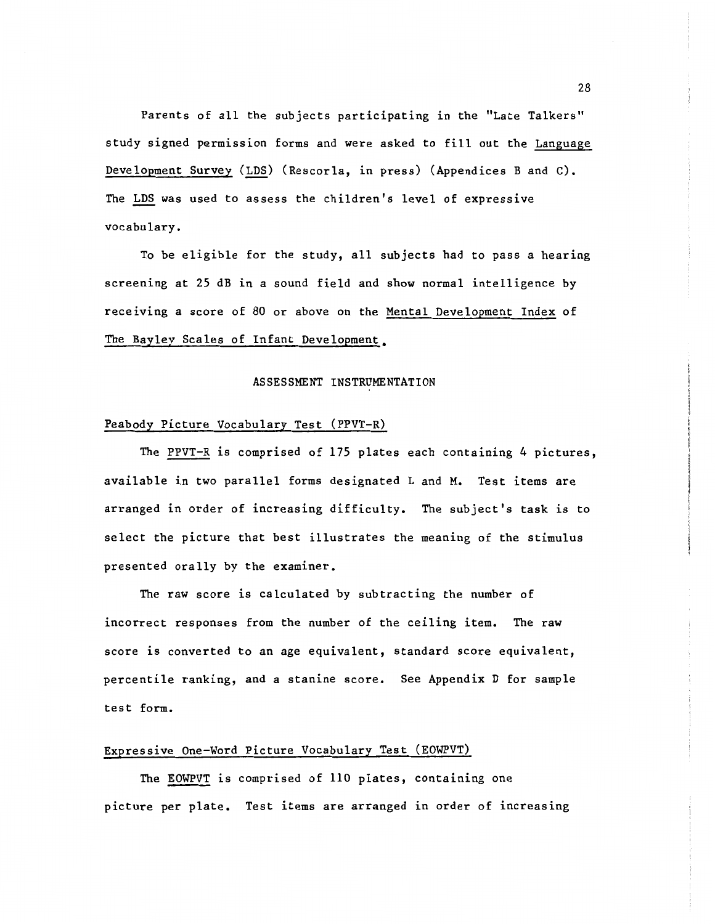Parents of all the subjects participating in the "Late Talkers" study signed permission forms and were asked to fill out the Language Development Survey (LDS) (Rescorla, in press) (Appendices B and C). The LDS was used to assess the children's level of expressive vocabulary.

To be eligible for the study, all subjects had to pass a hearing screening at 25 dB in a sound field and show normal intelligence by receiving a score of 80 or above on the Mental Development Index of The Bayley Scales of Infant Development.

#### ASSESSMENT INSTRUMENTATION

#### Peabody Picture Vocabulary Test (PPVT-R)

The PPVT-R is comprised of 175 plates each containing 4 pictures, available in two parallel forms designated L and M. Test items are arranged in order of increasing difficulty. The subject's task is to select the picture that best illustrates the meaning of the stimulus presented orally by the examiner.

The raw score is calculated by subtracting the number of incorrect responses from the number of the ceiling item. The raw score is converted to an age equivalent, standard score equivalent, percentile ranking, and a stanine score. See Appendix D for sample test form.

#### Expressive One-Word Picture Vocabulary Test (EOWPVT)

The EOWPVT is comprised of 110 plates, containing one picture per plate. Test items are arranged in order of increasing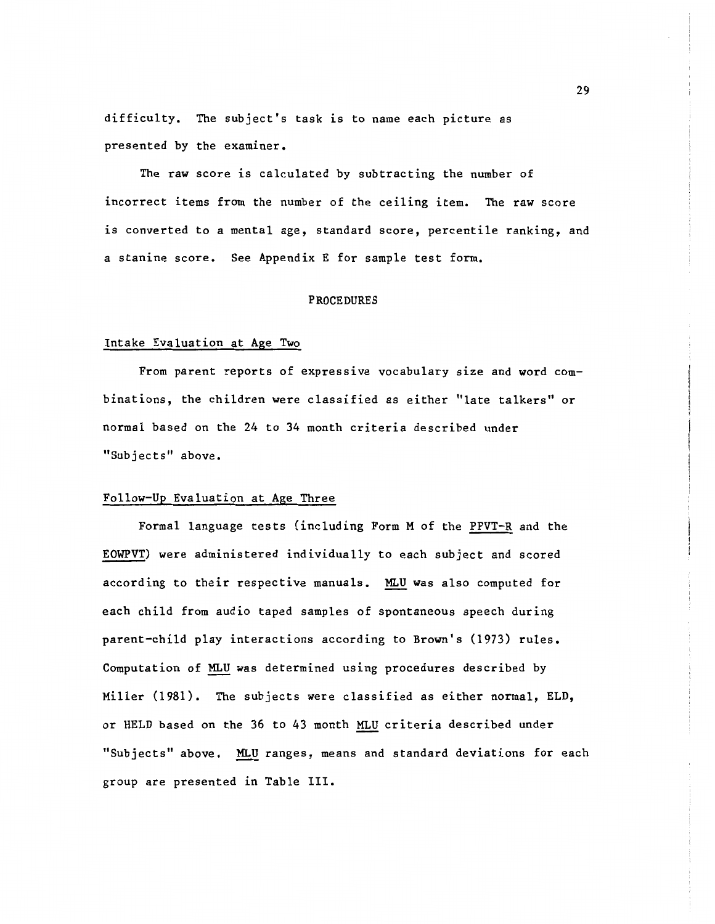difficulty. The subject's task is to name each picture as presented by the examiner.

The raw score is calculated by subtracting the number of incorrect items from the number of the ceiling item. The raw score is converted to a mental age, standard score, percentile ranking, and a stanine score. See Appendix E for sample test form.

#### PROCEDURES

#### Intake Evaluation at Age Two

From parent reports of expressive vocabulary size and word combinations, the children were classified as either "late talkers" or normal based on the 24 to 34 month criteria described under "Subjects" above.

#### Follow-Up Evaluation at Age Three

Formal language tests (including Form M of the PPVT-R and the EOWPVT) were administered individually to each subject and scored according to their respective manuals. MLU was also computed for each child from audio taped samples of spontaneous speech during parent-child play interactions according to Brown's (1973) rules. Computation of MLU was determined using procedures described by Miller (1981). The subjects were classified as either normal, ELD, or HELD based on the 36 to 43 month MLU criteria described under "Subjects" above. MLU ranges, means and standard deviations for each group are presented in Table III.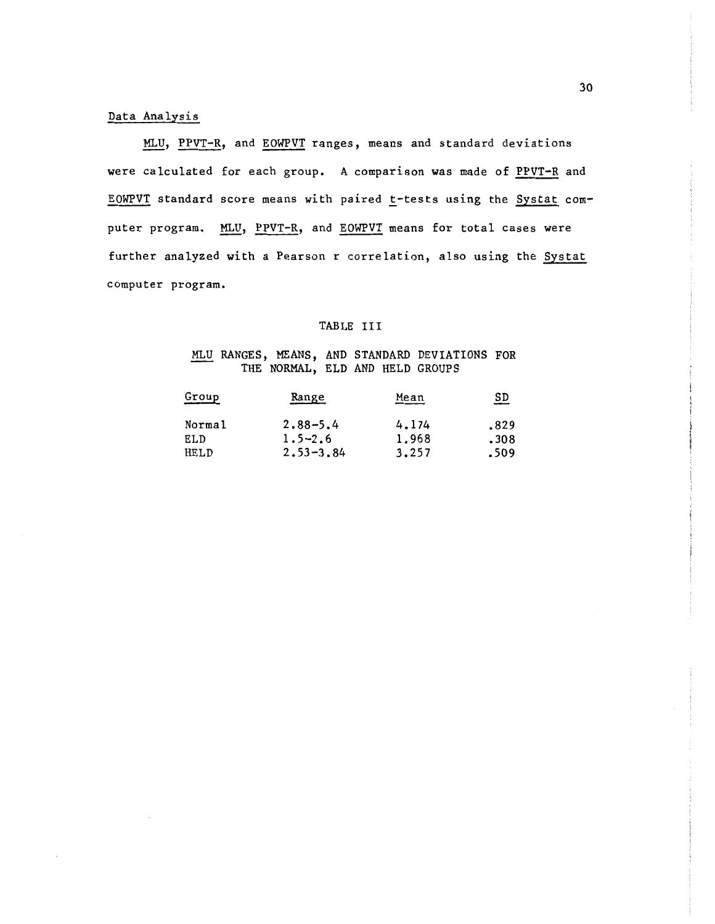#### Data Analysis

MLU, PPVT-R, and EOWPVT ranges, means and standard deviations were calculated for each group. A comparison was made of PPVT-R and EOWPVT standard score means with paired t-tests using the Systat computer program. MLU, PPVT-R, and EOWPVT means for total cases were further analyzed with a Pearson r correlation, also using the Systat computer program.

#### TABLE III

#### MLU RANGES, MEANS, AND STANDARD DEVIATIONS FOR THE NORMAL, ELD AND HELD GROUPS

| Group  | Range         | Mean  | <u>SD</u> |
|--------|---------------|-------|-----------|
| Normal | $2.88 - 5.4$  | 4.174 | .829      |
| ELD    | $1.5 - 2.6$   | 1,968 | .308      |
| HELD   | $2.53 - 3.84$ | 3.257 | .509      |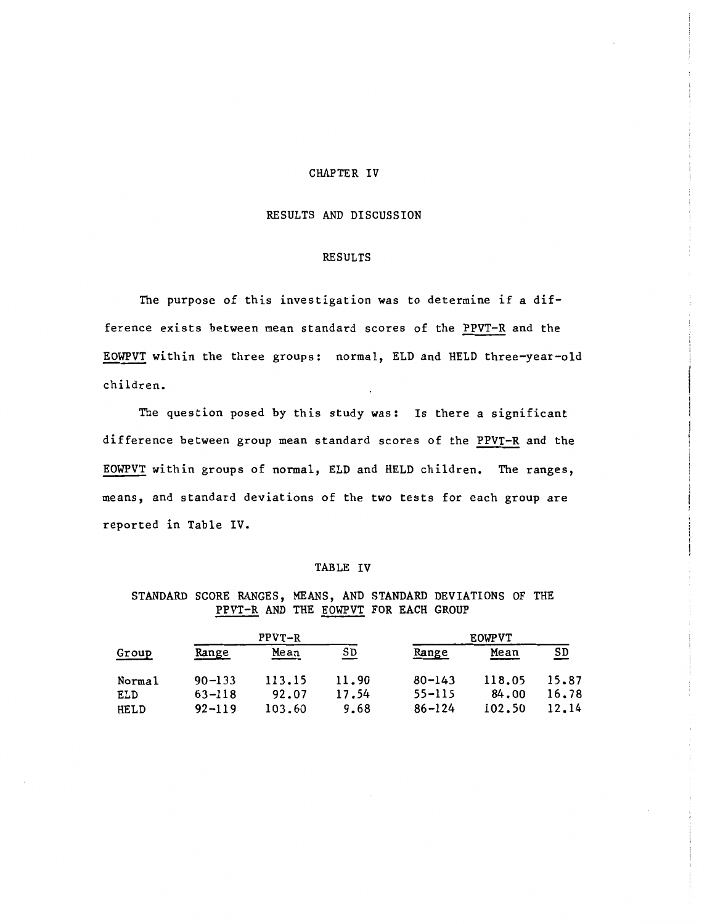#### CHAPTER IV

#### RESULTS AND DISCUSSION

#### RESULTS

The purpose of this investigation was to determine if a difference exists between mean standard scores of the PPVT-R and the EOWPVT within the three groups: normal, ELD and HELD three-year-old children.

The question posed by this study was: Is there a significant difference between group mean standard scores of the PPVT-R and the EOWPVT within groups of normal, ELD and HELD children. The ranges, means, and standard deviations of the two tests for each group are reported in Table IV.

#### TABLE IV

STANDARD SCORE RANGES, MEANS, AND STANDARD DEVIATIONS OF THE PPVT-R AND THE EOWPVT FOR EACH GROUP

|                              |                                        | $PPVT-R$                  |                        |                                        | <b>EOWPVT</b>             |                           |  |
|------------------------------|----------------------------------------|---------------------------|------------------------|----------------------------------------|---------------------------|---------------------------|--|
| Group                        | Range                                  | Mean                      | SD.                    | Range                                  | Mean                      | $\underline{\texttt{SD}}$ |  |
| Normal<br>ELD<br><b>HELD</b> | $90 - 133$<br>$63 - 118$<br>$92 - 119$ | 113.15<br>92.07<br>103.60 | 11.90<br>17.54<br>9.68 | $80 - 143$<br>$55 - 115$<br>$86 - 124$ | 118.05<br>84.00<br>102.50 | 15.87<br>16,78<br>12.14   |  |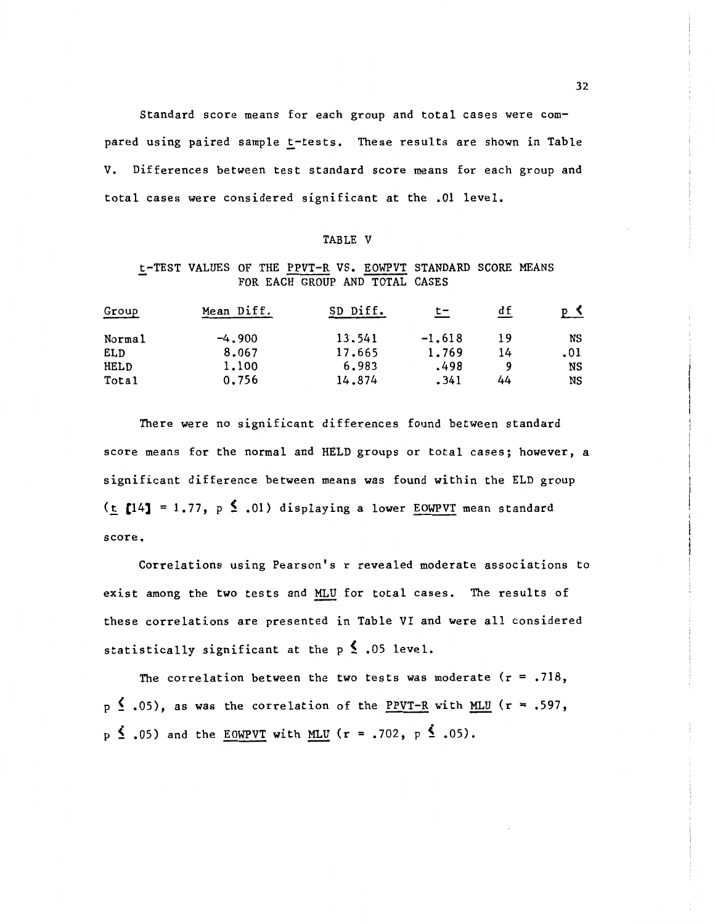Standard score means for each group and total cases were compared using paired sample t-tests. These results are shown in Table V. Differences between test standard score means for each group and total cases were considered significant at the .01 level.

#### TABLE V

#### t-TEST VALUES OF THE PPVT-R VS. EOWPVT STANDARD SCORE MEANS FOR EACH GROUP AND TOTAL CASES

| Group  | Mean Diff. | SD Diff. | t-       | df | P <sub>2</sub> |
|--------|------------|----------|----------|----|----------------|
| Normal | $-4.900$   | 13.541   | $-1.618$ | 19 | NS             |
| ELD    | 8.067      | 17.665   | 1.769    | 14 | .01            |
| HELD   | 1,100      | 6.983    | .498     | Q  | NS             |
| Total  | 0.756      | 14,874   | .341     | 44 | NS             |

There were no significant differences found between standard score means for the normal and HELD groups or total cases; however, a significant difference between means was found within the ELD group (t [14] = 1.77,  $p \leq .01$ ) displaying a lower EOWPVT mean standard score.

Correlations using Pearson's r revealed moderate associations to exist among the two tests and MLU for total cases. The results of these correlations are presented in Table VI and were all considered statistically significant at the  $p \leq .05$  level.

The correlation between the two tests was moderate  $(r = .718, )$  $p \nleq .05$ , as was the correlation of the PPVT-R with MLU (r = .597,  $p \le .05$ ) and the EOWPVT with MLU (r = .702, p  $\le .05$ ).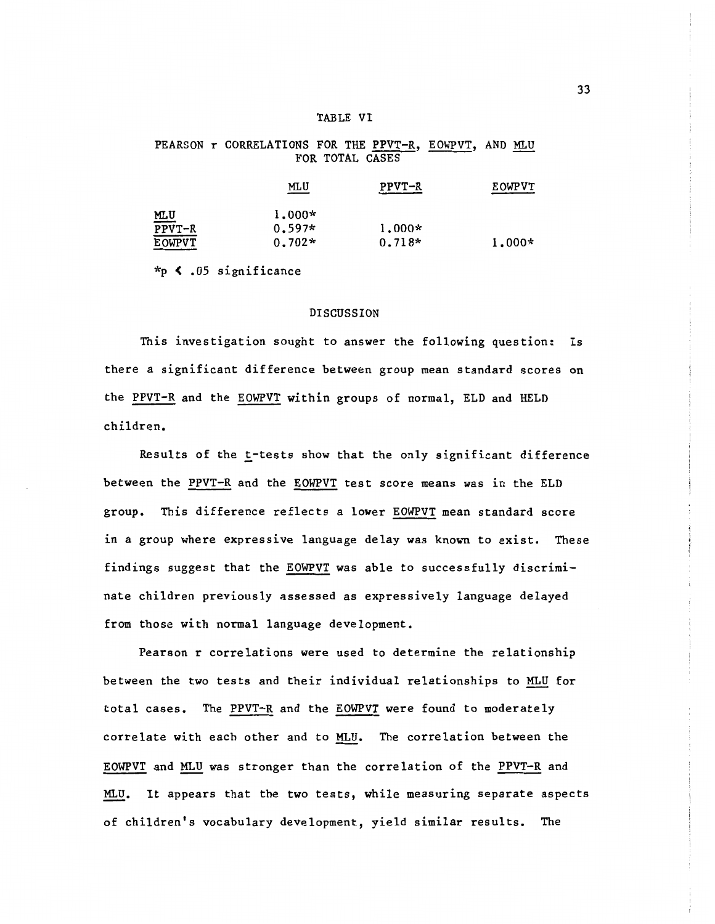#### TABLE VI

#### PEARSON r CORRELATIONS FOR THE PPVT-R, EOWPVT, AND MLU FOR TOTAL CASES

|        | MLU<br>$\equiv$ | PPVT-R   | <b>EOWPVT</b> |
|--------|-----------------|----------|---------------|
| MLU    | $1.000*$        |          |               |
| PPVT-R | $0.597*$        | $1.000*$ |               |
| EOWPVT | $0.702*$        | $0.718*$ | $1.000*$      |

\*p ( .05 significance

#### DISCUSSION

This investigation sought to answer the following question: Is there a significant difference between group mean standard scores on the PPVT-R and the EOWPVT within groups of normal, ELD and HELD children.

Results of the t-tests show that the only significant difference between the PPVT-R and the EOWPVT test score means was in the ELD group. This difference reflects a lower EOWPVT mean standard score in a group where expressive language delay was known to exist. These findings suggest that the EOWPVT was able to successfully discriminate children previously assessed as expressively language delayed from those with normal language development.

Pearson r correlations were used to determine the relationship between the two tests and their individual relationships to MLU for total cases. The PPVT-R and the EOWPVT were found to moderately correlate with each other and to MLU. The correlation between the EOWPVT and MLU was stronger than the correlation of the PPVT-R and MLU. It appears that the two tests, while measuring separate aspects of children's vocabulary development, yield similar results. The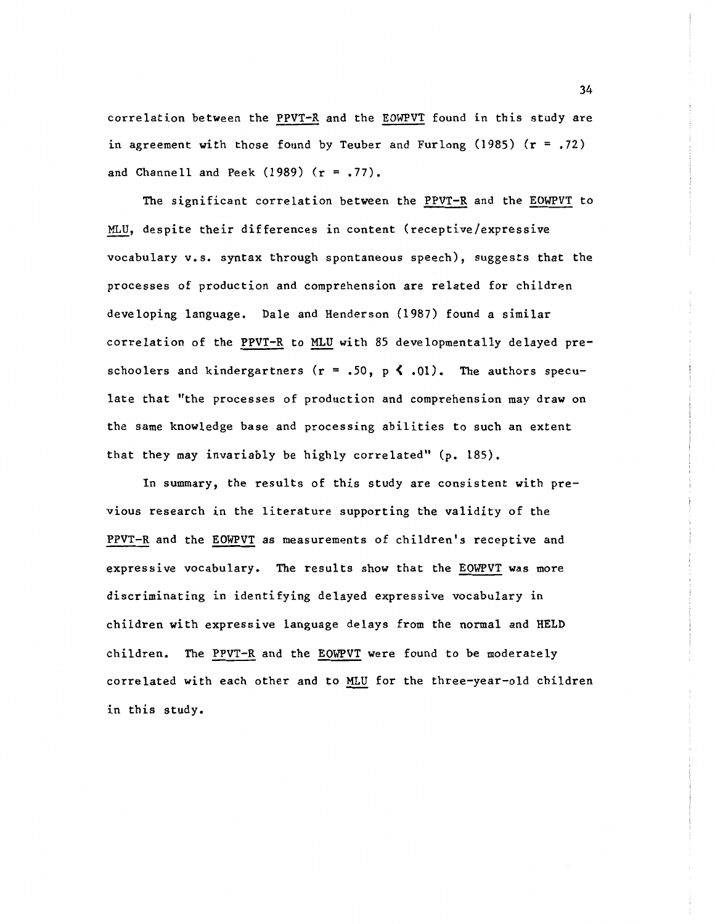correlation between the PPVT-R and the EOWPVT found in this study are in agreement with those found by Teuber and Furlong (1985)  $(r = .72)$ and Channell and Peek (1989) (r = .77).

The significant correlation between the PPVT-R and the EOWPVT to MLU, despite their differences in content (receptive/expressive vocabulary v.s. syntax through spontaneous speech), suggests that the processes of production and comprehension are related for children developing language. Dale and Henderson (1987) found a similar correlation of the PPVT-R to MLU with 85 developmentally delayed preschoolers and kindergartners ( $r = .50$ ,  $p \le .01$ ). The authors speculate that "the processes of production and comprehension may draw on the same knowledge base and processing abilities to such an extent that they may invariably be highly correlated" (p. 185).

In summary, the results of this study are consistent with previous research in the literature supporting the validity of the PPVT-R and the EOWPVT as measurements of children's receptive and expressive vocabulary. The results show that the EOWPVT was more discriminating in identifying delayed expressive vocabulary in children with expressive language delays from the normal and HELD children. The PPVT-R and the EOWPVT were found to be moderately correlated with each other and to MLU for the three-year-old children in this study.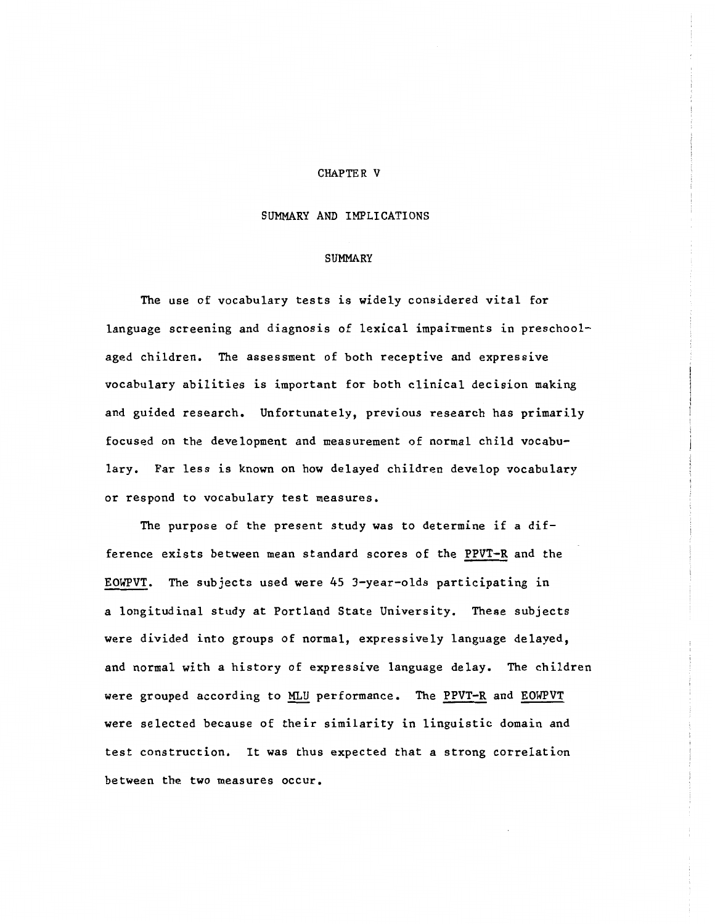#### CHAPTER V

#### SUMMARY AND IMPLICATIONS

#### SUMMARY

The use of vocabulary tests is widely considered vital for language screening and diagnosis of lexical impairments in preschoolaged children. The assessment of both receptive and expressive vocabulary abilities is important for both clinical decision making and guided research. Unfortunately, previous research has primarily focused on the development and measurement of normal child vocabulary. Far less is known on how delayed children develop vocabulary or respond to vocabulary test measures.

The purpose of the present study was to determine if a difference exists between mean standard scores of the PPVT-R and the EOWPVT. The subjects used were 45 3-year-olds participating in a longitudinal study at Portland State University. These subjects were divided into groups of normal, expressively language delayed, and normal with a history of expressive language delay. The children were grouped according to MLU performance. The PPVT-R and EOWPVT were selected because of their similarity in linguistic domain and test construction. It was thus expected that a strong correlation between the two measures occur.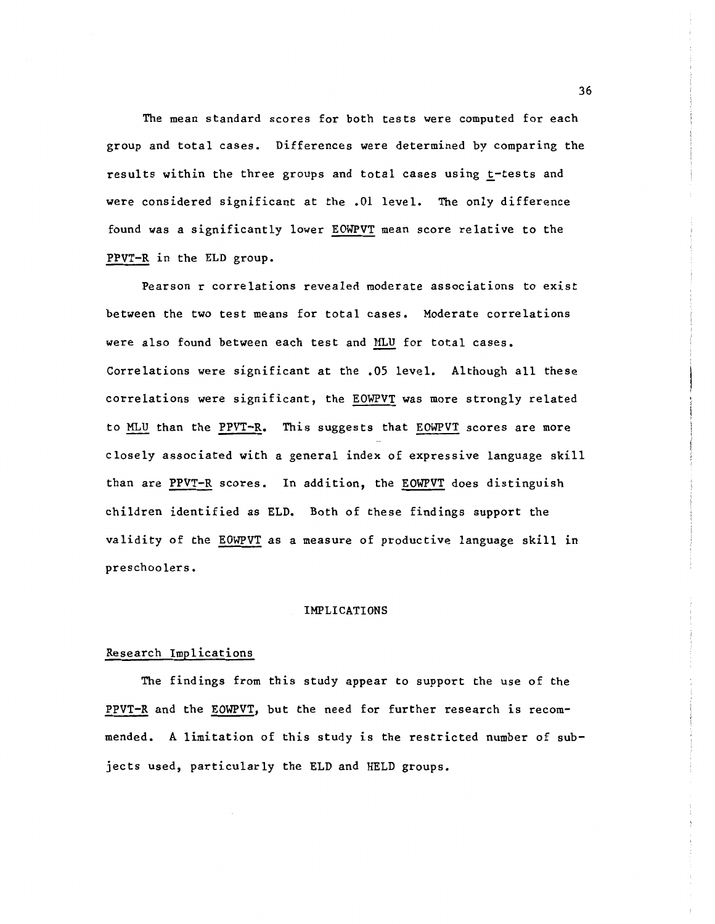The mean standard scores for both tests were computed for each group and total cases. Differences were determined by comparing the results within the three groups and total cases using t-tests and were considered significant at the .01 level. The only difference found was a significantly lower EOWPVT mean score relative to the PPVT-R in the ELD group.

Pearson r correlations revealed moderate associations to exist between the two test means for total cases. Moderate correlations were also found between each test and MLU for total cases. Correlations were significant at the .OS level. Although all these correlations were significant, the EOWPVT was more strongly related to MLU than the PPVT-R. This suggests that EOWPVT scores are more closely associated with a general index of expressive language skill than are PPVT-R scores. In addition, the EOWPVT does distinguish children identified as ELD. Both of these findings support the validity of the EOWPVT as a measure of productive language skill in preschoolers.

#### IMPLICATIONS

#### Research Implications

The findings from this study appear to support the use of the PPVT-R and the EOWPVT, but the need for further research is recommended. A limitation of this study is the restricted number of subjects used, particularly the ELD and HELD groups.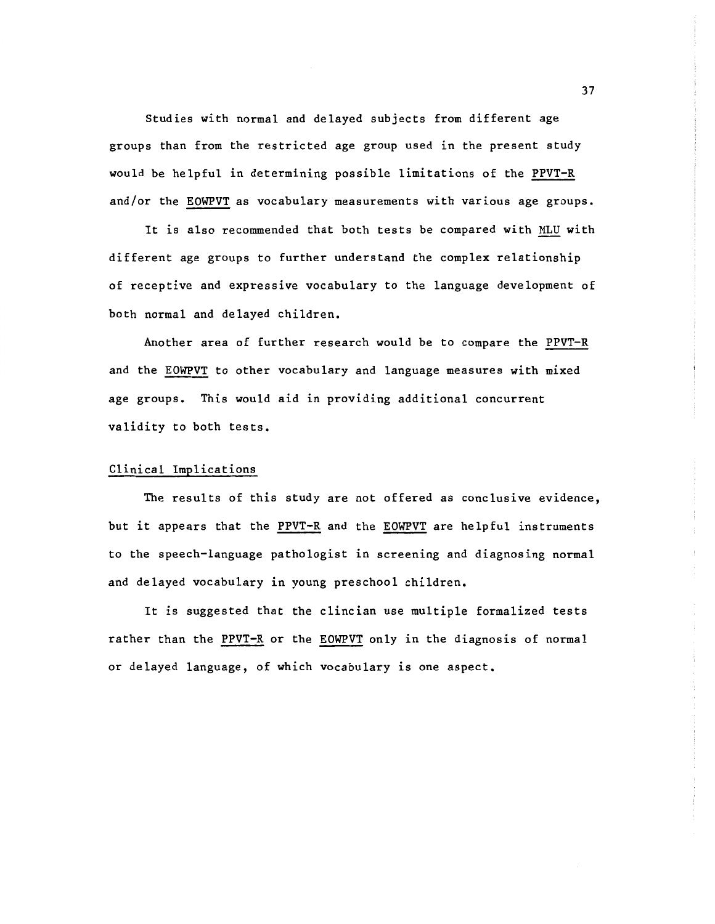Studies with normal and delayed subjects from different age groups than from the restricted age group used in the present study would be helpful in determining possible limitations of the PPVT-R and/or the EOWPVT as vocabulary measurements with various age groups.

It is also recommended that both tests be compared with MLU with different age groups to further understand the complex relationship of receptive and expressive vocabulary to the language development of both normal and delayed children.

Another area of further research would be to compare the PPVT-R and the EOWPVT to other vocabulary and language measures with mixed age groups. This would aid in providing additional concurrent validity to both tests.

#### Clinical Implications

The results of this study are not offered as conclusive evidence, but it appears that the PPVT-R and the EOWPVT are helpful instruments to the speech-language pathologist in screening and diagnosing normal and delayed vocabulary in young preschool children.

It is suggested that the clincian use multiple formalized tests rather than the PPVT-R or the EOWPVT only in the diagnosis of normal or delayed language, of which vocabulary is one aspect.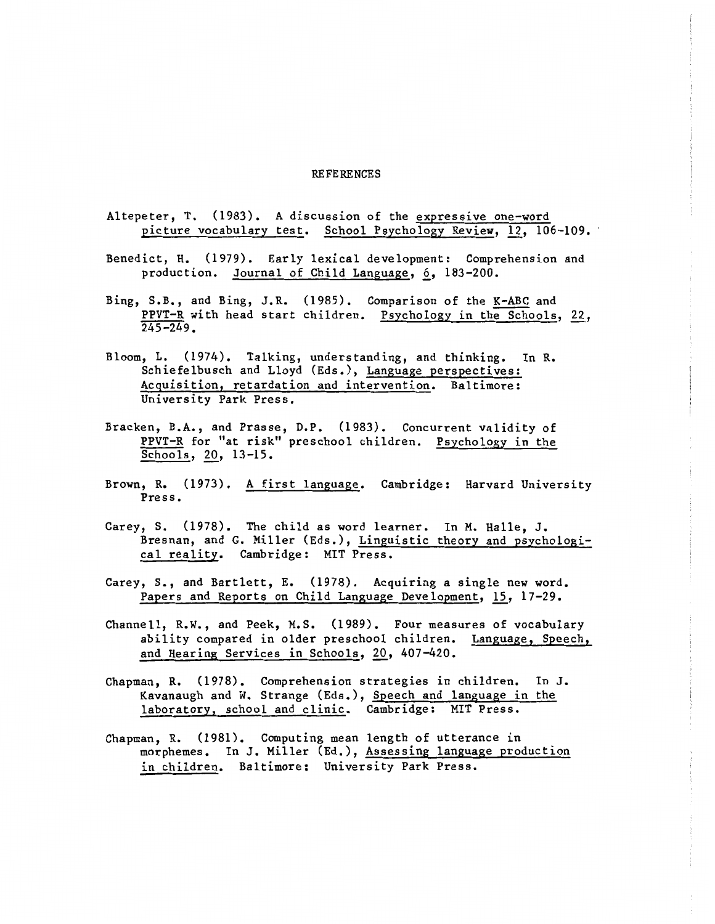#### REFERENCES

- Altepeter, T. (1983). A discussion of the expressive one-word picture vocabulary test. School Psychology Review, 12, 106-109.
- Benedict, H. (1979). Early lexical development: Comprehension and production. Journal of Child Language, 6, 183-200.
- Bing, S.B., and Bing, J.R. (1985). Comparison of the K-ABC and PPVT-R with head start children. Psychology in the Schools, 22,  $245 - 249.$
- Bloom, L. (1974). Talking, understanding, and thinking. In R. Schiefelbusch and Lloyd (Eds.), Language perspectives: Acquisition, retardation and intervention. Baltimore: University Park Press.
- Bracken, B.A., and Prasse, D.P. (1983). Concurrent validity of PPVT-R for "at risk" preschool children. Psychology in the Schools, 20, 13-15.
- Brown, R. (1973). A first language. Cambridge: Harvard University Press.
- Carey, S. (1978). The child as word learner. In M. Halle, J. Bresnan, and G. Miller (Eds.), Linguistic theory and psychological reality. Cambridge: MIT Press.
- Carey, S., and Bartlett, E. (1978). Acquiring a single new word. Papers and Reports on Child Language Development, 15, 17-29.
- Channell, R.W., and Peek, M.S. (1989). Four measures of vocabulary ability compared in older preschool children. Language, Speech, and Hearing Services in Schools, 20, 407-420.
- Chapman, R. (1978). Comprehension strategies in children. In J. Kavanaugh and W. Strange (Eds.), Speech and language in the laboratory, school and clinic. Cambridge: MIT Press.
- Chapman, R. (1981). Computing mean length of utterance in morphemes. In J. Miller (Ed.), Assessing language production in children. Baltimore: University Park Press.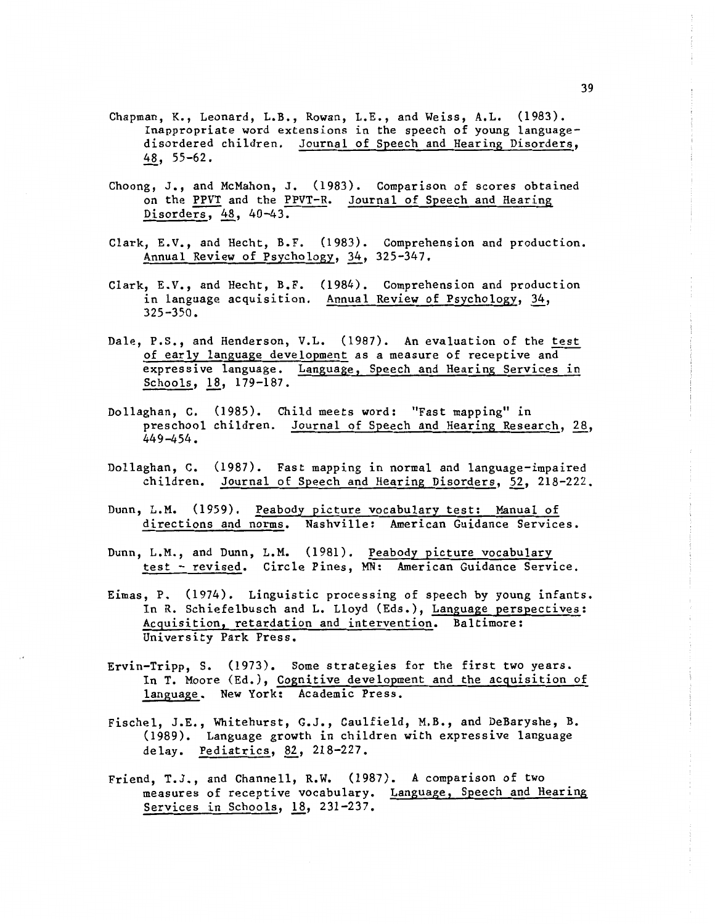- Chapman, K., Leonard, L.B., Rowan, L.E., and Weiss, A.L. (1983). Inappropriate word extensions in the speech of young languagedisordered children. Journal of Speech and Hearing Disorders, 48, 55-62.
- Choong, J., and McMahon, J. (1983). Comparison of scores obtained on the PPVT and the PPVT-R. Journal of Speech and Hearing Disorders, 48, 40-43.
- Clark, E.V., and Hecht, B.F. (1983). Comprehension and production. Annual Review of Psychology, 34, 325-347.
- Clark, E.V., and Hecht, B.F. (1984). Comprehension and production in language acquisition. Annual Review of Psychology, 34, 325-350.
- Dale, P.S., and Henderson, V.L. (1987). An evaluation of the test of early language development as a measure of receptive and expressive language. Language, Speech and Hearing Services in Schools, 18, 179-187.
- Dollaghan, C. (1985). Child meets word: "Fast mapping" in preschool children. Journal of Speech and Hearing Research, 28, 449-454.
- Dollaghan, C. (1987). Fast mapping in normal and language-impaired children. Journal of Speech and Hearing Disorders, 52, 218-222.
- Dunn, L.M. (1959). Peabody picture vocabulary test: Manual of directions and norms. Nashville: American Guidance Services.
- Dunn, L.M., and Dunn, L.M. (1981). Peabody picture vocabulary test - revised. Circle Pines, MN: American Guidance Service.
- Eimas, P. (1974). Linguistic processing of speech by young infants. In R. Schiefelbusch and L. Lloyd (Eds.), Language perspectives: Acquisition, retardation and intervention. Baltimore: University Park Press.
- Ervin-Tripp, S. (1973). Some strategies for the first two years. In T. Moore (Ed.), Cognitive development and the acquisition of language. New York: Academic Press.
- Fischel, J.E., Whitehurst, G.J., Caulfield, M.B., and DeBaryshe, B. (1989). Language growth in children with expressive language delay. Pediatrics, 82, 218-227.
- Friend, T.J., and Channell, R.W. (1987). A comparison of two measures of receptive vocabulary. Language, Speech and Hearing Services in Schools,  $18$ , 231-237.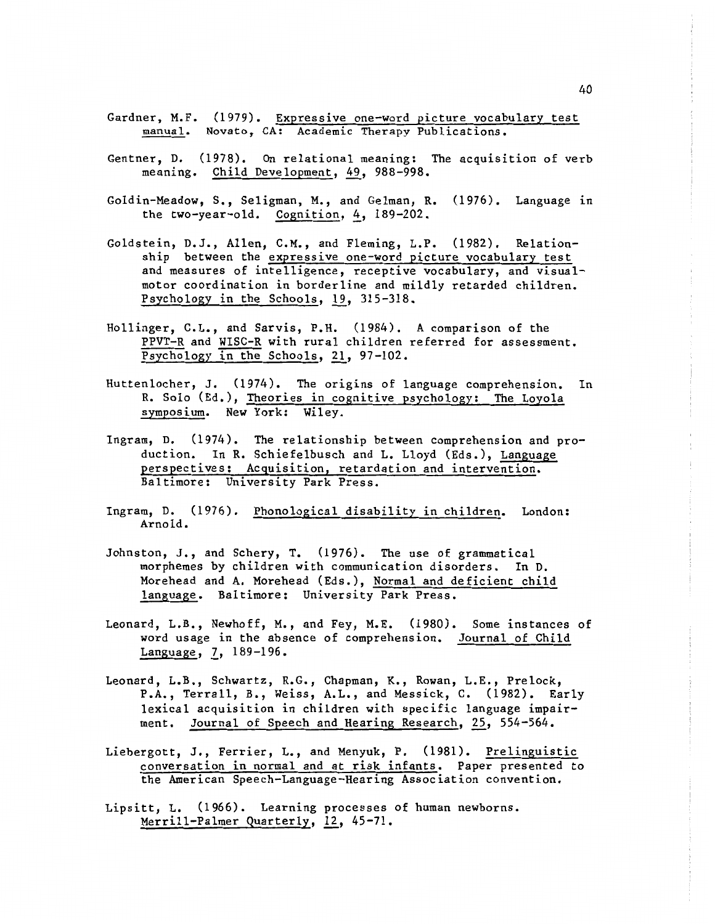- Gardner, M.F. (1979). Expressive one-word picture vocabulary test manual. Novato, CA: Academic Therapy Publications.
- Gentner, D. (1978). On relational meaning: The acquisition of verb meaning. Child Development, 49, 988-998.
- Goldin-Meadow, s., Seligman, M., and Gelman, R. (1976). Language in the two-year-old. Cognition,  $4$ , 189-202.
- Goldstein, D.J., Allen, C.M., and Fleming, L.P. (1982). Relationship between the expressive one-word picture vocabulary test and measures of intelligence, receptive vocabulary, and visualmotor coordination in borderline and mildly retarded children. Psychology in the Schools, *ll\_,* 315-318.
- Hollinger, C.L., and Sarvis, P.H. (1984). A comparison of the PPVT-R and WISC-R with rural children referred for assessment. Psychology in the Schools, 21, 97-102.
- Huttenlocher, J. (1974). The origins of language comprehension. In R. Solo (Ed.), Theories in cognitive psychology: The Loyola symposium. New York: Wiley.
- Ingram, D. (1974). The relationship between comprehension and production. In R. Schiefelbusch and L. Lloyd (Eds.), Language perspectives: Acquisition, retardation and intervention. Baltimore: University Park Press.
- Ingram, D. (1976). Phonological disability in children. London: Arnold.
- Johnston, J., and Schery, T. (1976). The use of grammatical morphemes by children with communication disorders. In D. Morehead and A. Morehead (Eds.), Normal and deficient child language. Baltimore: University Park Press.
- Leonard, L.B., Newhoff, M., and Fey, M.E. (1980). Some instances of word usage in the absence of comprehension. Journal of Child Language, 7, 189-196.
- Leonard, L.B., Schwartz, R.G., Chapman, K., Rowan, L.E., Prelock, P.A., Terrall, B., Weiss, A.L., and Messick, C. (1982). Early lexical acquisition in children with specific language impairment. Journal of Speech and Hearing Research, 25, 554-564.
- Liebergott, J., Ferrier, L., and Menyuk, P. (1981). Prelinguistic conversation in normal and at risk infants. Paper presented to the American Speech-Language-Hearing Association convention.
- Lipsitt, L. (1966). Learning processes of human newborns. Merrill-Palmer Quarterly, 12, 45-71.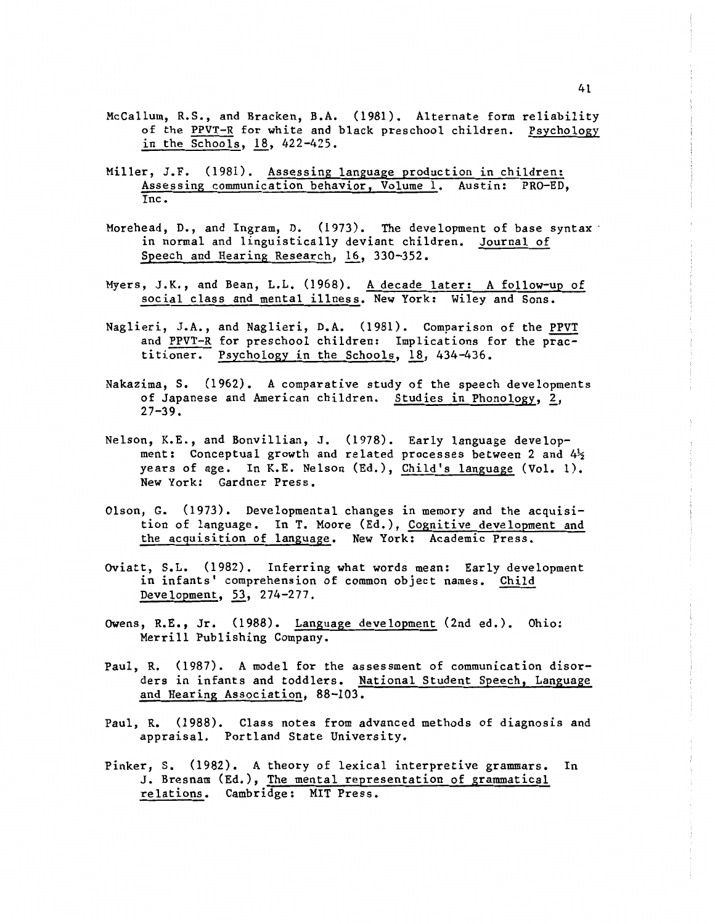- McCallum, R.S., and Bracken, B.A. (1981). Alternate form reliability of the PPVT-R for white and black preschool children. Psychology in the Schools,  $18$ ,  $422-425$ .
- Miller, J.F. (1981). Assessing language production in children: Assessing communication behavior, Volume 1. Austin: PRO-ED, Inc.
- Morehead, D., and Ingram, D. (1973). The development of base syntax in normal and linguistically deviant children. Journal of Speech and Hearing Research, 16, 330-352.
- Myers, J.K., and Bean, L.L. (1968). A decade later: A follow-up of social class and mental illness. New York: Wiley and Sons.
- Naglieri, J.A., and Naglieri, D.A. (1981). Comparison of the PPVT and PPVT-R for preschool children: Implications for the practitioner. Psychology in the Schools,  $18$ , 434-436.
- Nakazima, S. (1962). A comparative study of the speech developments of Japanese and American children. Studies in Phonology, 2,  $27 - 39.$
- Nelson, K.E., and Bonvillian, J. (1978). Early language development: Conceptual growth and related processes between 2 and  $4\frac{1}{2}$ years of age. In K.E. Nelson (Ed.), <u>Child's language</u> (Vol. l). New York: Gardner Press.
- Olson, G. (1973). Developmental changes in memory and the acquisition of language. In T. Moore (Ed.), Cognitive development and the acguisition of language. New York: Academic Press.
- Oviatt, S.L. (1982). Inferring what words mean: Early development in infants' comprehension of common object names. Child Development, 53, 274-277.
- Owens, R.E., Jr. (1988). Language development (2nd ed.). Ohio: Merrill Publishing Company.
- Paul, R. (1987). A model for the assessment of communication disorders in infants and toddlers. National Student Speech, Language and Hearing Association, 88-103.
- Paul, R. (1988). Class notes from advanced methods of diagnosis and appraisal. Portland State University.
- Pinker, s. (1982). A theory of lexical interpretive grammars. In J. Bresnam (Ed.), The mental representation of grammatical relations. Cambridge: MIT Press.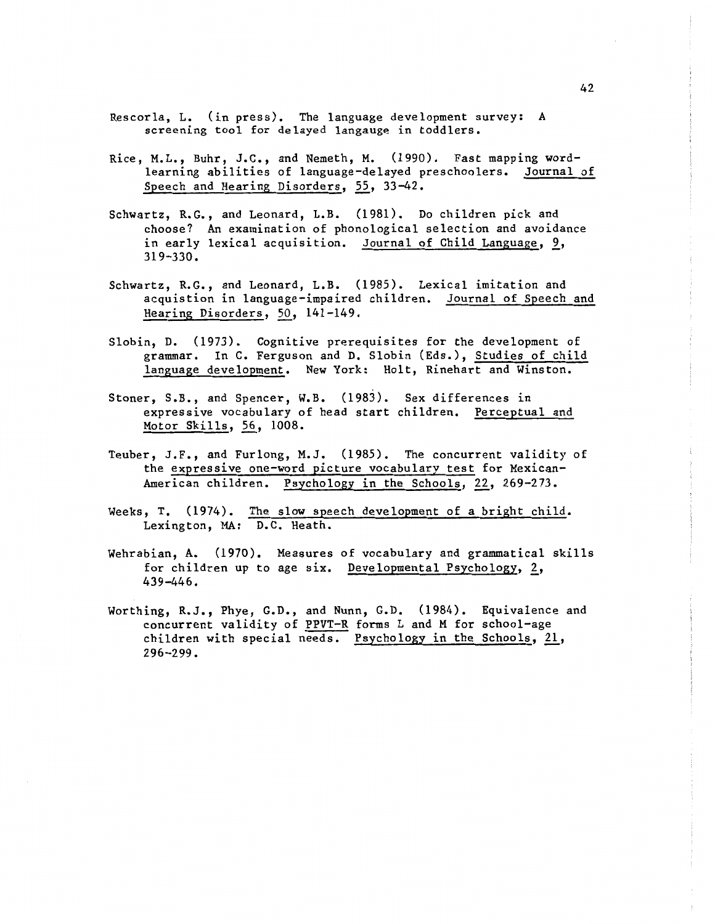- Rescorla, L. (in press). The language development survey: A screening tool for delayed langauge in toddlers.
- Rice, M.L., Buhr, J.C., and Nemeth, M. (1990). Fast mapping wordlearning abilities of language-delayed preschoolers. Journal of Speech and Hearing Disorders, 55, 33-42.
- Schwartz, R.G., and Leonard, L.B. (1981). Do children pick and choose? An examination of phonological selection and avoidance in early lexical acquisition. Journal of Child Language, 9, 319-330.
- Schwartz, R.G., and Leonard, L.B. (1985). Lexical imitation and acquistion in language-impaired children. Journal of Speech and Hearing Disorders, 50, 141-149.
- Slobin, D. (1973). Cognitive prerequisites for the development of grammar. In C. Ferguson and D. Slobin (Eds.), Studies of child language development. New York: Holt, Rinehart and Winston.
- Stoner, S.B., and Spencer, W.B. (1983). Sex differences in expressive vocabulary of head start children. Perceptual and Motor Skills, *1§\_,* 1008.
- Teuber, J.F., and Furlong, M.J. (1985). The concurrent validity of the expressive one-word picture vocabulary test for Mexican-American children. Psychology in the Schools, 22, 269-273.
- Weeks, T. (1974). The slow speech development of a bright child. Lexington, MA: D.C. Heath.
- Wehrabian, A. (1970). Measures of vocabulary and grammatical skills for children up to age six. Developmental Psychology,  $2$ , 439-446.
- Worthing, R.J., Phye, G.D., and Nunn, G.D. (1984). Equivalence and concurrent validity of PPVT-R forms L and M for school-age children with special needs. Psychology in the Schools,  $21$ , 296-299.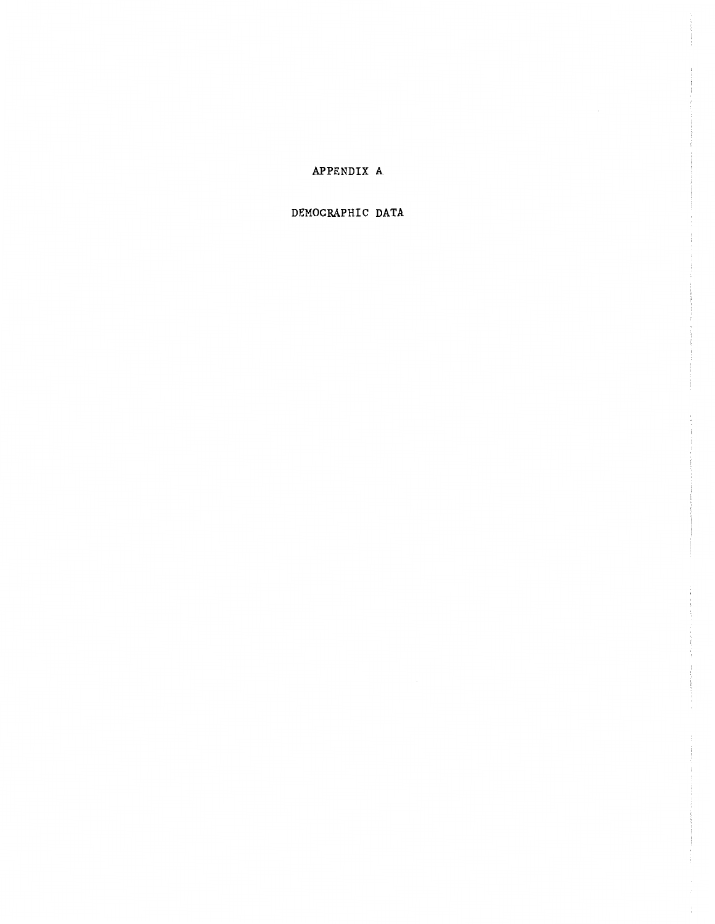# APPENDIX A

# DEMOGRAPHIC DATA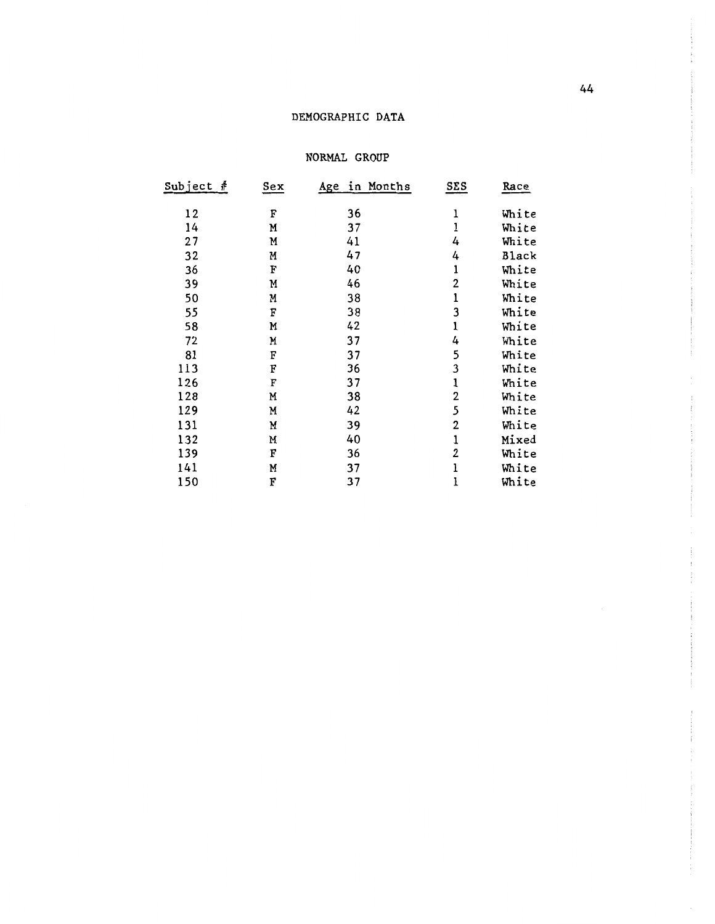#### DEMOGRAPHIC DATA

#### NORMAL GROUP

| Subject<br># | $s_{ex}$ | in Months<br><u>Age</u> | <u>SES</u>     | Race         |
|--------------|----------|-------------------------|----------------|--------------|
|              |          |                         |                |              |
| 12           | F        | 36                      | ı              | White        |
| 14           | M        | 37                      | ı              | White        |
| 27           | Μ        | 41                      | 4              | White        |
| 32           | M        | 47                      | 4              | <b>Black</b> |
| 36           | F        | 40                      | ı              | White        |
| 39           | M        | 46                      | $\overline{2}$ | White        |
| 50           | M        | 38                      | ı              | White        |
| 55           | F        | 38                      | 3              | White        |
| 58           | M        | 42                      | 1              | White        |
| 72           | M        | 37                      | 4              | White        |
| 81           | F        | 37                      | 5              | White        |
| 113          | F        | 36                      | 3              | White        |
| 126          | F        | 37                      | $\mathbf 1$    | White        |
| 128          | M        | 38                      | 2              | White        |
| 129          | M        | 42                      | 5              | White        |
| 131          | M        | 39                      | 2              | White        |
| 132          | N        | 40                      | $\mathbf 1$    | Mixed        |
| 139          | F        | 36                      | 2              | White        |
| 141          | M        | 37                      | ı              | White        |
| 150          | F        | 37                      | ı              | White        |
|              |          |                         |                |              |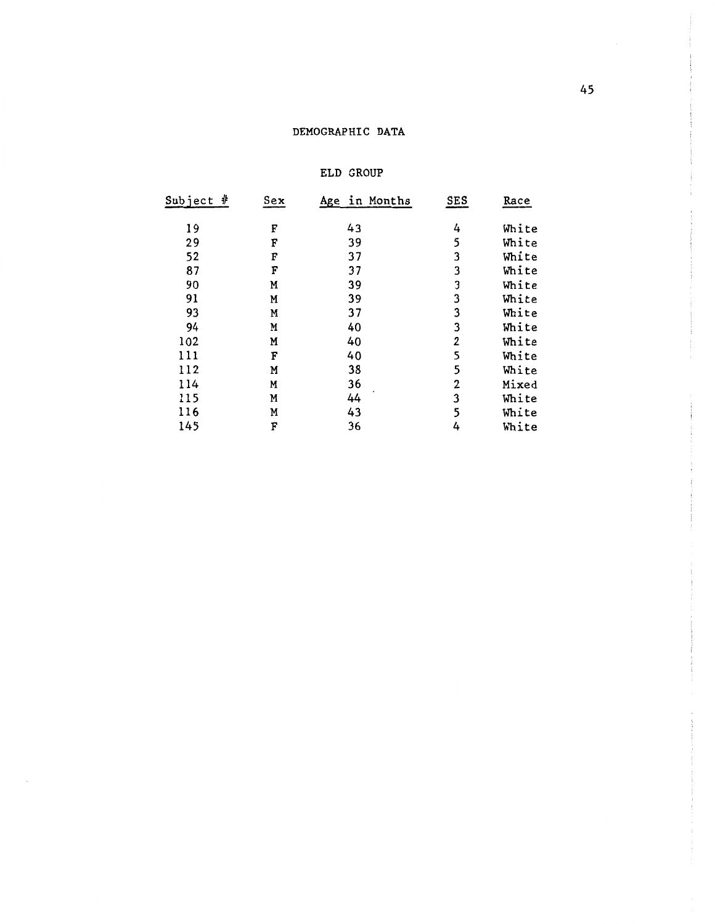## DEMOGRAPHIC DATA

#### ELD GROUP

| <u>Subject #</u> | $s_{ex}$ | Age in Months | <b>SES</b>  | Race  |
|------------------|----------|---------------|-------------|-------|
| 19               | F        | 43            | 4           | White |
| 29               | F        | 39            | 5           | White |
| 52               | F        | 37            | 3           | White |
| 87               | F        | 37            | 3           | White |
| 90               | Μ        | 39            | 3           | White |
| 91               | M        | 39            | 3           | White |
| 93               | M        | 37            | 3           | White |
| 94               | M        | 40            | 3           | White |
| 102              | M        | 40            | $\mathbf 2$ | White |
| 111              | F        | 40            | 5           | White |
| 112              | M        | 38            | 5           | White |
| 114              | M        | 36            | 2           | Mixed |
| 115              | Μ        | 44            | 3           | White |
| 116              | M        | 43            | 5           | White |
| 145              | F        | 36            | 4           | White |
|                  |          |               |             |       |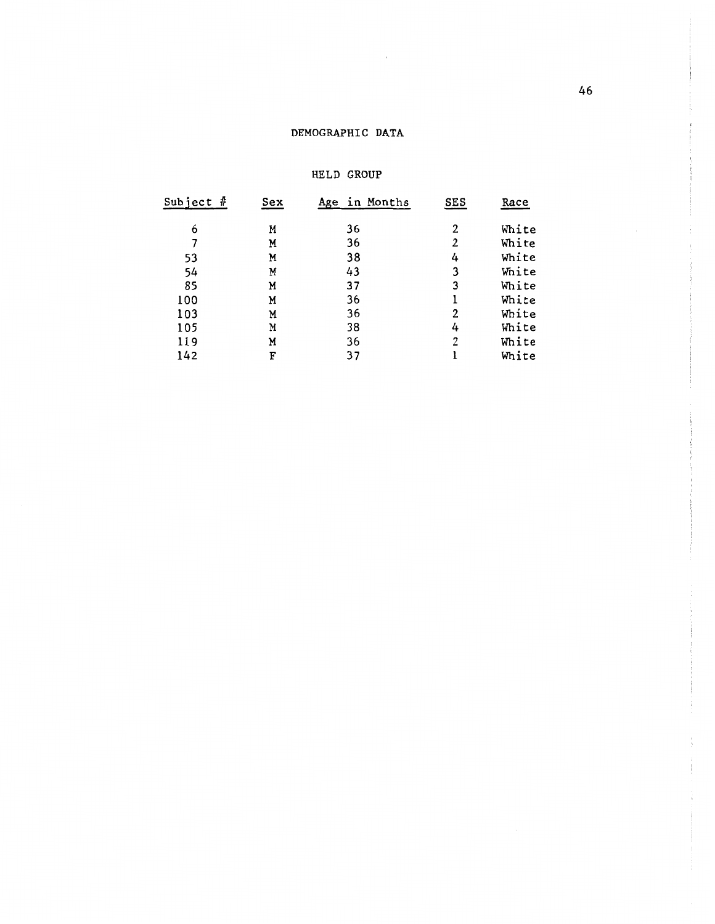## DEMOGRAPHIC DATA

 $\bar{\gamma}$ 

#### HELD GROUP

| Subject # | Sex | Age in Months | SES | Race  |
|-----------|-----|---------------|-----|-------|
| 6         | M   | 36            | 2   | White |
|           | M   | 36            | 2   | White |
| 53        | M   | 38            | 4   | White |
| 54        | M   | 43            | 3   | White |
| 85        | M   | 37            | 3   | White |
| 100       | M   | 36            | ı   | White |
| 103       | M   | 36            | 2   | White |
| 105       | M   | 38            | 4   | White |
| 119       | M   | 36            | 2   | White |
| 142       | F   | 37            |     | White |
|           |     |               |     |       |

 $\cdot$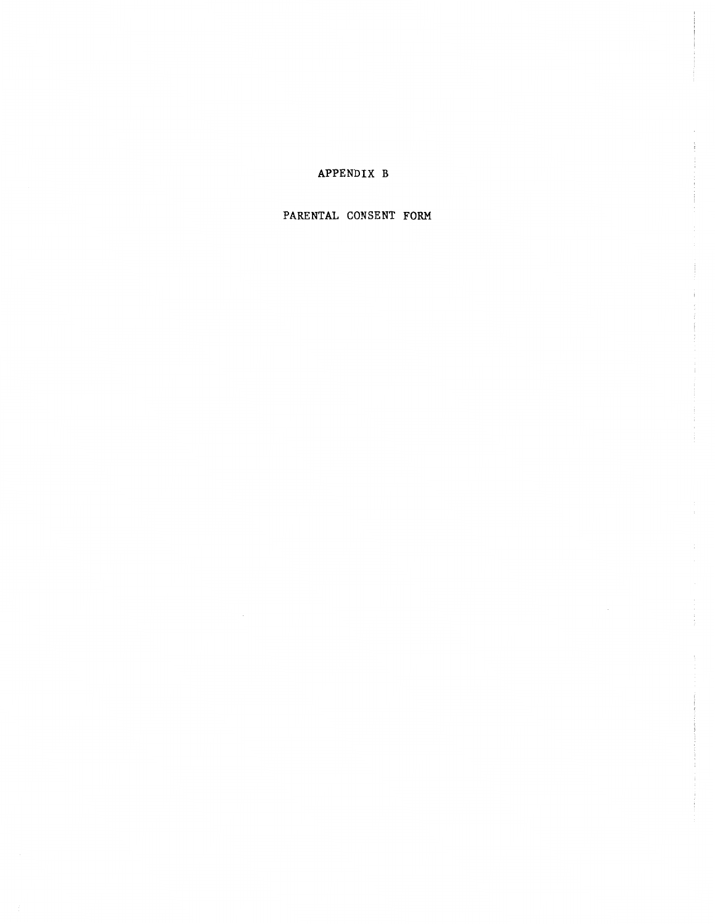## APPENDIX B

#### PARENTAL CONSENT FORM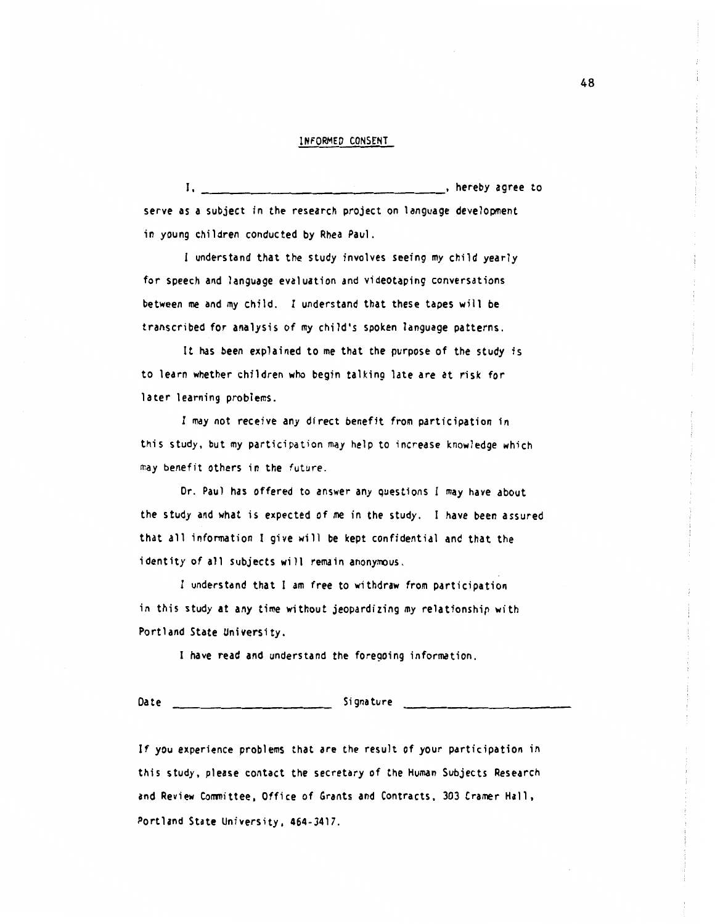#### INFORMED CONSENT

I, **hereby** agree to serve as a subject in the research project on language development in young children conducted by Rhea Paul.

understand that the study involves seeing my child yearly for speech and language evaluation and videotaping conversations between me and my child. I understand that these tapes will be transcribed for analysis of my child's spoken language patterns.

It has been explained to me that the purpose of the study is to learn whether children who begin talking late are at risk for later learning problems.

I may not receive any direct benefit from participation in this study, but my participation may help to increase knowledge which may benefit others in the future.

Dr. Paul has offered to answer any questions I may have about the study and what is expected of me in the study. I have been assured that all infonnation I give will be kept confidential and that the identity of all subjects will remain anonymous.

I understand that I am free to withdraw from participation in this study at any time without jeopardizing my relationship with Portland State University.

I have read and understand the foregoing information.

Date Signature

If you experience problems that are the result of your participation in this study, please contact the secretary of the Human Subjects Research and Review Conmittee, Office of Grants and Contracts, 303 Cramer Hall, Portland State University, 464-3417.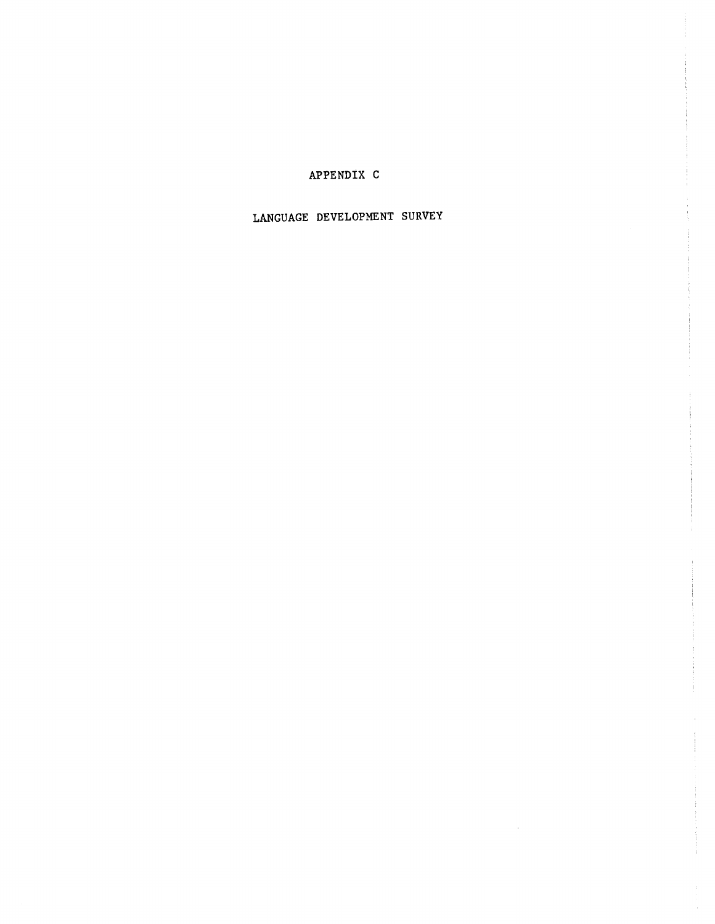# APPENDIX C

# LANGUAGE DEVELOPMENT SURVEY

 $\sim$   $\sim$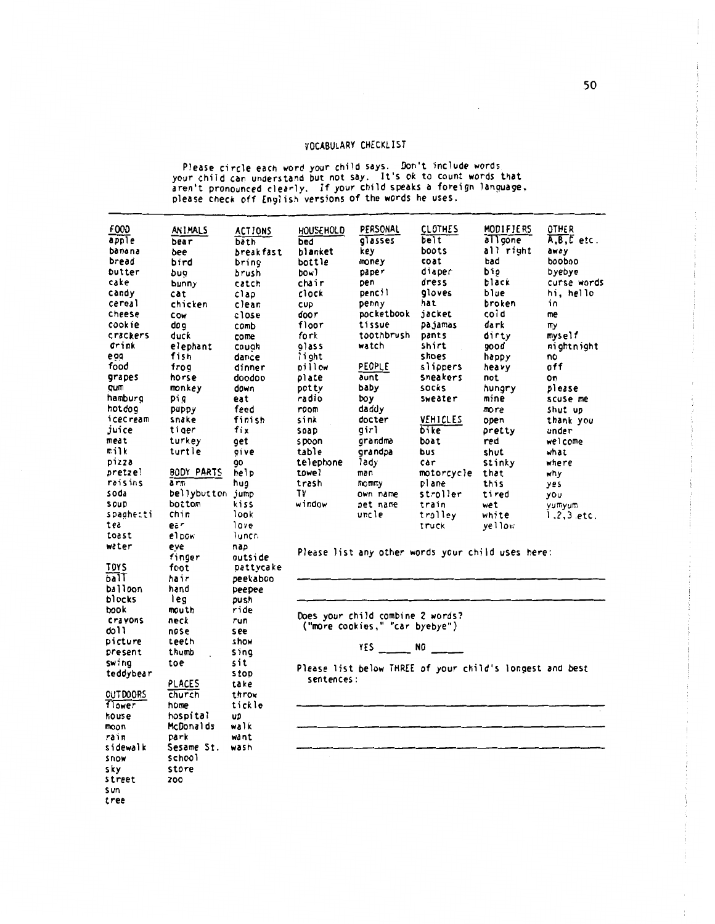#### VOCABULARY CHECKLIST

 $\cdot$ 

Please circle each word your child says. Don't include words your child can understand but not say. It's Ok to count words that aren't pronounced clea~ly. If your child speaks a foreign language, please check off English versions of the words he uses.

| FOOD            | ANIMALS          | <b>ACTIONS</b> | HOUSEHOLD  | PERSONAL                         | <b>CLOTHES</b>  | MODIFIERS                                                | OTHER          |
|-----------------|------------------|----------------|------------|----------------------------------|-----------------|----------------------------------------------------------|----------------|
| apple           | bear             | bath           | bed        | glasses                          | belt            | allgone                                                  | $A, B, C$ etc. |
| banana          | bee              | break fast     | blanket    | key.                             | boots           | all right                                                | away           |
| bread           | bird             | bring          | bottle     | money                            | coat            | bad                                                      | poopoo         |
| butter          | bug              | brush          | bowl       | paper                            | diaper          | bio                                                      | byebye         |
| cake            | bunny            | catch          | chair      | pen                              | dress           | black                                                    | curse words    |
| candy           | cat              | clap           | clock      | pencil                           | gloves          | blue                                                     | hi, hello      |
| cereal          | chicken          | clean          | CUD        | penny                            | hat             | broken                                                   | ίn             |
| cheese          | COW              | close          | door       | pocketbook                       | jacket          | cold                                                     | me             |
| cook ie         | doq              | comb           | floor      | tissue                           | pajamas         | dark                                                     | my             |
| crackers        | duck             | come           | fork       | toothbrush                       | pants           | dirty                                                    | myself         |
| drink           | elephant         | couah          | alass      | watch                            | shirt           | good                                                     | nightnight     |
| e 99            | fish             | dance          | light      |                                  | shoes           | ha pp y                                                  | no             |
| food            | frog             | dinner         | pillow     | PEOPLE                           | slippers        | hea v y                                                  | off            |
| grapes          | horse            | doodoo         | plate      | aunt                             | sneakers        | not                                                      | on             |
| qum             | monkey           | down           | potty      | baby                             | socks           | hungry                                                   | please         |
| hamburg         | pig              | eat            | radio      | boy                              | sweater         | mine                                                     | scuse me       |
| hotdog          | puppy            | feed           | room       | daddy                            |                 | more                                                     | shut up        |
| icecream        | snake            | finish         | sink       | docter                           | <b>VEHICLES</b> | open                                                     | thank you      |
| juice           | tiger            | fix            | soap       | girl                             | bike            | pretty                                                   | under          |
| meat            | turkey           | get            | s poon     | grandma                          | boat            | red                                                      | welcome        |
| milk            | turtle           | qive           | table      | grandpa                          | bus             | shut                                                     | what           |
| pizza           |                  | 90             | telephone  | lady                             | car             | stinky                                                   | where          |
| pretzel         | BODY PARTS       | help           | towel      | man                              | motorcycle      | that                                                     | why            |
| raisins         | a rm             | hug            | trash      | mommy                            | plane           | this                                                     | yes            |
| soda            | bellybutton jump |                | TV         | own name                         | stroller        | tired                                                    | you            |
| <b>SOUD</b>     | bottom           | kiss           | window     | pet name                         | train           | wet                                                      | yumyum         |
| spaghetti       | chin             | look           |            | uncle                            | trolley         | white                                                    | $1.2, 3.$ etc. |
| tea             | ea r             | love           |            |                                  | truck           | yellow                                                   |                |
| toast           | el pow           | Tuncr.         |            |                                  |                 |                                                          |                |
| water           | eve              | nap            |            |                                  |                 |                                                          |                |
|                 | finger           | outside        |            |                                  |                 | Please list any other words your child uses here:        |                |
| <b>TOYS</b>     | foot             | pattycake      |            |                                  |                 |                                                          |                |
| ball            | hair             | peekaboo       |            |                                  |                 |                                                          |                |
| balloon         | hand             | peepee         |            |                                  |                 |                                                          |                |
| blocks          | leg              | push           |            |                                  |                 |                                                          |                |
| book            | mouth            | ride           |            |                                  |                 |                                                          |                |
| crayons         | neck             | run            |            | Does your child combine 2 words? |                 |                                                          |                |
| doll            | nose             | s e e          |            | ("more cookies," "car byebye")   |                 |                                                          |                |
|                 | teeth            | show           |            |                                  |                 |                                                          |                |
| picture         | thumb            |                |            | YES NO                           |                 |                                                          |                |
| present         |                  | sing<br>sit    |            |                                  |                 |                                                          |                |
| <b>Swing</b>    | toe              |                |            |                                  |                 | Please list below THREE of your child's longest and best |                |
| teddybear       |                  | stop           | sentences: |                                  |                 |                                                          |                |
|                 | <b>PLACES</b>    | take           |            |                                  |                 |                                                          |                |
| <b>OUTDOORS</b> | church           | throw          |            |                                  |                 |                                                          |                |
| flower          | home             | tickle         |            |                                  |                 |                                                          |                |
| house           | hospital         | UD             |            |                                  |                 |                                                          |                |
| moon            | McDonalds        | walk           |            |                                  |                 |                                                          |                |
| rain            | park             | want           |            |                                  |                 |                                                          |                |
| sidewalk        | Sesame St.       | wash           |            |                                  |                 |                                                          |                |
| snow            | school           |                |            |                                  |                 |                                                          |                |
| sky             | store            |                |            |                                  |                 |                                                          |                |
| street          | 200              |                |            |                                  |                 |                                                          |                |
| sun             |                  |                |            |                                  |                 |                                                          |                |

tree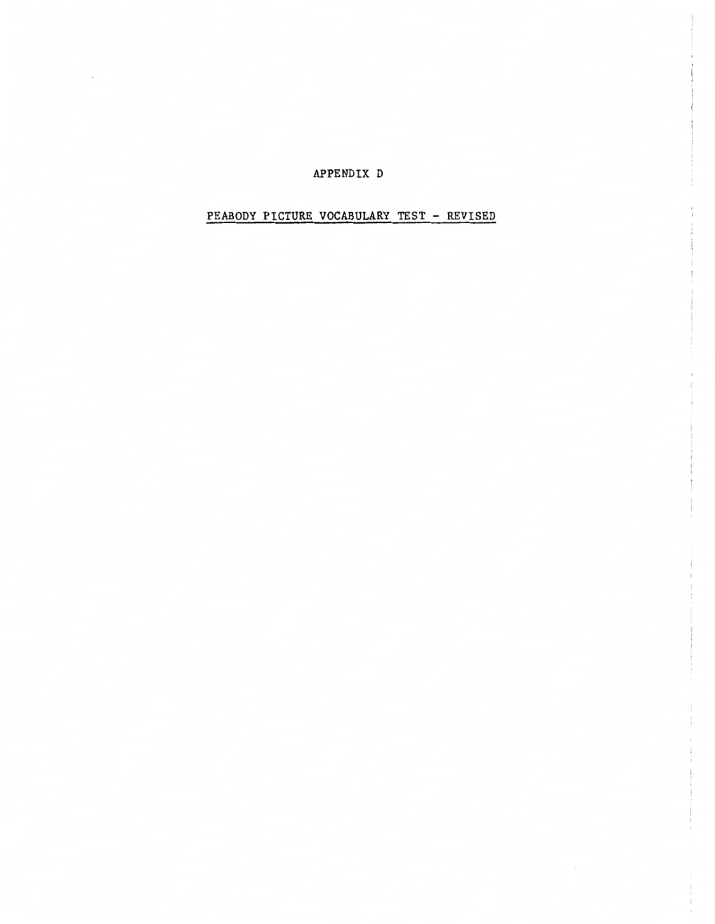#### APPENDIX D

 $\epsilon$ 

# PEABODY PICTURE VOCABULARY TEST - REVISED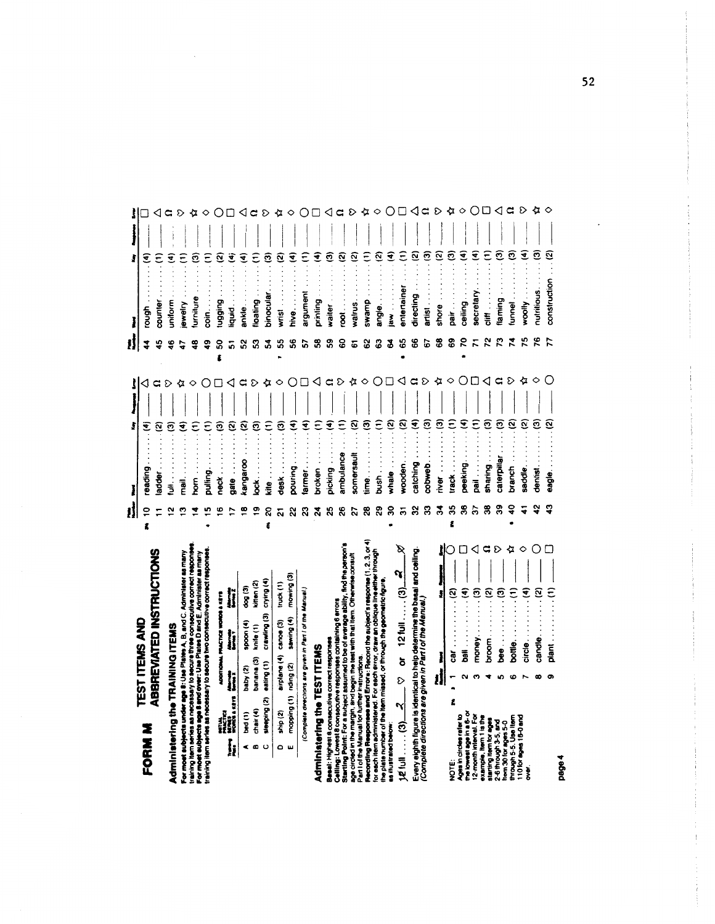# ABBREVIATED INSTRUCTIONS **TEST ITEMS AND** FORM M

# Administering the TRAINING ITEMS

|                                  | Ï                | ಕೆಂಡಿ     | kitten (2)           |                         | truck (1)              | mowing (3)            |                                                          |
|----------------------------------|------------------|-----------|----------------------|-------------------------|------------------------|-----------------------|----------------------------------------------------------|
| ADDITIONAL PRACTICE WORDS & KEYS |                  | spoon (4) |                      | crawling (3) crying (4) |                        | sawing (4)            |                                                          |
|                                  |                  | baby (2)  | banana (3) knife (1) |                         | airplane (4) canoe (3) |                       |                                                          |
|                                  | <b>RATH FIGH</b> | bed (1)   | chair (4)            | sleeping (2) eating (1) | ship (2)               | mopping (1) nding (2) | (Complete directions are given in Part I of the Manual.) |
|                                  |                  |           |                      |                         |                        |                       |                                                          |

# Administering the TEST ITEMS

| B                                |  |
|----------------------------------|--|
|                                  |  |
| $\boldsymbol{\mathcal{S}}$       |  |
| වේ                               |  |
|                                  |  |
|                                  |  |
| 1210                             |  |
|                                  |  |
|                                  |  |
| ŏ                                |  |
|                                  |  |
| ε                                |  |
|                                  |  |
| ٢                                |  |
|                                  |  |
|                                  |  |
| ම                                |  |
|                                  |  |
|                                  |  |
|                                  |  |
|                                  |  |
|                                  |  |
|                                  |  |
|                                  |  |
| <b>AZ full</b><br>$\overline{a}$ |  |

|    | ន ឌ<br>mver $\ldots \ldots \ldots (3)$<br>track $\ldots \ldots (1)$ | $\frac{1}{\sqrt{2}}$ | 2<br>2<br>2<br>2<br>2<br>$\hat{z}$ |              | ౘ<br>ම                   | $\left  \right $ |                                                                                                                                                                                                                               | ⋩<br>E O Q<br>nutritious.<br>ම | $\Diamond$<br>construction |
|----|---------------------------------------------------------------------|----------------------|------------------------------------|--------------|--------------------------|------------------|-------------------------------------------------------------------------------------------------------------------------------------------------------------------------------------------------------------------------------|--------------------------------|----------------------------|
| r. | ఇ                                                                   | శ్ల                  | peeking<br>pail<br>37              | sharing<br>g | ఇ                        | Ş                | caterpillar<br>branch<br>saddle                                                                                                                                                                                               | dentist.<br>eagle<br>ង្        |                            |
|    | $\frac{m}{(2)}$ $\frac{m}{\sqrt{2}}$<br>car.                        |                      |                                    |              | $\overline{\phantom{a}}$ |                  | $\begin{array}{c} \begin{array}{c} \begin{array}{c} \end{array}\\ \begin{array}{c} \end{array} \end{array} \end{array}$                                                                                                       |                                | candle.<br>Diant           |
|    | $\overline{a}$<br>Ê                                                 |                      |                                    |              |                          |                  | NOTE:<br>the lowest age in circles rate<br>the lowest age in a 8-or<br>12-month interval. For<br>2-6 through 3-5, and<br>2-6 through 5-5. Use item<br>through 5-5. Use item<br>110 tor ages 18-0 and<br>110 tor ages 18-0 and |                                |                            |

|                                                                                                                                                         |                                                          |                       |          |                                  |            |                            |   |    |                               | ş             |    |               | Ĵ                  |                        |   |
|---------------------------------------------------------------------------------------------------------------------------------------------------------|----------------------------------------------------------|-----------------------|----------|----------------------------------|------------|----------------------------|---|----|-------------------------------|---------------|----|---------------|--------------------|------------------------|---|
| <b>FORM M</b>                                                                                                                                           |                                                          | <b>TEST ITEMS AND</b> |          |                                  |            |                            | ŧ | ≘  | reading                       | ₹             |    | 4             | ₹<br>rough         |                        |   |
|                                                                                                                                                         |                                                          |                       |          |                                  |            | ABBREVIATED INSTRUCTIONS   |   |    | adder                         | ତ୍ର           |    | 49            | counter            |                        |   |
|                                                                                                                                                         |                                                          |                       |          |                                  |            |                            |   |    | ः<br>इ                        | ම             | D  | 46            | ₹<br>unitorm       |                        |   |
| For most subjects under age 8: Use Plates A, B, and C. Administer as many<br>Administering the TRAINING ITEMS                                           |                                                          |                       |          |                                  |            |                            |   | ణ  | nail.<br>P                    | ₹             |    |               | ewelry             |                        |   |
| aining item series as necessary to secure three consecutive correct reaponse                                                                            |                                                          |                       |          |                                  |            |                            |   |    | .<br>Se                       | ε             | ◇  | $\frac{8}{3}$ | ø<br>urniture      |                        |   |
| or most subjects age 8 and over: Use Plates D and E. Administer as many<br>sining item series as necessary to secure two consecutive correct response   |                                                          |                       |          |                                  |            |                            |   |    | pulling                       | ε             |    | ą             | $\sin \frac{1}{2}$ |                        |   |
|                                                                                                                                                         |                                                          |                       |          | ADDITIONAL PRACTICE WORDS & KEYS |            |                            |   | ڡ  | neck.                         | ම             |    | SO            | Ω<br>BuibBn        |                        |   |
| Į                                                                                                                                                       | Mittel<br>Macros<br>Woods arrest                         | li                    |          | İ                                | j          |                            |   |    | gate                          | ତ୍ର           |    | 5             | €<br>iquid         |                        |   |
|                                                                                                                                                         | bed (1)                                                  | baby (2)              |          | spoon (4)                        | $\log(3)$  |                            |   | œ  | kangaroo                      | ø             |    | အ             | ₹<br>ankle.        |                        |   |
| ø                                                                                                                                                       | chair (4)                                                | banana (3)            |          | knife (1)                        | kitten (2) |                            |   | თ  | bck.                          | ම             | D  | ន             | ε<br>loating       |                        |   |
| ပ                                                                                                                                                       | sleeping (2)                                             | eating (1)            |          | crawling (3)                     | crying (4) |                            | ŧ | 20 | $\ddot{\cdot}$<br><u>erix</u> | $\widehat{E}$ |    | 3             | ම<br>binocular     |                        |   |
| ٥                                                                                                                                                       | ship <sub>(2)</sub>                                      | airplane (4)          |          | canoe(3)                         | truck (1)  |                            |   | ត  | desk                          | ම             | ◇  | 55            | wrist              | ø                      |   |
| w                                                                                                                                                       | mopping (1)                                              | riding (2)            |          | sawing (4)                       | mowing (3) |                            |   | ೫  | pouring                       | €             |    | \$6           | hive               | €                      |   |
|                                                                                                                                                         | (Complete directions are given in Part I of the Manual.) |                       |          |                                  |            |                            |   | ឌ  | armer                         | ₹             |    | 57            | merugus            | ε                      |   |
| Administering the TEST ITEMS                                                                                                                            |                                                          |                       |          |                                  |            |                            |   | द  | broken                        | ε             |    | 38            | printing           | €                      |   |
| Basal: Highest 8 consecutive correct response                                                                                                           |                                                          |                       |          |                                  |            |                            |   | స  | picking                       | €             |    | S9            | waiter             | ම                      |   |
| Starting Point: For a subject assumed to be of average ability, find the person's<br>Celling: Lowest 8 consecutive responses containing 6 errors        |                                                          |                       |          |                                  |            |                            |   | 26 | ambulance                     | ε             | D  | 8             | $\frac{1}{8}$      | <u>ର</u>               |   |
| age circled in the margin, and begin the test with that item. Otherwise consult                                                                         |                                                          |                       |          |                                  |            |                            |   | 27 | somersault                    | ø             |    | 5             | walrus             | ତ୍ର                    |   |
| Recording Responses and Errors: Record the subject's response (1, 2, 3, or 4)<br>Part I of the Manual for further instructions                          |                                                          |                       |          |                                  |            |                            |   | 8  | e<br>E                        | ම             | ◇  | 62            | duems              | ε                      |   |
| for each item administered. For each error, draw an oblique line either through<br>the plate number of the item missed, or through the geometric figure |                                                          |                       |          |                                  |            |                            |   | 29 | bush                          | ε             |    | සි            | angle.             | ତ୍ର                    |   |
| as illustrated below                                                                                                                                    |                                                          |                       |          |                                  |            |                            |   | 8  | whale                         | ତ୍ର           |    | F             | .<br>aw            | ₹                      |   |
| <u>၉</u><br>.<br>.<br>发生                                                                                                                                | ণ                                                        | D                     | ŏ        | $121$ ull  (3)                   |            | B<br>$\boldsymbol{\alpha}$ |   | ౚ  | wooden.                       | ତ୍ର           |    | 65            | entertainer        | Ξ                      |   |
| Every eighth figure is identical to help determine the basal and ceiling.                                                                               |                                                          |                       |          |                                  |            |                            |   | ೫  | catching                      | €             |    | 8             | directing          | $\widehat{\mathbf{z}}$ |   |
| (Complete directions are given in Part I of the Manual.)                                                                                                |                                                          |                       |          |                                  |            |                            |   | ఇ  | dewap                         | ම             | ⊳  | 67            | artist             | ම                      |   |
|                                                                                                                                                         |                                                          |                       | l        |                                  |            |                            |   | ड़ | river                         | ම             | ∢z | 8             | shore              | <u>ତ</u>               |   |
| ne<br>S                                                                                                                                                 | £                                                        |                       | ទូ       |                                  | ତ୍ର        |                            | Ê | 35 | track                         | Ξ             | ◇  | 69            | pair               | ම                      |   |
| the lowest age in a 5- or<br>Ages in circles rater                                                                                                      |                                                          |                       | .<br>≣ad |                                  | ¢          |                            |   | æ  | peeking                       | €             |    | 20            | ceiling.           | €                      |   |
| 12-month interval. For<br>vample, item 1 is the                                                                                                         |                                                          |                       | money    |                                  | ල          | ◁                          |   | 5  | $\vdots$<br>ā                 | Ξ             |    | π             | secretary          | €                      |   |
| starting item for ages                                                                                                                                  |                                                          |                       | broom    |                                  | ି          | G                          |   | 38 | sharing.                      | లె            | ◁  | ೭             | $\vdots$<br>ミ      | Ξ                      |   |
| 2-6 through 3-5, and<br>em 30 for ages 5-0                                                                                                              |                                                          |                       | bee      |                                  | ම          | D                          |   | 39 | caterpillar                   | ල             | G  | ొ             | laming             | లె                     | ◁ |
| through 5-5. Use Item                                                                                                                                   |                                                          |                       | bottle.  |                                  | Ξ          | ∝                          |   | g  | branch                        | ତ୍ର           | S  | <b>z</b>      | lunnel             | ම                      | ິ |
| 110 for ages 16-0 and<br>š.                                                                                                                             |                                                          |                       | circle.  |                                  | €          | ◇                          |   |    | sadde                         | ହ             |    | ۴             | wootly             | €                      | D |
|                                                                                                                                                         |                                                          |                       | candle   |                                  | ତ୍ର        |                            |   | 42 | dentist                       | ම             |    | ۴             | nutritious.        | ම                      | ⋩ |
|                                                                                                                                                         |                                                          |                       | Diant    |                                  |            |                            |   | Ģ  | eagle.                        | Ñ             |    |               | construction       | ତ୍ର                    |   |

page4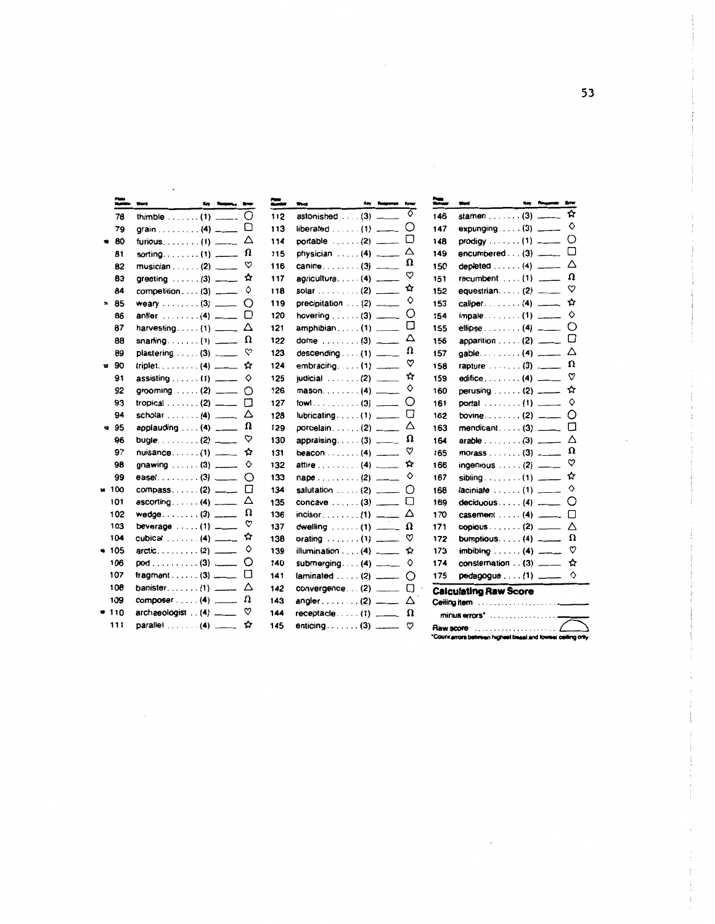|    | ≈             | Word                                        | Kay |    | ≈   | <b>Key Response</b><br><b>Bone</b><br>Word                                                                                                                                                                                                                                                                                                                                                         |
|----|---------------|---------------------------------------------|-----|----|-----|----------------------------------------------------------------------------------------------------------------------------------------------------------------------------------------------------------------------------------------------------------------------------------------------------------------------------------------------------------------------------------------------------|
|    | 78            | thimble $\dots \dots (1)$ _____             |     | O  | 112 | ♦<br>astonished  (3) _____                                                                                                                                                                                                                                                                                                                                                                         |
|    | 79            | grain (4) ___                               |     | IJ | 113 | ()<br>$liberated \ldots (1)$                                                                                                                                                                                                                                                                                                                                                                       |
|    | 80            | furious. $\ldots$ . $(1)$ ____              |     | Δ  | 114 | $portable$ $(2)$ ____                                                                                                                                                                                                                                                                                                                                                                              |
|    | 81            | sorting. $\ldots$ (1) _____                 |     | Ω  | 115 | Δ<br>physician $\ldots$ (4) $\ldots$                                                                                                                                                                                                                                                                                                                                                               |
|    | 82            | musician . $\ldots$ (2) ____                |     | ♡  | 116 | Ω<br>canine. $\ldots$ (3) _____                                                                                                                                                                                                                                                                                                                                                                    |
|    | 83            | greeting $\ldots \ldots$ (3) ____           |     | ✿  | 117 | ♡<br>agriculture (4) _____                                                                                                                                                                                                                                                                                                                                                                         |
|    | 84            | $componentition (3)$ ____                   |     | ♦  | 118 | ☆<br>solar (2) $\frac{1}{2}$                                                                                                                                                                                                                                                                                                                                                                       |
|    | 85            | weary $\ldots \ldots$ (3) ___               |     | O  | 119 | ♦<br>precipitation $\ldots$ (2) $\ldots$                                                                                                                                                                                                                                                                                                                                                           |
|    | 86            | antler $\ldots \ldots$ (4) ___              |     | П  | 120 | O<br>hovering $\ldots$ (3) _____                                                                                                                                                                                                                                                                                                                                                                   |
|    | 87            | harvesting $(1)$ ____                       |     | Δ  | 121 | П<br>$amphibian$ (1) _____                                                                                                                                                                                                                                                                                                                                                                         |
|    | 88            | snarting $(1)$ _____                        |     | Ω  | 122 | Δ<br>dome $\dots$ (3) ____                                                                                                                                                                                                                                                                                                                                                                         |
|    | 89            | plastering $\ldots$ (3) ____                |     | ♡  | 123 | Ω<br>descending $\ldots$ (1) ____                                                                                                                                                                                                                                                                                                                                                                  |
| 12 | 90            | triplet. (4) $\frac{1}{1}$                  |     | ✿  | 124 | ♡<br>embracing $(1)$ ___                                                                                                                                                                                                                                                                                                                                                                           |
|    | 91            | assisting $\ldots$ (1) $\ldots$             |     | ♦  | 125 | ☆<br>judicial (2) ____                                                                                                                                                                                                                                                                                                                                                                             |
|    | 92            | grooming $(1, 2)$ ___                       |     | Ω  | 126 | ♦<br>$mason. \ldots. (4)$                                                                                                                                                                                                                                                                                                                                                                          |
|    | 93            | tropical . $\ldots$ (2) ____                |     | П  | 127 | O                                                                                                                                                                                                                                                                                                                                                                                                  |
|    | 94            | scholar $\ldots$ (4) ____                   |     | Δ  | 128 | U<br>$lubricating$ (1) ______                                                                                                                                                                                                                                                                                                                                                                      |
|    | 95            | applauding $\ldots$ (4) ___                 |     | Ω  | 129 | Δ<br>porcelain(2) $\frac{1}{\sqrt{1-\frac{1}{2}}\sqrt{1-\frac{1}{2}}\sqrt{1-\frac{1}{2}}\sqrt{1-\frac{1}{2}}\sqrt{1-\frac{1}{2}}\sqrt{1-\frac{1}{2}}\sqrt{1-\frac{1}{2}}\sqrt{1-\frac{1}{2}}\sqrt{1-\frac{1}{2}}\sqrt{1-\frac{1}{2}}\sqrt{1-\frac{1}{2}}\sqrt{1-\frac{1}{2}}\sqrt{1-\frac{1}{2}}\sqrt{1-\frac{1}{2}}\sqrt{1-\frac{1}{2}}\sqrt{1-\frac{1}{2}}\sqrt{1-\frac{1}{2}}\sqrt{1-\frac{1}{$ |
|    | 96            | bugle $\ldots$ $(2)$ $\ldots$               |     | ♡  | 130 | Ω<br>appraising $(3)$ ______                                                                                                                                                                                                                                                                                                                                                                       |
|    | 97            |                                             |     | ✿  | 131 | ♡<br>beacon (4) $\frac{1}{2}$                                                                                                                                                                                                                                                                                                                                                                      |
|    | 98            | gnawing $(3)$ _____                         |     | ◇  | 132 | ☆<br>attire $\ldots \ldots \ldots$ (4) _____                                                                                                                                                                                                                                                                                                                                                       |
|    | 99            | ease $1, \ldots, 1, 3, \ldots$              |     | ◯  | 133 | ♦<br>$nape \ldots \ldots (2)$                                                                                                                                                                                                                                                                                                                                                                      |
| Ħ. | 100           | compass (2) $\frac{1}{2}$                   |     | П  | 134 | ()<br>salutation $\ldots$ (2) ____                                                                                                                                                                                                                                                                                                                                                                 |
|    | 101           | $\mathsf{escorting.}\dots\dots\mathsf{(4)}$ |     | Δ  | 135 | п<br>concave $\ldots$ (3) ____                                                                                                                                                                                                                                                                                                                                                                     |
|    | 102           | $w$ edge(3) ___                             |     | Ω  | 136 | Δ<br>$incisor$ (1) ____                                                                                                                                                                                                                                                                                                                                                                            |
|    | 103           | beverage $\dots(1)$ ____                    |     | ♡  | 137 | Ω<br>dwelling $\dots(1)$ _____                                                                                                                                                                                                                                                                                                                                                                     |
|    | 104           | cubical $\ldots \ldots$ (4) $\ldots$        |     | ☆  | 138 | ♡<br>orating (1) _____                                                                                                                                                                                                                                                                                                                                                                             |
|    | $\bullet$ 105 |                                             |     | ◇  | 139 | ☆<br>illumination $\ldots$ (4) ____                                                                                                                                                                                                                                                                                                                                                                |
|    | 106           | $pod \ldots \ldots \ldots (3)$ ___          |     | Ο  | 140 | ♦<br>submerging $(4)$ _____                                                                                                                                                                                                                                                                                                                                                                        |
|    | 107           | fragment $(3)$ _____                        |     | П  | 141 | O                                                                                                                                                                                                                                                                                                                                                                                                  |
|    | 108           | banister $(1)$ ____                         |     | Δ  | 142 | П<br>convergence $(2)$ ______                                                                                                                                                                                                                                                                                                                                                                      |
|    | 109           | composer $\dots$ (4) $\frac{1}{1}$          |     | Ω  | 143 | angler $\ldots \ldots$ (2) ____<br>Δ                                                                                                                                                                                                                                                                                                                                                               |
|    | 110           | $archaeologist$ $(4)$ _____                 |     | ♡  | 144 | Ω<br>$receptacle (1)$ <sub>_____</sub>                                                                                                                                                                                                                                                                                                                                                             |
|    | 111           | parallel $\ldots \ldots$ (4) ____           |     | ☆  | 145 | enticing $(3)$ _____<br>♡                                                                                                                                                                                                                                                                                                                                                                          |

| ≈-  | Werd                                                 | May | tru<br><b>Response</b>               |
|-----|------------------------------------------------------|-----|--------------------------------------|
| 146 | stamen $\ldots \ldots$ (3)                           |     | ☆                                    |
| 147 | expunging $(3)$ ____                                 |     | ♦                                    |
| 148 | $\boldsymbol{\mathsf{prod}}$ igy $\ldots\ldots\,(1)$ |     | O<br>$\overline{\phantom{a}}$        |
| 149 | encumbered $\dots$ (3) $\frac{1}{1}$                 |     | □                                    |
| 150 | depleted $\ldots \ldots$ (4)                         |     | Δ<br>$\overline{\phantom{a}}$        |
| 151 | recumbent $\ldots$ (1) $\ldots$                      |     | Ω                                    |
| 152 | equestrian(2)                                        |     | ♡<br>$\overline{\phantom{a}}$        |
| 153 | caliper. $\ldots$ (4) _____                          |     | ☆                                    |
| 154 | impale (1) _____                                     |     | ♦                                    |
| 155 | ellipse $\ldots \ldots (4)$                          |     | O<br>$\overline{\phantom{a}}$        |
| 156 | apparition (2) ____                                  |     | П                                    |
| 157 | qable(4) _____                                       |     | Δ                                    |
| 158 | rapture $\ldots \ldots$ (3)                          |     | $\Omega$<br>$\overline{\phantom{a}}$ |
| 159 | edifice $\ldots \ldots$ 4)                           |     | ♡<br>$\overline{\phantom{a}}$        |
| 160 | perusing (2) ____                                    |     | ☆                                    |
| 161 | portal (1) _____                                     |     | ♦                                    |
| 162 | bovine $\ldots \ldots$ (2) ____                      |     | О                                    |
| 163 | mendicant $(3)$ _____                                |     | □                                    |
| 164 | arable $\dots\dots(3)$ ____                          |     | Δ                                    |
| 165 | morass $\ldots \ldots$ (3) ___                       |     | Ω                                    |
| 166 | ingenious (2)                                        |     | ♡<br>$\overline{\phantom{a}}$        |
| 167 | sibling $\ldots \ldots \ldots$ (1)                   |     | ☆<br>$\overline{\phantom{a}}$        |
| 168 | laciniate  (1) _____                                 |     | ♦                                    |
| 169 | $deciduous \ldots (4)$                               |     | Ó<br>$\overline{\phantom{a}}$        |
| 170 | $casement \ldots (4)$                                |     | □                                    |
| 171 | copious $\ldots \ldots$ (2) $\ldots$                 |     | Δ                                    |
| 172 | bumptious $(4)$                                      |     | $\Omega$<br>$\frac{1}{2}$            |
| 173 | $imbibing \ldots (4)$                                |     | ♡                                    |
| 174 | $construction$ . $(3)$ $\_\_$                        |     | ☆                                    |
| 175 | $pedagogue (1)$ _____                                |     | $\Diamond$                           |
|     | <b>Calculating Raw Score</b>                         |     |                                      |
|     |                                                      |     |                                      |

| "Count errors between highest basal and lowest ceiting only. |  |
|--------------------------------------------------------------|--|

 $\epsilon$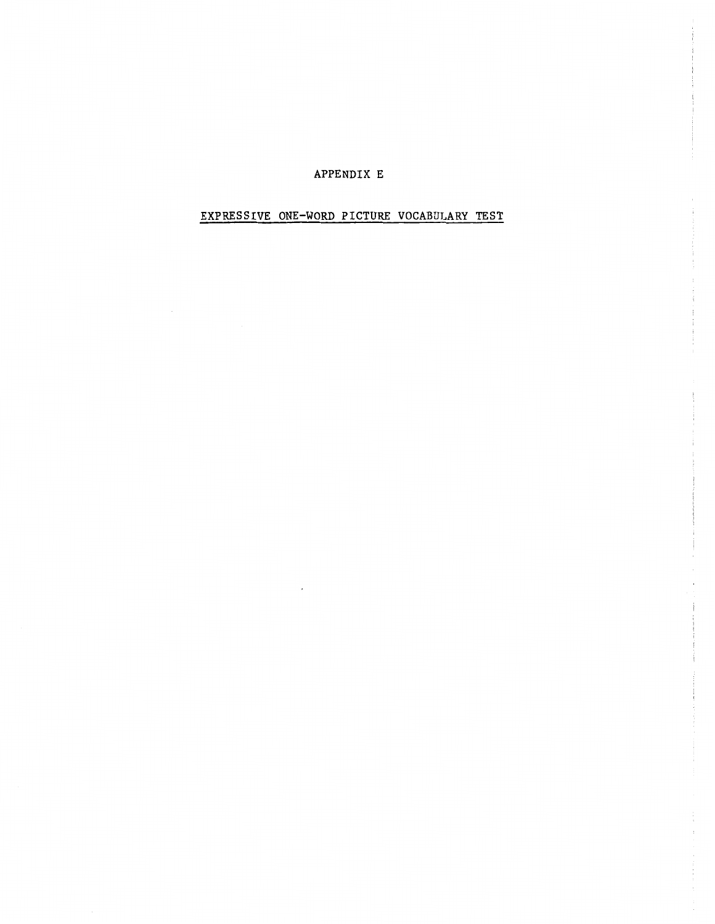#### APPENDIX E

# EXPRESSIVE ONE-WORD PICTURE VOCABULARY TEST

 $\sim$   $\sim$